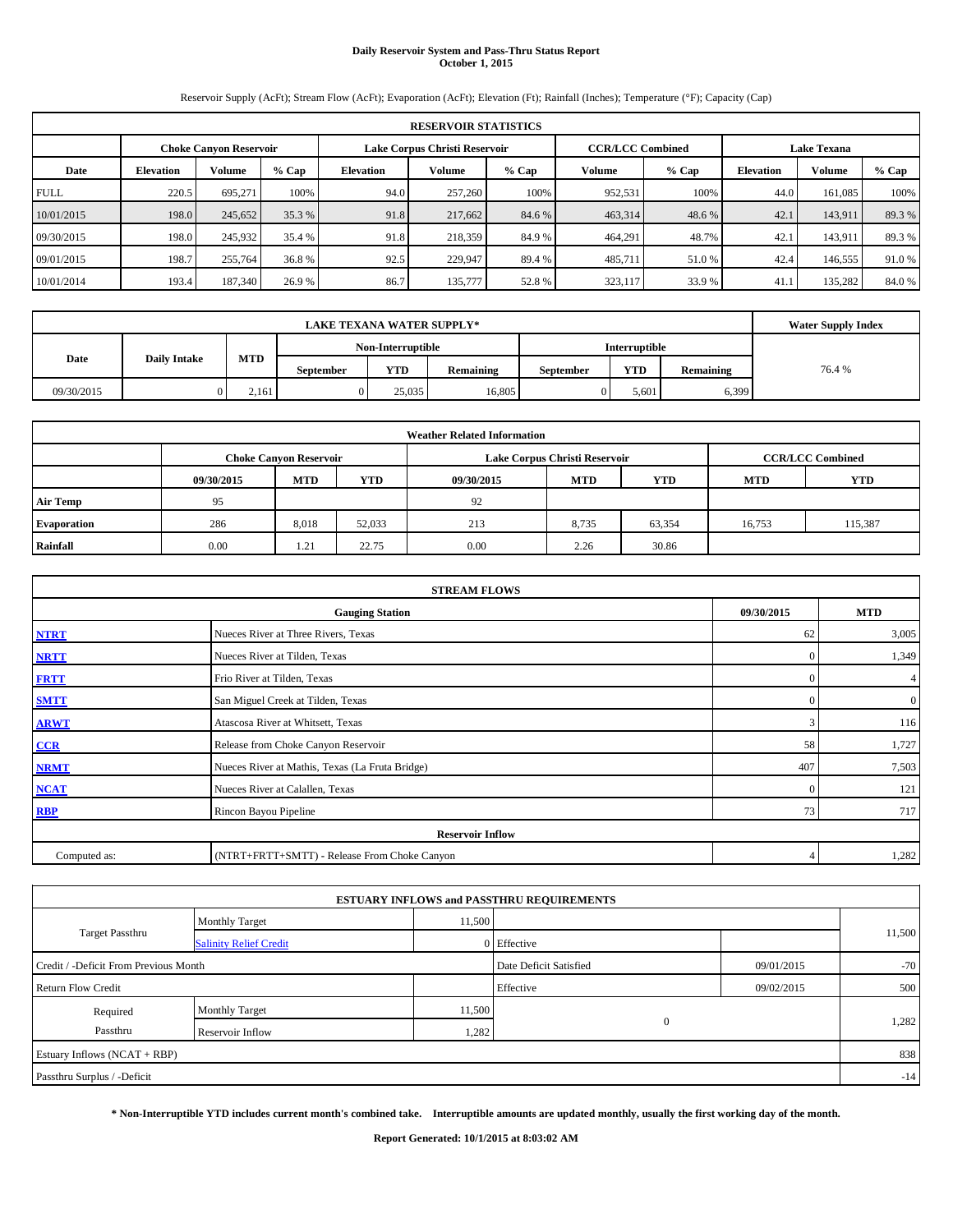# **Daily Reservoir System and Pass-Thru Status Report October 1, 2015**

Reservoir Supply (AcFt); Stream Flow (AcFt); Evaporation (AcFt); Elevation (Ft); Rainfall (Inches); Temperature (°F); Capacity (Cap)

| <b>RESERVOIR STATISTICS</b> |                                                                                                                 |         |        |           |         |        |         |        |      |         |         |  |  |
|-----------------------------|-----------------------------------------------------------------------------------------------------------------|---------|--------|-----------|---------|--------|---------|--------|------|---------|---------|--|--|
|                             | Lake Corpus Christi Reservoir<br><b>CCR/LCC Combined</b><br><b>Lake Texana</b><br><b>Choke Canvon Reservoir</b> |         |        |           |         |        |         |        |      |         |         |  |  |
| Date                        | <b>Volume</b><br>$%$ Cap<br><b>Elevation</b>                                                                    |         |        | Elevation | Volume  | % Cap  | Volume  | % Cap  |      | Volume  | $%$ Cap |  |  |
| <b>FULL</b>                 | 220.5                                                                                                           | 695.271 | 100%   | 94.0      | 257,260 | 100%   | 952,531 | 100%   | 44.0 | 161.085 | 100%    |  |  |
| 10/01/2015                  | 198.0                                                                                                           | 245,652 | 35.3 % | 91.8      | 217,662 | 84.6 % | 463,314 | 48.6 % | 42.1 | 143,911 | 89.3 %  |  |  |
| 09/30/2015                  | 198.0                                                                                                           | 245,932 | 35.4 % | 91.8      | 218,359 | 84.9 % | 464,291 | 48.7%  | 42.1 | 143.911 | 89.3 %  |  |  |
| 09/01/2015                  | 198.7                                                                                                           | 255,764 | 36.8 % | 92.5      | 229.947 | 89.4 % | 485,711 | 51.0%  | 42.4 | 146,555 | 91.0 %  |  |  |
| 10/01/2014                  | 193.4                                                                                                           | 187,340 | 26.9 % | 86.7      | 135,777 | 52.8%  | 323,117 | 33.9 % | 41.1 | 135,282 | 84.0 %  |  |  |

|            | <b>LAKE TEXANA WATER SUPPLY*</b> |       |                  |                   |           |                  |                      |           |       |  |  |
|------------|----------------------------------|-------|------------------|-------------------|-----------|------------------|----------------------|-----------|-------|--|--|
|            |                                  |       |                  | Non-Interruptible |           |                  | <b>Interruptible</b> |           |       |  |  |
| Date       | <b>Daily Intake</b>              | MTD   | <b>September</b> | <b>YTD</b>        | Remaining | <b>September</b> | <b>YTD</b>           | Remaining | 76.4% |  |  |
| 09/30/2015 |                                  | 2.161 |                  | 25.035            | 16,805    | 0                | 5,601                | 6,399     |       |  |  |

| <b>Weather Related Information</b> |            |                               |        |            |                               |                         |            |            |  |  |  |
|------------------------------------|------------|-------------------------------|--------|------------|-------------------------------|-------------------------|------------|------------|--|--|--|
|                                    |            | <b>Choke Canyon Reservoir</b> |        |            | Lake Corpus Christi Reservoir | <b>CCR/LCC Combined</b> |            |            |  |  |  |
|                                    | 09/30/2015 | <b>MTD</b>                    | YTD    | 09/30/2015 | <b>MTD</b>                    | <b>YTD</b>              | <b>MTD</b> | <b>YTD</b> |  |  |  |
| <b>Air Temp</b>                    | 95         |                               |        | 92         |                               |                         |            |            |  |  |  |
| Evaporation                        | 286        | 8,018                         | 52,033 | 213        | 8,735                         | 63,354                  | 16,753     | 115,387    |  |  |  |
| Rainfall                           | 0.00       | 1.21                          | 22.75  | 0.00       | 2.26                          | 30.86                   |            |            |  |  |  |

| <b>STREAM FLOWS</b> |                                                    |              |              |  |  |  |  |  |  |  |
|---------------------|----------------------------------------------------|--------------|--------------|--|--|--|--|--|--|--|
|                     | <b>Gauging Station</b><br>09/30/2015<br><b>MTD</b> |              |              |  |  |  |  |  |  |  |
| <b>NTRT</b>         | Nueces River at Three Rivers, Texas                | 62           | 3,005        |  |  |  |  |  |  |  |
| <b>NRTT</b>         | Nueces River at Tilden, Texas                      | $\mathbf{0}$ | 1,349        |  |  |  |  |  |  |  |
| <b>FRTT</b>         | Frio River at Tilden, Texas                        | $\mathbf{0}$ | 4            |  |  |  |  |  |  |  |
| <b>SMTT</b>         | San Miguel Creek at Tilden, Texas                  | $\Omega$     | $\mathbf{0}$ |  |  |  |  |  |  |  |
| <b>ARWT</b>         | Atascosa River at Whitsett, Texas                  | 3            | 116          |  |  |  |  |  |  |  |
| CCR                 | Release from Choke Canyon Reservoir                | 58           | 1,727        |  |  |  |  |  |  |  |
| <b>NRMT</b>         | Nueces River at Mathis, Texas (La Fruta Bridge)    | 407          | 7,503        |  |  |  |  |  |  |  |
| <b>NCAT</b>         | Nueces River at Calallen, Texas                    | $\mathbf{0}$ | 121          |  |  |  |  |  |  |  |
| <b>RBP</b>          | Rincon Bayou Pipeline                              | 73           | 717          |  |  |  |  |  |  |  |
|                     | <b>Reservoir Inflow</b>                            |              |              |  |  |  |  |  |  |  |
| Computed as:        | (NTRT+FRTT+SMTT) - Release From Choke Canyon       |              |              |  |  |  |  |  |  |  |

|                                       |                               |        | <b>ESTUARY INFLOWS and PASSTHRU REQUIREMENTS</b> |            |        |  |  |  |
|---------------------------------------|-------------------------------|--------|--------------------------------------------------|------------|--------|--|--|--|
|                                       | <b>Monthly Target</b>         | 11,500 |                                                  |            |        |  |  |  |
| <b>Target Passthru</b>                | <b>Salinity Relief Credit</b> |        | 0 Effective                                      |            | 11,500 |  |  |  |
| Credit / -Deficit From Previous Month |                               |        | Date Deficit Satisfied                           | 09/01/2015 | $-70$  |  |  |  |
| <b>Return Flow Credit</b>             |                               |        | Effective                                        | 09/02/2015 | 500    |  |  |  |
| Required                              | Monthly Target                | 11,500 |                                                  |            |        |  |  |  |
| Passthru                              | Reservoir Inflow              | 1,282  | $\mathbf{0}$                                     |            | 1,282  |  |  |  |
| Estuary Inflows (NCAT + RBP)          |                               |        |                                                  |            |        |  |  |  |
| Passthru Surplus / -Deficit           |                               |        |                                                  |            |        |  |  |  |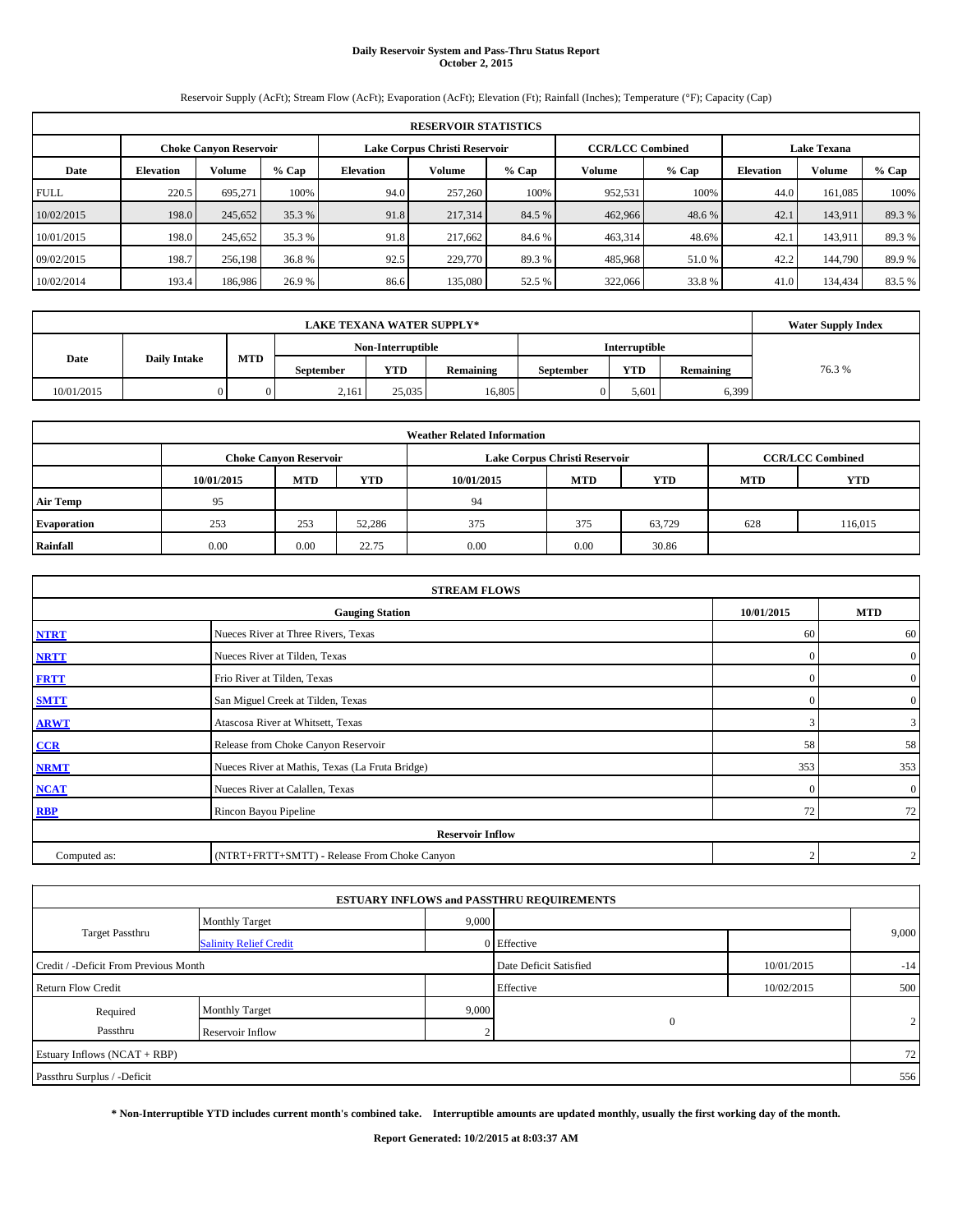# **Daily Reservoir System and Pass-Thru Status Report October 2, 2015**

Reservoir Supply (AcFt); Stream Flow (AcFt); Evaporation (AcFt); Elevation (Ft); Rainfall (Inches); Temperature (°F); Capacity (Cap)

| <b>RESERVOIR STATISTICS</b> |                                                                                                                 |         |        |           |         |        |         |        |      |         |         |  |  |
|-----------------------------|-----------------------------------------------------------------------------------------------------------------|---------|--------|-----------|---------|--------|---------|--------|------|---------|---------|--|--|
|                             | Lake Corpus Christi Reservoir<br><b>CCR/LCC Combined</b><br><b>Lake Texana</b><br><b>Choke Canvon Reservoir</b> |         |        |           |         |        |         |        |      |         |         |  |  |
| Date                        | <b>Volume</b><br>$%$ Cap<br><b>Elevation</b>                                                                    |         |        | Elevation | Volume  | % Cap  | Volume  | % Cap  |      | Volume  | $%$ Cap |  |  |
| <b>FULL</b>                 | 220.5                                                                                                           | 695.271 | 100%   | 94.0      | 257,260 | 100%   | 952,531 | 100%   | 44.0 | 161.085 | 100%    |  |  |
| 10/02/2015                  | 198.0                                                                                                           | 245,652 | 35.3 % | 91.8      | 217,314 | 84.5 % | 462,966 | 48.6 % | 42.1 | 143.911 | 89.3 %  |  |  |
| 10/01/2015                  | 198.0                                                                                                           | 245,652 | 35.3 % | 91.8      | 217.662 | 84.6 % | 463,314 | 48.6%  | 42.1 | 143.911 | 89.3 %  |  |  |
| 09/02/2015                  | 198.7                                                                                                           | 256,198 | 36.8 % | 92.5      | 229,770 | 89.3%  | 485,968 | 51.0%  | 42.2 | 144,790 | 89.9%   |  |  |
| 10/02/2014                  | 193.4                                                                                                           | 186,986 | 26.9 % | 86.6      | 135,080 | 52.5 % | 322,066 | 33.8%  | 41.0 | 134.434 | 83.5%   |  |  |

|            | <b>Water Supply Index</b> |     |                  |                   |           |                  |               |           |       |
|------------|---------------------------|-----|------------------|-------------------|-----------|------------------|---------------|-----------|-------|
|            |                           |     |                  | Non-Interruptible |           |                  | Interruptible |           |       |
| Date       | <b>Daily Intake</b>       | MTD | <b>September</b> | <b>YTD</b>        | Remaining | <b>September</b> | <b>YTD</b>    | Remaining | 76.3% |
| 10/01/2015 |                           |     | 2,161            | 25,035            | 16.805    |                  | 5,601         | 6,399     |       |

| <b>Weather Related Information</b> |            |                               |        |            |                               |                         |            |         |  |  |  |
|------------------------------------|------------|-------------------------------|--------|------------|-------------------------------|-------------------------|------------|---------|--|--|--|
|                                    |            | <b>Choke Canyon Reservoir</b> |        |            | Lake Corpus Christi Reservoir | <b>CCR/LCC Combined</b> |            |         |  |  |  |
|                                    | 10/01/2015 | <b>MTD</b>                    | YTD    | 10/01/2015 | <b>MTD</b>                    | <b>MTD</b>              | <b>YTD</b> |         |  |  |  |
| <b>Air Temp</b>                    | 95         |                               |        | 94         |                               |                         |            |         |  |  |  |
| Evaporation                        | 253        | 253                           | 52,286 | 375        | 375                           | 63,729                  | 628        | 116,015 |  |  |  |
| Rainfall                           | 0.00       | 0.00                          | 22.75  | 0.00       | 0.00                          | 30.86                   |            |         |  |  |  |

| <b>STREAM FLOWS</b>                                |                                                 |                |                |  |  |  |  |  |  |
|----------------------------------------------------|-------------------------------------------------|----------------|----------------|--|--|--|--|--|--|
| 10/01/2015<br><b>Gauging Station</b><br><b>MTD</b> |                                                 |                |                |  |  |  |  |  |  |
| <b>NTRT</b>                                        | Nueces River at Three Rivers, Texas             | 60             | 60             |  |  |  |  |  |  |
| <b>NRTT</b>                                        | Nueces River at Tilden, Texas                   | $\Omega$       | $\overline{0}$ |  |  |  |  |  |  |
| <b>FRTT</b>                                        | Frio River at Tilden, Texas                     | $\Omega$       | $\overline{0}$ |  |  |  |  |  |  |
| <b>SMTT</b>                                        | San Miguel Creek at Tilden, Texas               | $\Omega$       | $\overline{0}$ |  |  |  |  |  |  |
| <b>ARWT</b>                                        | Atascosa River at Whitsett, Texas               | 3              | $\mathbf{3}$   |  |  |  |  |  |  |
| $CCR$                                              | Release from Choke Canyon Reservoir             | 58             | 58             |  |  |  |  |  |  |
| <b>NRMT</b>                                        | Nueces River at Mathis, Texas (La Fruta Bridge) | 353            | 353            |  |  |  |  |  |  |
| <b>NCAT</b>                                        | Nueces River at Calallen, Texas                 | $\Omega$       | $\overline{0}$ |  |  |  |  |  |  |
| <b>RBP</b>                                         | Rincon Bayou Pipeline                           |                |                |  |  |  |  |  |  |
|                                                    | <b>Reservoir Inflow</b>                         |                |                |  |  |  |  |  |  |
| Computed as:                                       | $\gamma$                                        | $\overline{2}$ |                |  |  |  |  |  |  |

|                                       |                               |       | <b>ESTUARY INFLOWS and PASSTHRU REQUIREMENTS</b> |            |       |
|---------------------------------------|-------------------------------|-------|--------------------------------------------------|------------|-------|
|                                       | <b>Monthly Target</b>         | 9,000 |                                                  |            |       |
| <b>Target Passthru</b>                | <b>Salinity Relief Credit</b> |       | 0 Effective                                      |            | 9,000 |
| Credit / -Deficit From Previous Month |                               |       | Date Deficit Satisfied                           | 10/01/2015 | $-14$ |
| <b>Return Flow Credit</b>             |                               |       | Effective                                        | 10/02/2015 | 500   |
| Required                              | <b>Monthly Target</b>         | 9,000 |                                                  |            |       |
| Passthru                              | Reservoir Inflow              | n     | $\mathbf{0}$                                     |            | 2     |
| Estuary Inflows (NCAT + RBP)          |                               |       |                                                  |            | 72    |
| Passthru Surplus / -Deficit           |                               |       |                                                  |            | 556   |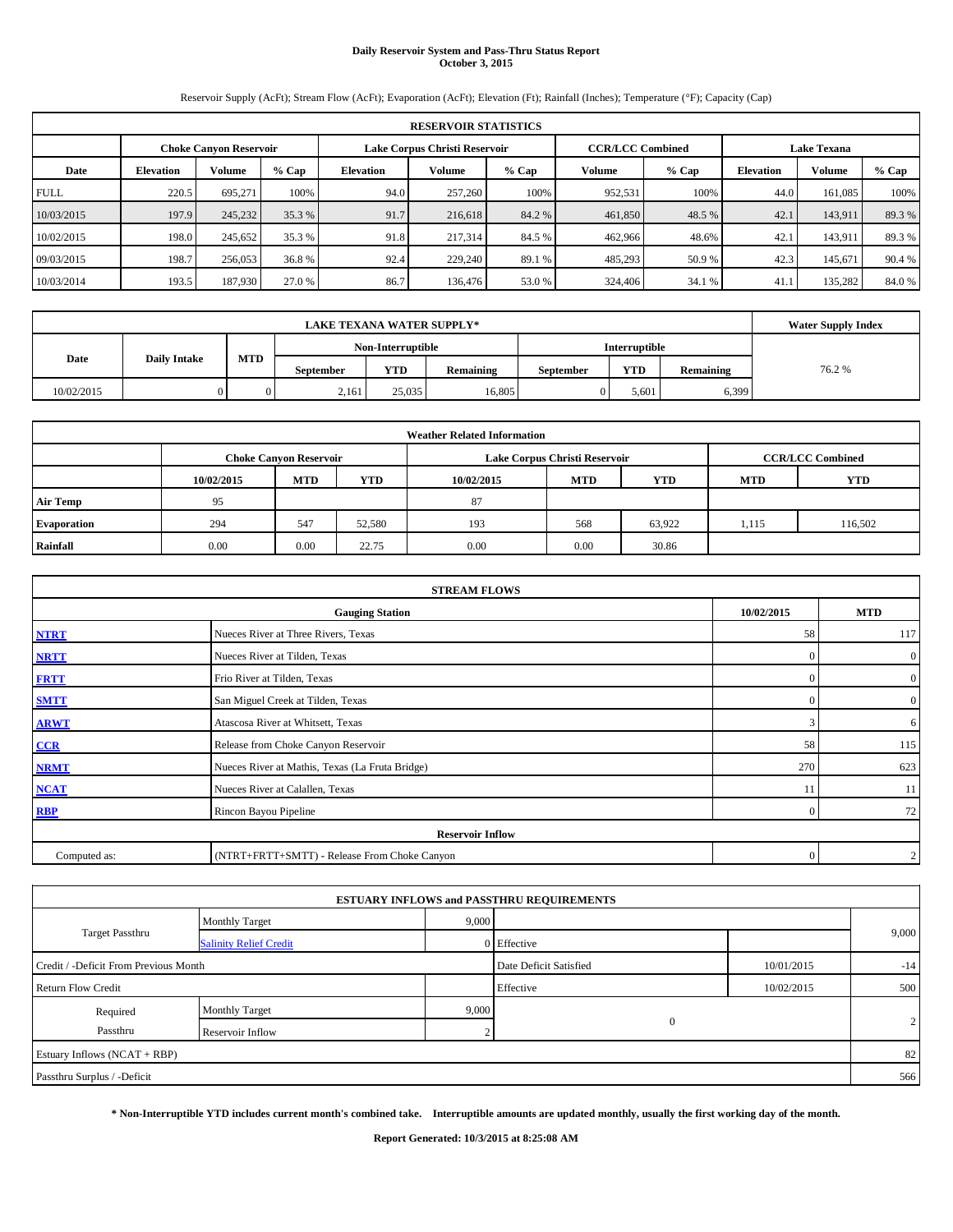# **Daily Reservoir System and Pass-Thru Status Report October 3, 2015**

Reservoir Supply (AcFt); Stream Flow (AcFt); Evaporation (AcFt); Elevation (Ft); Rainfall (Inches); Temperature (°F); Capacity (Cap)

| <b>RESERVOIR STATISTICS</b> |                                                                                                                 |         |         |                  |         |         |                   |        |                  |         |        |  |
|-----------------------------|-----------------------------------------------------------------------------------------------------------------|---------|---------|------------------|---------|---------|-------------------|--------|------------------|---------|--------|--|
|                             | <b>CCR/LCC Combined</b><br>Lake Corpus Christi Reservoir<br><b>Lake Texana</b><br><b>Choke Canyon Reservoir</b> |         |         |                  |         |         |                   |        |                  |         |        |  |
| Date                        | <b>Volume</b><br><b>Elevation</b>                                                                               |         | $%$ Cap | <b>Elevation</b> | Volume  | $%$ Cap | $%$ Cap<br>Volume |        | <b>Elevation</b> | Volume  | % Cap  |  |
| <b>FULL</b>                 | 220.5                                                                                                           | 695.271 | 100%    | 94.0             | 257,260 | 100%    | 952,531           | 100%   | 44.0             | 161.085 | 100%   |  |
| 10/03/2015                  | 197.9                                                                                                           | 245,232 | 35.3 %  | 91.7             | 216,618 | 84.2 %  | 461,850           | 48.5 % | 42.1             | 143.911 | 89.3%  |  |
| 10/02/2015                  | 198.0                                                                                                           | 245,652 | 35.3 %  | 91.8             | 217.314 | 84.5 %  | 462,966           | 48.6%  | 42.1             | 143.911 | 89.3 % |  |
| 09/03/2015                  | 198.7                                                                                                           | 256,053 | 36.8 %  | 92.4             | 229,240 | 89.1 %  | 485,293           | 50.9%  | 42.3             | 145.671 | 90.4 % |  |
| 10/03/2014                  | 193.5                                                                                                           | 187,930 | 27.0 %  | 86.7             | 136,476 | 53.0 %  | 324,406           | 34.1 % | 41.1             | 135,282 | 84.0 % |  |

|            | <b>Water Supply Index</b> |     |                  |                   |           |                  |               |           |       |
|------------|---------------------------|-----|------------------|-------------------|-----------|------------------|---------------|-----------|-------|
|            |                           |     |                  | Non-Interruptible |           |                  | Interruptible |           |       |
| Date       | <b>Daily Intake</b>       | MTD | <b>September</b> | <b>YTD</b>        | Remaining | <b>September</b> | <b>YTD</b>    | Remaining | 76.2% |
| 10/02/2015 |                           |     | 2,161            | 25,035            | 16.805    |                  | 5,601         | 6,399     |       |

| <b>Weather Related Information</b> |            |                               |            |            |                               |                         |            |         |  |  |
|------------------------------------|------------|-------------------------------|------------|------------|-------------------------------|-------------------------|------------|---------|--|--|
|                                    |            | <b>Choke Canyon Reservoir</b> |            |            | Lake Corpus Christi Reservoir | <b>CCR/LCC Combined</b> |            |         |  |  |
|                                    | 10/02/2015 | <b>MTD</b>                    | <b>YTD</b> | 10/02/2015 | <b>MTD</b>                    | <b>YTD</b>              | <b>MTD</b> | YTD     |  |  |
| <b>Air Temp</b>                    | 95         |                               |            | 87         |                               |                         |            |         |  |  |
| <b>Evaporation</b>                 | 294        | 547                           | 52,580     | 193        | 568                           | 63,922                  | 1,115      | 116,502 |  |  |
| Rainfall                           | 0.00       | 0.00                          | 22.75      | 0.00       | 0.00                          | 30.86                   |            |         |  |  |

| <b>STREAM FLOWS</b>                                |                                                 |          |                |  |  |  |  |  |  |
|----------------------------------------------------|-------------------------------------------------|----------|----------------|--|--|--|--|--|--|
| 10/02/2015<br><b>Gauging Station</b><br><b>MTD</b> |                                                 |          |                |  |  |  |  |  |  |
| <b>NTRT</b>                                        | Nueces River at Three Rivers, Texas             | 58       | 117            |  |  |  |  |  |  |
| <b>NRTT</b>                                        | Nueces River at Tilden, Texas                   | $\Omega$ | $\overline{0}$ |  |  |  |  |  |  |
| <b>FRTT</b>                                        | Frio River at Tilden, Texas                     | $\Omega$ | $\overline{0}$ |  |  |  |  |  |  |
| <b>SMTT</b>                                        | San Miguel Creek at Tilden, Texas               | $\Omega$ | $\overline{0}$ |  |  |  |  |  |  |
| <b>ARWT</b>                                        | Atascosa River at Whitsett, Texas               | 3        | 6              |  |  |  |  |  |  |
| $CCR$                                              | Release from Choke Canyon Reservoir             | 58       | 115            |  |  |  |  |  |  |
| <b>NRMT</b>                                        | Nueces River at Mathis, Texas (La Fruta Bridge) | 270      | 623            |  |  |  |  |  |  |
| <b>NCAT</b>                                        | Nueces River at Calallen, Texas                 | 11       | 11             |  |  |  |  |  |  |
| <b>RBP</b>                                         | Rincon Bayou Pipeline                           | $\Omega$ | 72             |  |  |  |  |  |  |
|                                                    | <b>Reservoir Inflow</b>                         |          |                |  |  |  |  |  |  |
| Computed as:                                       | (NTRT+FRTT+SMTT) - Release From Choke Canyon    | $\Omega$ | $\overline{2}$ |  |  |  |  |  |  |

|                                       |                               |       | <b>ESTUARY INFLOWS and PASSTHRU REQUIREMENTS</b> |            |       |  |
|---------------------------------------|-------------------------------|-------|--------------------------------------------------|------------|-------|--|
|                                       | <b>Monthly Target</b>         | 9,000 |                                                  |            |       |  |
| <b>Target Passthru</b>                | <b>Salinity Relief Credit</b> |       | 0 Effective                                      |            | 9,000 |  |
| Credit / -Deficit From Previous Month |                               |       | Date Deficit Satisfied                           | 10/01/2015 | $-14$ |  |
| <b>Return Flow Credit</b>             |                               |       | Effective                                        | 10/02/2015 | 500   |  |
| Required                              | <b>Monthly Target</b>         | 9,000 |                                                  |            |       |  |
| Passthru                              | Reservoir Inflow              | n     | $\mathbf{0}$                                     |            | 2     |  |
| Estuary Inflows (NCAT + RBP)          |                               |       |                                                  |            | 82    |  |
| Passthru Surplus / -Deficit           |                               |       |                                                  |            | 566   |  |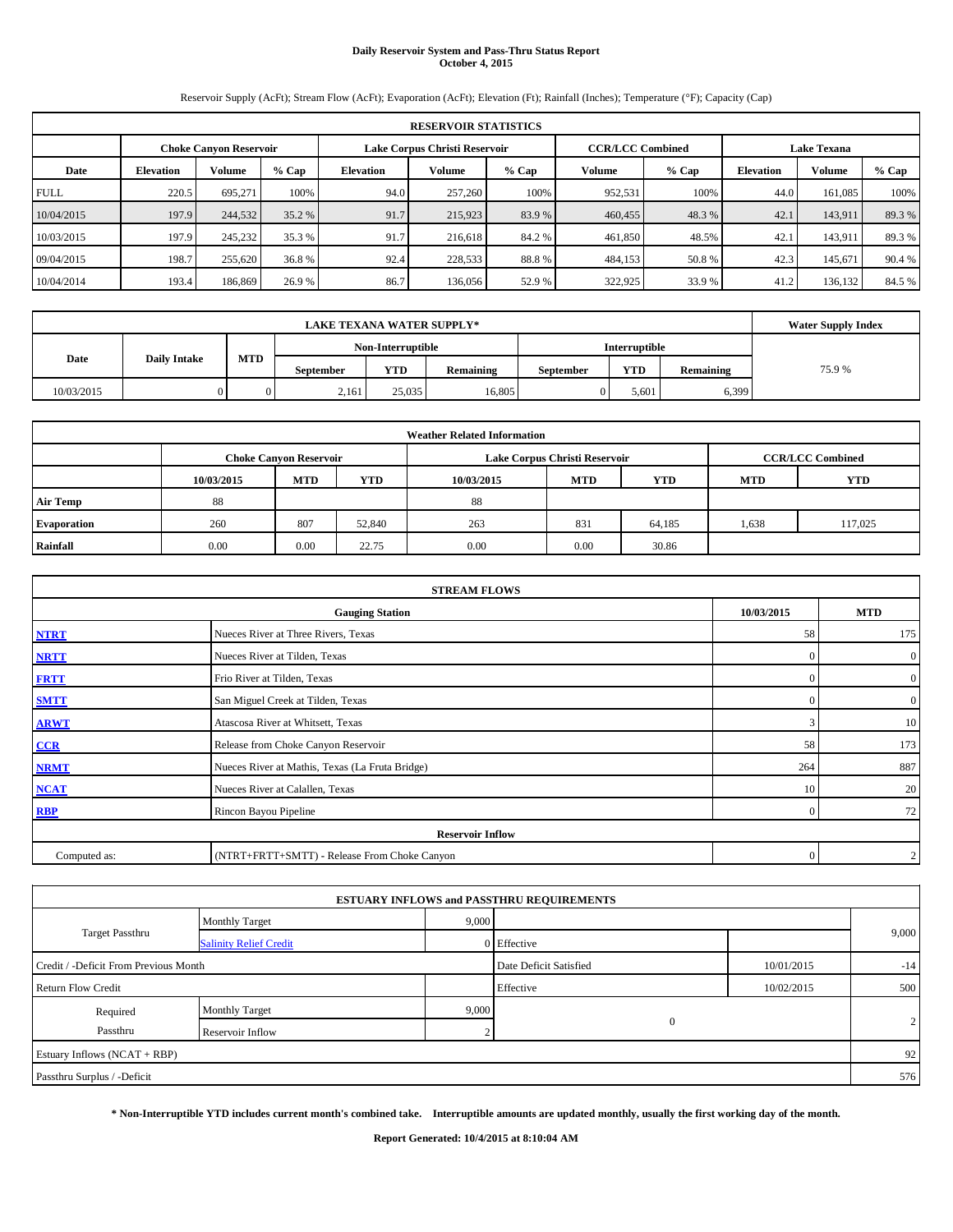# **Daily Reservoir System and Pass-Thru Status Report October 4, 2015**

Reservoir Supply (AcFt); Stream Flow (AcFt); Evaporation (AcFt); Elevation (Ft); Rainfall (Inches); Temperature (°F); Capacity (Cap)

| <b>RESERVOIR STATISTICS</b> |                  |                               |         |                               |         |        |                         |        |                    |         |         |
|-----------------------------|------------------|-------------------------------|---------|-------------------------------|---------|--------|-------------------------|--------|--------------------|---------|---------|
|                             |                  | <b>Choke Canvon Reservoir</b> |         | Lake Corpus Christi Reservoir |         |        | <b>CCR/LCC Combined</b> |        | <b>Lake Texana</b> |         |         |
| Date                        | <b>Elevation</b> | <b>Volume</b>                 | $%$ Cap | Elevation                     | Volume  | % Cap  | Volume                  | % Cap  | <b>Elevation</b>   | Volume  | $%$ Cap |
| <b>FULL</b>                 | 220.5            | 695.271                       | 100%    | 94.0                          | 257,260 | 100%   | 952,531                 | 100%   | 44.0               | 161.085 | 100%    |
| 10/04/2015                  | 197.9            | 244,532                       | 35.2 %  | 91.7                          | 215,923 | 83.9%  | 460,455                 | 48.3 % | 42.1               | 143.911 | 89.3 %  |
| 10/03/2015                  | 197.9            | 245,232                       | 35.3 %  | 91.7                          | 216,618 | 84.2 % | 461,850                 | 48.5%  | 42.1               | 143.911 | 89.3 %  |
| 09/04/2015                  | 198.7            | 255,620                       | 36.8 %  | 92.4                          | 228,533 | 88.8%  | 484,153                 | 50.8%  | 42.3               | 145.671 | 90.4 %  |
| 10/04/2014                  | 193.4            | 186,869                       | 26.9 %  | 86.7                          | 136,056 | 52.9%  | 322,925                 | 33.9%  | 41.2               | 136,132 | 84.5 %  |

|            | <b>Water Supply Index</b> |            |                  |                   |           |                  |                      |           |       |
|------------|---------------------------|------------|------------------|-------------------|-----------|------------------|----------------------|-----------|-------|
|            |                           |            |                  | Non-Interruptible |           |                  | <b>Interruptible</b> |           |       |
| Date       | <b>Daily Intake</b>       | <b>MTD</b> | <b>September</b> | YTD               | Remaining | <b>September</b> | <b>YTD</b>           | Remaining | 75.9% |
| 10/03/2015 |                           |            | 2,161            | 25,035            | 16,805    |                  | 5,601                | 6,399     |       |

| <b>Weather Related Information</b> |            |                               |        |            |                               |                         |            |            |  |  |
|------------------------------------|------------|-------------------------------|--------|------------|-------------------------------|-------------------------|------------|------------|--|--|
|                                    |            | <b>Choke Canyon Reservoir</b> |        |            | Lake Corpus Christi Reservoir | <b>CCR/LCC Combined</b> |            |            |  |  |
|                                    | 10/03/2015 | <b>MTD</b>                    | YTD    | 10/03/2015 | <b>MTD</b>                    | <b>YTD</b>              | <b>MTD</b> | <b>YTD</b> |  |  |
| <b>Air Temp</b>                    | 88         |                               |        | 88         |                               |                         |            |            |  |  |
| <b>Evaporation</b>                 | 260        | 807                           | 52,840 | 263        | 831                           | 64,185                  | 1,638      | 117,025    |  |  |
| Rainfall                           | 0.00       | 0.00                          | 22.75  | 0.00       | 0.00                          | 30.86                   |            |            |  |  |

| <b>STREAM FLOWS</b> |                                                 |            |                |  |  |  |  |  |  |  |
|---------------------|-------------------------------------------------|------------|----------------|--|--|--|--|--|--|--|
|                     | <b>Gauging Station</b>                          | 10/03/2015 | <b>MTD</b>     |  |  |  |  |  |  |  |
| <b>NTRT</b>         | Nueces River at Three Rivers, Texas             | 58         | 175            |  |  |  |  |  |  |  |
| <b>NRTT</b>         | Nueces River at Tilden, Texas                   | $\Omega$   | $\overline{0}$ |  |  |  |  |  |  |  |
| <b>FRTT</b>         | Frio River at Tilden, Texas                     | $\Omega$   | $\overline{0}$ |  |  |  |  |  |  |  |
| <b>SMTT</b>         | San Miguel Creek at Tilden, Texas               | £          | $\overline{0}$ |  |  |  |  |  |  |  |
| <b>ARWT</b>         | Atascosa River at Whitsett, Texas               |            | 10             |  |  |  |  |  |  |  |
| CCR                 | Release from Choke Canyon Reservoir             | 58         | 173            |  |  |  |  |  |  |  |
| <b>NRMT</b>         | Nueces River at Mathis, Texas (La Fruta Bridge) | 264        | 887            |  |  |  |  |  |  |  |
| <b>NCAT</b>         | Nueces River at Calallen, Texas                 | 10         | 20             |  |  |  |  |  |  |  |
| <b>RBP</b>          | Rincon Bayou Pipeline                           | $\Omega$   | 72             |  |  |  |  |  |  |  |
|                     | <b>Reservoir Inflow</b>                         |            |                |  |  |  |  |  |  |  |
| Computed as:        | (NTRT+FRTT+SMTT) - Release From Choke Canyon    | $\Omega$   | $\overline{2}$ |  |  |  |  |  |  |  |

|                                       |                               |       | <b>ESTUARY INFLOWS and PASSTHRU REQUIREMENTS</b> |            |       |  |
|---------------------------------------|-------------------------------|-------|--------------------------------------------------|------------|-------|--|
|                                       | <b>Monthly Target</b>         | 9,000 |                                                  |            |       |  |
| <b>Target Passthru</b>                | <b>Salinity Relief Credit</b> |       | 0 Effective                                      |            | 9,000 |  |
| Credit / -Deficit From Previous Month |                               |       | Date Deficit Satisfied                           | 10/01/2015 | $-14$ |  |
| <b>Return Flow Credit</b>             |                               |       | Effective                                        | 10/02/2015 | 500   |  |
| Required                              | <b>Monthly Target</b>         | 9,000 |                                                  |            |       |  |
| Passthru                              | Reservoir Inflow              | n     | $\mathbf{0}$                                     |            | 2     |  |
| Estuary Inflows (NCAT + RBP)          |                               |       |                                                  |            | 92    |  |
| Passthru Surplus / -Deficit           |                               |       |                                                  |            | 576   |  |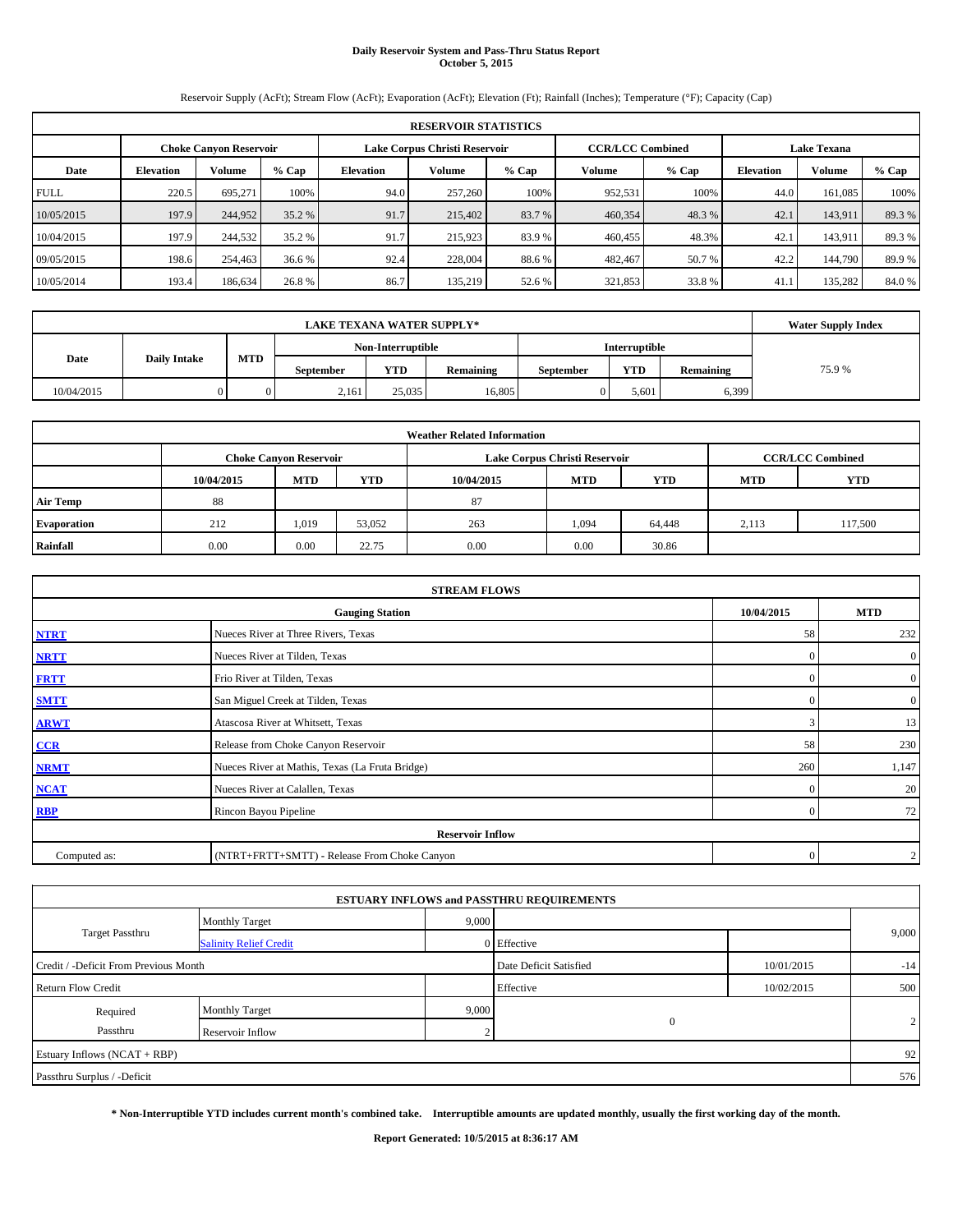# **Daily Reservoir System and Pass-Thru Status Report October 5, 2015**

Reservoir Supply (AcFt); Stream Flow (AcFt); Evaporation (AcFt); Elevation (Ft); Rainfall (Inches); Temperature (°F); Capacity (Cap)

| <b>RESERVOIR STATISTICS</b> |                  |                               |         |           |                               |        |                         |        |                    |         |         |
|-----------------------------|------------------|-------------------------------|---------|-----------|-------------------------------|--------|-------------------------|--------|--------------------|---------|---------|
|                             |                  | <b>Choke Canvon Reservoir</b> |         |           | Lake Corpus Christi Reservoir |        | <b>CCR/LCC Combined</b> |        | <b>Lake Texana</b> |         |         |
| Date                        | <b>Elevation</b> | <b>Volume</b>                 | $%$ Cap | Elevation | Volume                        | % Cap  | Volume                  | % Cap  | <b>Elevation</b>   | Volume  | $%$ Cap |
| <b>FULL</b>                 | 220.5            | 695.271                       | 100%    | 94.0      | 257,260                       | 100%   | 952,531                 | 100%   | 44.0               | 161.085 | 100%    |
| 10/05/2015                  | 197.9            | 244,952                       | 35.2 %  | 91.7      | 215,402                       | 83.7 % | 460,354                 | 48.3 % | 42.1               | 143,911 | 89.3 %  |
| 10/04/2015                  | 197.9            | 244,532                       | 35.2 %  | 91.7      | 215,923                       | 83.9%  | 460,455                 | 48.3%  | 42.1               | 143.911 | 89.3 %  |
| 09/05/2015                  | 198.6            | 254,463                       | 36.6 %  | 92.4      | 228,004                       | 88.6%  | 482,467                 | 50.7 % | 42.2               | 144,790 | 89.9%   |
| 10/05/2014                  | 193.4            | 186,634                       | 26.8 %  | 86.7      | 135,219                       | 52.6 % | 321,853                 | 33.8%  | 41.1               | 135,282 | 84.0 %  |

|            | <b>Water Supply Index</b> |     |                  |                   |           |                  |               |           |       |
|------------|---------------------------|-----|------------------|-------------------|-----------|------------------|---------------|-----------|-------|
|            |                           |     |                  | Non-Interruptible |           |                  | Interruptible |           |       |
| Date       | <b>Daily Intake</b>       | MTD | <b>September</b> | <b>YTD</b>        | Remaining | <b>September</b> | <b>YTD</b>    | Remaining | 75.9% |
| 10/04/2015 |                           |     | 2,161            | 25,035            | 16,805    |                  | 5.601         | 6,399     |       |

| <b>Weather Related Information</b> |            |                               |        |            |                               |                         |            |         |  |  |
|------------------------------------|------------|-------------------------------|--------|------------|-------------------------------|-------------------------|------------|---------|--|--|
|                                    |            | <b>Choke Canyon Reservoir</b> |        |            | Lake Corpus Christi Reservoir | <b>CCR/LCC Combined</b> |            |         |  |  |
|                                    | 10/04/2015 | <b>MTD</b>                    | YTD    | 10/04/2015 | <b>MTD</b>                    | <b>YTD</b>              | <b>MTD</b> | YTD     |  |  |
| <b>Air Temp</b>                    | 88         |                               |        | 87         |                               |                         |            |         |  |  |
| <b>Evaporation</b>                 | 212        | 1,019                         | 53.052 | 263        | 1,094                         | 64,448                  | 2,113      | 117,500 |  |  |
| Rainfall                           | 0.00       | 0.00                          | 22.75  | 0.00       | 0.00                          | 30.86                   |            |         |  |  |

| <b>STREAM FLOWS</b> |                                                 |              |                  |  |  |  |  |  |  |  |
|---------------------|-------------------------------------------------|--------------|------------------|--|--|--|--|--|--|--|
|                     | <b>Gauging Station</b>                          | 10/04/2015   | <b>MTD</b>       |  |  |  |  |  |  |  |
| <b>NTRT</b>         | Nueces River at Three Rivers, Texas             | 58           | 232              |  |  |  |  |  |  |  |
| <b>NRTT</b>         | Nueces River at Tilden, Texas                   | $\mathbf{0}$ | $\boldsymbol{0}$ |  |  |  |  |  |  |  |
| <b>FRTT</b>         | Frio River at Tilden, Texas                     | $\mathbf{0}$ | $\boldsymbol{0}$ |  |  |  |  |  |  |  |
| <b>SMTT</b>         | San Miguel Creek at Tilden, Texas               | $\mathbf{0}$ | $\boldsymbol{0}$ |  |  |  |  |  |  |  |
| <b>ARWT</b>         | Atascosa River at Whitsett, Texas               | 3            | 13               |  |  |  |  |  |  |  |
| CCR                 | Release from Choke Canyon Reservoir             | 58           | 230              |  |  |  |  |  |  |  |
| <b>NRMT</b>         | Nueces River at Mathis, Texas (La Fruta Bridge) | 260          | 1,147            |  |  |  |  |  |  |  |
| <b>NCAT</b>         | Nueces River at Calallen, Texas                 | $\mathbf{0}$ | 20               |  |  |  |  |  |  |  |
| <b>RBP</b>          | Rincon Bayou Pipeline                           | $\Omega$     | 72               |  |  |  |  |  |  |  |
|                     | <b>Reservoir Inflow</b>                         |              |                  |  |  |  |  |  |  |  |
| Computed as:        | (NTRT+FRTT+SMTT) - Release From Choke Canyon    | $\Omega$     | $\mathbf{2}$     |  |  |  |  |  |  |  |

|                                       |                               |       | <b>ESTUARY INFLOWS and PASSTHRU REQUIREMENTS</b> |            |       |
|---------------------------------------|-------------------------------|-------|--------------------------------------------------|------------|-------|
|                                       | <b>Monthly Target</b>         | 9,000 |                                                  |            |       |
| <b>Target Passthru</b>                | <b>Salinity Relief Credit</b> |       | 0 Effective                                      |            | 9,000 |
| Credit / -Deficit From Previous Month |                               |       | Date Deficit Satisfied                           | 10/01/2015 | $-14$ |
| <b>Return Flow Credit</b>             |                               |       | Effective                                        | 10/02/2015 | 500   |
| Required                              | Monthly Target                | 9,000 |                                                  |            |       |
| Passthru                              | Reservoir Inflow              | ◠     | $\mathbf{0}$                                     |            | 2     |
| Estuary Inflows (NCAT + RBP)          |                               |       |                                                  |            | 92    |
| Passthru Surplus / -Deficit           |                               |       |                                                  |            | 576   |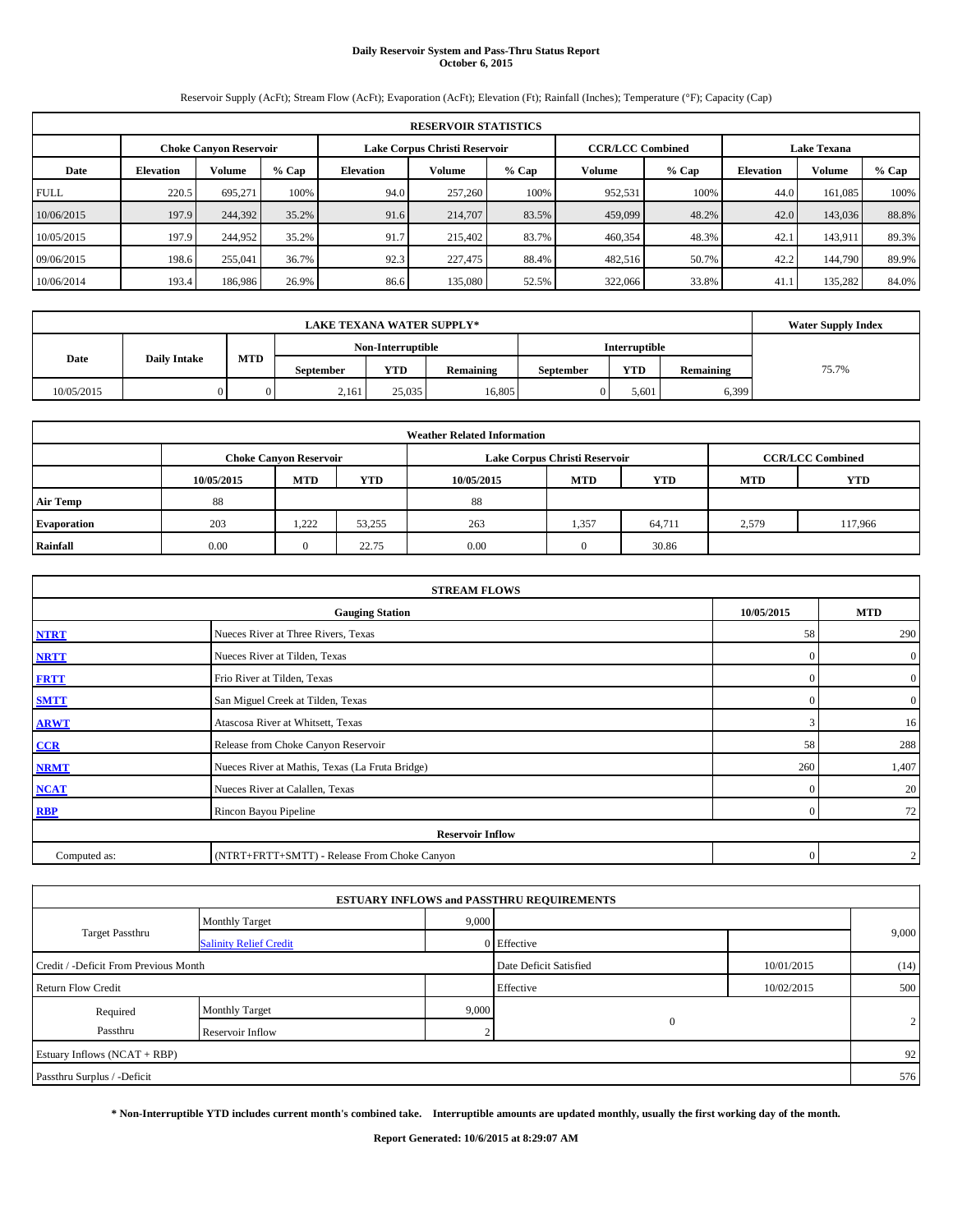# **Daily Reservoir System and Pass-Thru Status Report October 6, 2015**

Reservoir Supply (AcFt); Stream Flow (AcFt); Evaporation (AcFt); Elevation (Ft); Rainfall (Inches); Temperature (°F); Capacity (Cap)

|             | <b>RESERVOIR STATISTICS</b> |                               |         |           |                               |         |                                               |         |                  |         |       |  |  |
|-------------|-----------------------------|-------------------------------|---------|-----------|-------------------------------|---------|-----------------------------------------------|---------|------------------|---------|-------|--|--|
|             |                             | <b>Choke Canyon Reservoir</b> |         |           | Lake Corpus Christi Reservoir |         | <b>Lake Texana</b><br><b>CCR/LCC Combined</b> |         |                  |         |       |  |  |
| Date        | <b>Elevation</b>            | <b>Volume</b>                 | $%$ Cap | Elevation | Volume                        | $%$ Cap | Volume                                        | $%$ Cap | <b>Elevation</b> | Volume  | % Cap |  |  |
| <b>FULL</b> | 220.5                       | 695,271                       | 100%    | 94.0      | 257,260                       | 100%    | 952,531                                       | 100%    | 44.0             | 161,085 | 100%  |  |  |
| 10/06/2015  | 197.9                       | 244,392                       | 35.2%   | 91.6      | 214,707                       | 83.5%   | 459,099                                       | 48.2%   | 42.0             | 143,036 | 88.8% |  |  |
| 10/05/2015  | 197.9                       | 244,952                       | 35.2%   | 91.7      | 215,402                       | 83.7%   | 460,354                                       | 48.3%   | 42.1             | 143,911 | 89.3% |  |  |
| 09/06/2015  | 198.6                       | 255,041                       | 36.7%   | 92.3      | 227,475                       | 88.4%   | 482,516                                       | 50.7%   | 42.2             | 144,790 | 89.9% |  |  |
| 10/06/2014  | 193.4                       | 186,986                       | 26.9%   | 86.6      | 135,080                       | 52.5%   | 322,066                                       | 33.8%   | 41.1             | 135,282 | 84.0% |  |  |

|                             | <b>Water Supply Index</b> |     |                  |                   |           |                  |               |           |       |
|-----------------------------|---------------------------|-----|------------------|-------------------|-----------|------------------|---------------|-----------|-------|
|                             |                           |     |                  | Non-Interruptible |           |                  | Interruptible |           |       |
| <b>Daily Intake</b><br>Date |                           | MTD | <b>September</b> | <b>YTD</b>        | Remaining | <b>September</b> | <b>YTD</b>    | Remaining | 75.7% |
| 10/05/2015                  |                           |     | 2,161            | 25,035            | 16.805    |                  | 5,601         | 6,399     |       |

| <b>Weather Related Information</b> |            |                               |        |                          |                               |                         |       |         |  |  |  |
|------------------------------------|------------|-------------------------------|--------|--------------------------|-------------------------------|-------------------------|-------|---------|--|--|--|
|                                    |            | <b>Choke Canyon Reservoir</b> |        |                          | Lake Corpus Christi Reservoir | <b>CCR/LCC Combined</b> |       |         |  |  |  |
|                                    | 10/05/2015 | <b>MTD</b>                    | YTD    | <b>YTD</b><br><b>MTD</b> |                               |                         |       |         |  |  |  |
| <b>Air Temp</b>                    | 88         |                               |        | 88                       |                               |                         |       |         |  |  |  |
| <b>Evaporation</b>                 | 203        | 1.222                         | 53,255 | 263                      | 1,357                         | 64,711                  | 2,579 | 117,966 |  |  |  |
| Rainfall                           | 0.00       |                               | 22.75  | 0.00                     |                               | 30.86                   |       |         |  |  |  |

|              | <b>STREAM FLOWS</b>                             |            |                |  |  |  |  |  |
|--------------|-------------------------------------------------|------------|----------------|--|--|--|--|--|
|              | <b>Gauging Station</b>                          | 10/05/2015 | <b>MTD</b>     |  |  |  |  |  |
| <b>NTRT</b>  | Nueces River at Three Rivers, Texas             | 58         | 290            |  |  |  |  |  |
| <b>NRTT</b>  | Nueces River at Tilden, Texas                   | $\Omega$   | $\overline{0}$ |  |  |  |  |  |
| <b>FRTT</b>  | Frio River at Tilden, Texas                     | $\Omega$   | $\overline{0}$ |  |  |  |  |  |
| <b>SMTT</b>  | San Miguel Creek at Tilden, Texas               | £          | $\overline{0}$ |  |  |  |  |  |
| <b>ARWT</b>  | Atascosa River at Whitsett, Texas               |            | 16             |  |  |  |  |  |
| CCR          | Release from Choke Canyon Reservoir             | 58         | 288            |  |  |  |  |  |
| <b>NRMT</b>  | Nueces River at Mathis, Texas (La Fruta Bridge) | 260        | 1,407          |  |  |  |  |  |
| <b>NCAT</b>  | Nueces River at Calallen, Texas                 | $\Omega$   | 20             |  |  |  |  |  |
| <b>RBP</b>   | Rincon Bayou Pipeline                           | $\Omega$   | 72             |  |  |  |  |  |
|              | <b>Reservoir Inflow</b>                         |            |                |  |  |  |  |  |
| Computed as: | (NTRT+FRTT+SMTT) - Release From Choke Canyon    |            |                |  |  |  |  |  |

|                                       |                               |       | <b>ESTUARY INFLOWS and PASSTHRU REQUIREMENTS</b> |            |       |
|---------------------------------------|-------------------------------|-------|--------------------------------------------------|------------|-------|
|                                       | <b>Monthly Target</b>         | 9,000 |                                                  |            |       |
| <b>Target Passthru</b>                | <b>Salinity Relief Credit</b> |       | 0 Effective                                      |            | 9,000 |
| Credit / -Deficit From Previous Month |                               |       | Date Deficit Satisfied                           | 10/01/2015 | (14)  |
| <b>Return Flow Credit</b>             |                               |       | Effective                                        | 10/02/2015 | 500   |
| Required                              | <b>Monthly Target</b>         | 9,000 |                                                  |            |       |
| Passthru                              | Reservoir Inflow              | n     | $\mathbf{0}$                                     |            | 2     |
| Estuary Inflows (NCAT + RBP)          |                               |       |                                                  |            | 92    |
| Passthru Surplus / -Deficit           |                               |       |                                                  |            | 576   |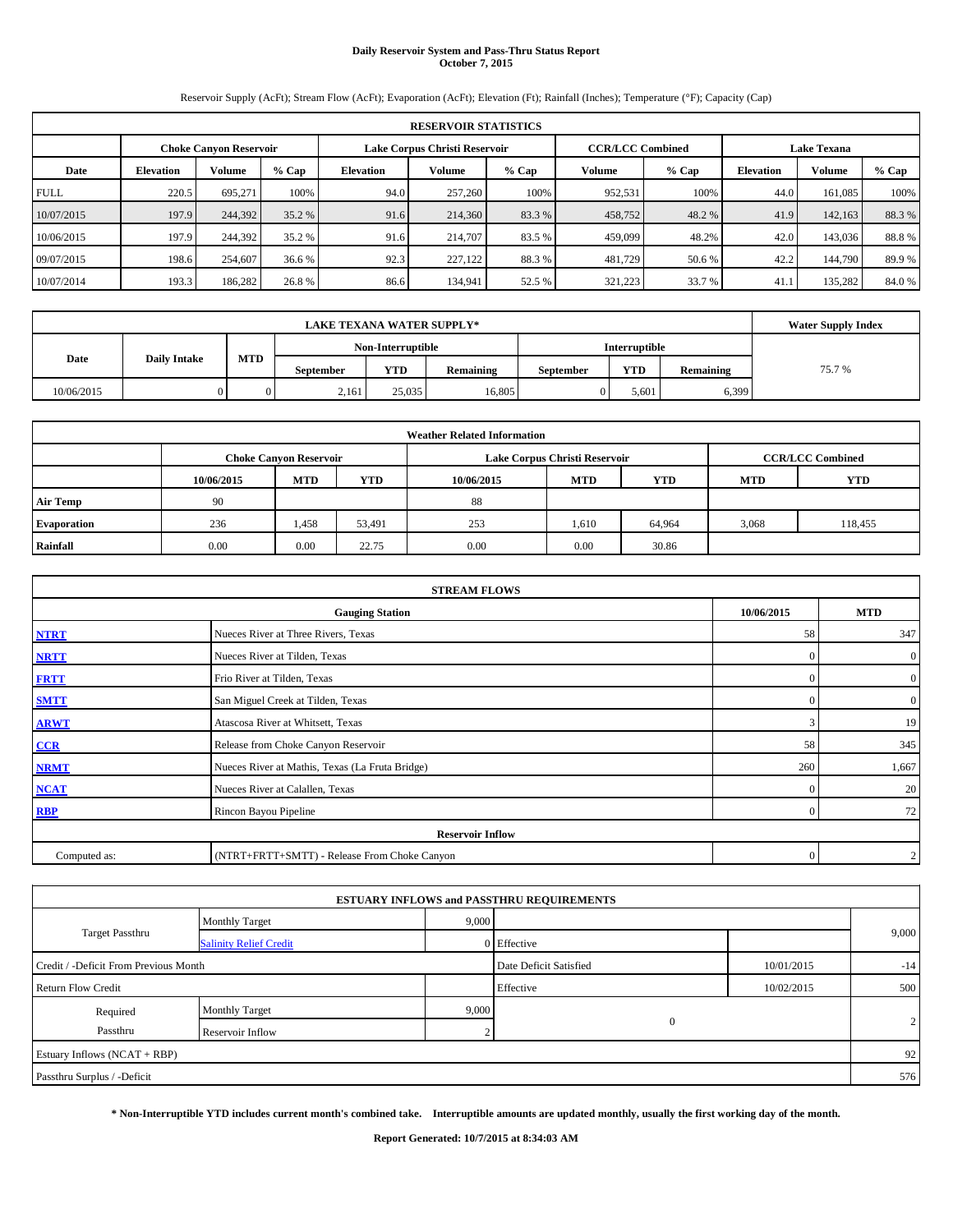# **Daily Reservoir System and Pass-Thru Status Report October 7, 2015**

Reservoir Supply (AcFt); Stream Flow (AcFt); Evaporation (AcFt); Elevation (Ft); Rainfall (Inches); Temperature (°F); Capacity (Cap)

|             | <b>RESERVOIR STATISTICS</b> |                               |         |           |                               |        |         |                         |                    |         |         |  |  |
|-------------|-----------------------------|-------------------------------|---------|-----------|-------------------------------|--------|---------|-------------------------|--------------------|---------|---------|--|--|
|             |                             | <b>Choke Canvon Reservoir</b> |         |           | Lake Corpus Christi Reservoir |        |         | <b>CCR/LCC Combined</b> | <b>Lake Texana</b> |         |         |  |  |
| Date        | <b>Elevation</b>            | <b>Volume</b>                 | $%$ Cap | Elevation | Volume                        | % Cap  | Volume  | % Cap                   | <b>Elevation</b>   | Volume  | $%$ Cap |  |  |
| <b>FULL</b> | 220.5                       | 695.271                       | 100%    | 94.0      | 257,260                       | 100%   | 952,531 | 100%                    | 44.0               | 161.085 | 100%    |  |  |
| 10/07/2015  | 197.9                       | 244,392                       | 35.2 %  | 91.6      | 214,360                       | 83.3 % | 458,752 | 48.2 %                  | 41.9               | 142,163 | 88.3%   |  |  |
| 10/06/2015  | 197.9                       | 244,392                       | 35.2 %  | 91.6      | 214,707                       | 83.5 % | 459,099 | 48.2%                   | 42.0               | 143,036 | 88.8%   |  |  |
| 09/07/2015  | 198.6                       | 254,607                       | 36.6 %  | 92.3      | 227,122                       | 88.3%  | 481,729 | 50.6 %                  | 42.2               | 144,790 | 89.9%   |  |  |
| 10/07/2014  | 193.3                       | 186,282                       | 26.8%   | 86.6      | 134,941                       | 52.5 % | 321,223 | 33.7 %                  | 41.1               | 135,282 | 84.0 %  |  |  |

|                             | <b>Water Supply Index</b> |     |                  |                   |           |                  |               |           |       |
|-----------------------------|---------------------------|-----|------------------|-------------------|-----------|------------------|---------------|-----------|-------|
|                             |                           |     |                  | Non-Interruptible |           |                  | Interruptible |           |       |
| <b>Daily Intake</b><br>Date |                           | MTD | <b>September</b> | <b>YTD</b>        | Remaining | <b>September</b> | <b>YTD</b>    | Remaining | 75.7% |
| 10/06/2015                  |                           |     | 2,161            | 25,035            | 16.805    |                  | 5,601         | 6,399     |       |

|                    |            |                               |        | <b>Weather Related Information</b> |                               |                         |            |         |
|--------------------|------------|-------------------------------|--------|------------------------------------|-------------------------------|-------------------------|------------|---------|
|                    |            | <b>Choke Canyon Reservoir</b> |        |                                    | Lake Corpus Christi Reservoir | <b>CCR/LCC Combined</b> |            |         |
|                    | 10/06/2015 | <b>MTD</b>                    | YTD    | 10/06/2015                         | <b>MTD</b>                    | <b>YTD</b>              | <b>MTD</b> | YTD     |
| <b>Air Temp</b>    | 90         |                               |        | 88                                 |                               |                         |            |         |
| <b>Evaporation</b> | 236        | 1,458                         | 53,491 | 253                                | 1,610                         | 64,964                  | 3,068      | 118,455 |
| Rainfall           | 0.00       | 0.00                          | 22.75  | 0.00                               | 0.00                          | 30.86                   |            |         |

|              | <b>STREAM FLOWS</b>                             |                  |                  |  |  |  |  |  |  |  |
|--------------|-------------------------------------------------|------------------|------------------|--|--|--|--|--|--|--|
|              | <b>Gauging Station</b>                          |                  |                  |  |  |  |  |  |  |  |
| <b>NTRT</b>  | Nueces River at Three Rivers, Texas             |                  |                  |  |  |  |  |  |  |  |
| <b>NRTT</b>  | $\mathbf{0}$                                    | $\boldsymbol{0}$ |                  |  |  |  |  |  |  |  |
| <b>FRTT</b>  | Frio River at Tilden, Texas                     | $\mathbf{0}$     | $\boldsymbol{0}$ |  |  |  |  |  |  |  |
| <b>SMTT</b>  | San Miguel Creek at Tilden, Texas               | $\mathbf{0}$     | $\boldsymbol{0}$ |  |  |  |  |  |  |  |
| <b>ARWT</b>  | 3                                               | 19               |                  |  |  |  |  |  |  |  |
| CCR          | Release from Choke Canyon Reservoir             | 58               | 345              |  |  |  |  |  |  |  |
| <b>NRMT</b>  | Nueces River at Mathis, Texas (La Fruta Bridge) | 260              | 1,667            |  |  |  |  |  |  |  |
| <b>NCAT</b>  | Nueces River at Calallen, Texas                 | $\mathbf{0}$     | 20               |  |  |  |  |  |  |  |
| <b>RBP</b>   | Rincon Bayou Pipeline                           | $\Omega$         | 72               |  |  |  |  |  |  |  |
|              | <b>Reservoir Inflow</b>                         |                  |                  |  |  |  |  |  |  |  |
| Computed as: | (NTRT+FRTT+SMTT) - Release From Choke Canyon    |                  |                  |  |  |  |  |  |  |  |

|                                       |                               |       | <b>ESTUARY INFLOWS and PASSTHRU REQUIREMENTS</b> |            |       |
|---------------------------------------|-------------------------------|-------|--------------------------------------------------|------------|-------|
|                                       | <b>Monthly Target</b>         | 9,000 |                                                  |            |       |
| <b>Target Passthru</b>                | <b>Salinity Relief Credit</b> |       | 0 Effective                                      |            | 9,000 |
| Credit / -Deficit From Previous Month |                               |       | Date Deficit Satisfied                           | 10/01/2015 | $-14$ |
| <b>Return Flow Credit</b>             |                               |       | Effective                                        | 10/02/2015 | 500   |
| Required                              | <b>Monthly Target</b>         | 9,000 |                                                  |            |       |
| Passthru                              | Reservoir Inflow              | n     | $\mathbf{0}$                                     |            | 2     |
| Estuary Inflows (NCAT + RBP)          |                               |       |                                                  |            | 92    |
| Passthru Surplus / -Deficit           |                               |       |                                                  |            | 576   |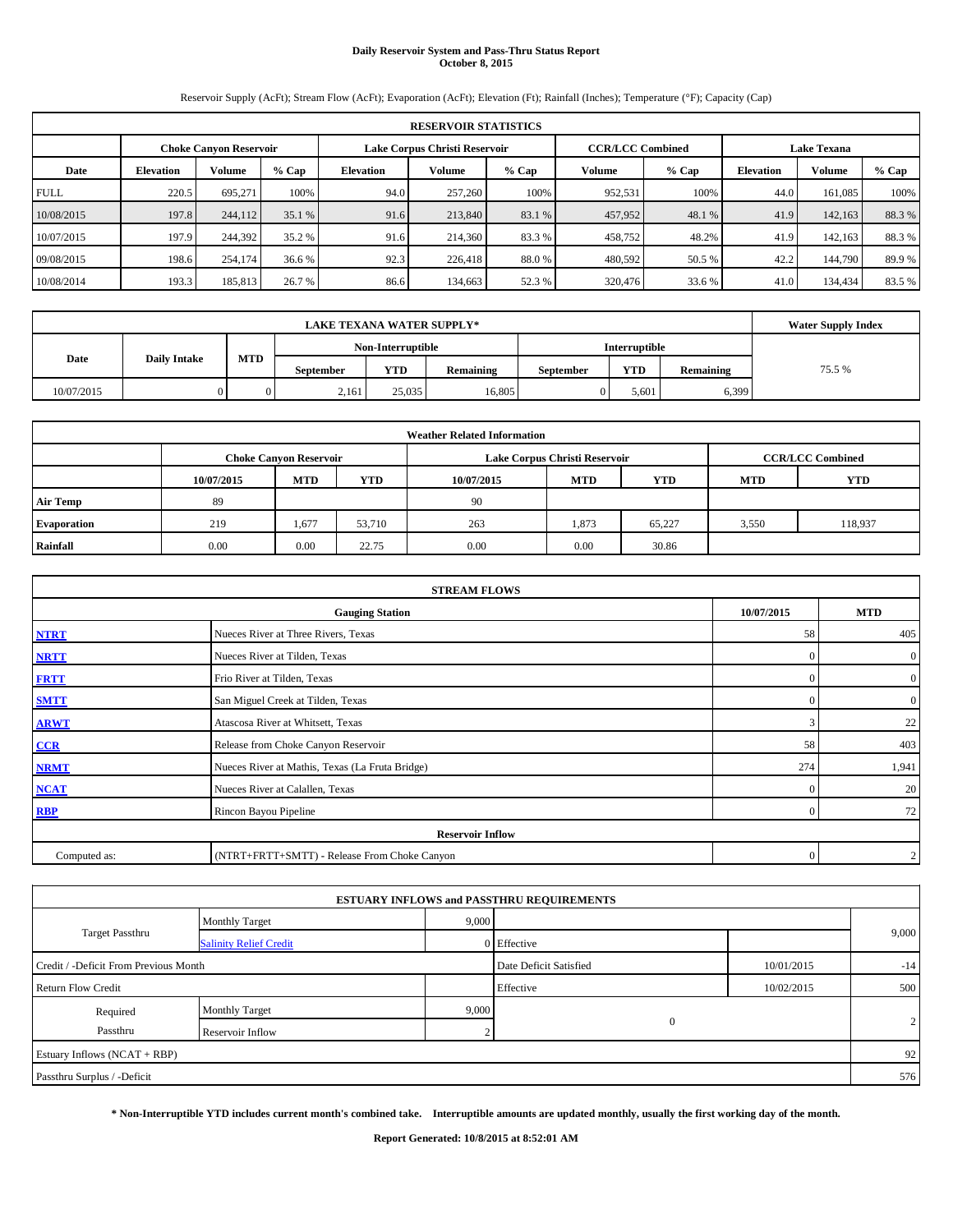# **Daily Reservoir System and Pass-Thru Status Report October 8, 2015**

Reservoir Supply (AcFt); Stream Flow (AcFt); Evaporation (AcFt); Elevation (Ft); Rainfall (Inches); Temperature (°F); Capacity (Cap)

|             | <b>RESERVOIR STATISTICS</b> |                               |         |                               |         |        |                         |        |                    |         |         |  |  |
|-------------|-----------------------------|-------------------------------|---------|-------------------------------|---------|--------|-------------------------|--------|--------------------|---------|---------|--|--|
|             |                             | <b>Choke Canvon Reservoir</b> |         | Lake Corpus Christi Reservoir |         |        | <b>CCR/LCC Combined</b> |        | <b>Lake Texana</b> |         |         |  |  |
| Date        | <b>Elevation</b>            | <b>Volume</b>                 | $%$ Cap | Elevation                     | Volume  | % Cap  | Volume                  | % Cap  | <b>Elevation</b>   | Volume  | $%$ Cap |  |  |
| <b>FULL</b> | 220.5                       | 695.271                       | 100%    | 94.0                          | 257,260 | 100%   | 952,531                 | 100%   | 44.0               | 161.085 | 100%    |  |  |
| 10/08/2015  | 197.8                       | 244,112                       | 35.1%   | 91.6                          | 213,840 | 83.1 % | 457,952                 | 48.1 % | 41.9               | 142,163 | 88.3%   |  |  |
| 10/07/2015  | 197.9                       | 244,392                       | 35.2 %  | 91.6                          | 214,360 | 83.3 % | 458,752                 | 48.2%  | 41.9               | 142,163 | 88.3%   |  |  |
| 09/08/2015  | 198.6                       | 254,174                       | 36.6 %  | 92.3                          | 226,418 | 88.0%  | 480,592                 | 50.5 % | 42.2               | 144,790 | 89.9%   |  |  |
| 10/08/2014  | 193.3                       | 185,813                       | 26.7 %  | 86.6                          | 134,663 | 52.3 % | 320,476                 | 33.6 % | 41.0               | 134.434 | 83.5%   |  |  |

|            | <b>Water Supply Index</b> |     |                  |                   |           |                  |               |           |        |
|------------|---------------------------|-----|------------------|-------------------|-----------|------------------|---------------|-----------|--------|
|            |                           |     |                  | Non-Interruptible |           |                  | Interruptible |           |        |
| Date       | <b>Daily Intake</b>       | MTD | <b>September</b> | <b>YTD</b>        | Remaining | <b>September</b> | <b>YTD</b>    | Remaining | 75.5 % |
| 10/07/2015 |                           |     | 2,161            | 25,035            | 16.805    |                  | 5,601         | 6,399     |        |

|                    | <b>Weather Related Information</b> |                                                                                           |        |            |            |            |            |            |  |  |  |  |  |  |
|--------------------|------------------------------------|-------------------------------------------------------------------------------------------|--------|------------|------------|------------|------------|------------|--|--|--|--|--|--|
|                    |                                    | <b>CCR/LCC Combined</b><br>Lake Corpus Christi Reservoir<br><b>Choke Canyon Reservoir</b> |        |            |            |            |            |            |  |  |  |  |  |  |
|                    | 10/07/2015                         | <b>MTD</b>                                                                                | YTD    | 10/07/2015 | <b>MTD</b> | <b>YTD</b> | <b>MTD</b> | <b>YTD</b> |  |  |  |  |  |  |
| <b>Air Temp</b>    | 89                                 |                                                                                           |        | 90         |            |            |            |            |  |  |  |  |  |  |
| <b>Evaporation</b> | 219                                | 1,677                                                                                     | 53,710 | 263        | 1,873      | 65,227     | 3,550      | 118,937    |  |  |  |  |  |  |
| Rainfall           | 0.00                               | 0.00                                                                                      | 22.75  | 0.00       | 0.00       | 30.86      |            |            |  |  |  |  |  |  |

|              | <b>STREAM FLOWS</b>                             |            |                |
|--------------|-------------------------------------------------|------------|----------------|
|              | <b>Gauging Station</b>                          | 10/07/2015 | <b>MTD</b>     |
| <b>NTRT</b>  | Nueces River at Three Rivers, Texas             | 58         | 405            |
| <b>NRTT</b>  | Nueces River at Tilden, Texas                   | $\Omega$   | $\overline{0}$ |
| <b>FRTT</b>  | Frio River at Tilden, Texas                     | $\Omega$   | $\overline{0}$ |
| <b>SMTT</b>  | San Miguel Creek at Tilden, Texas               | $\Omega$   | $\overline{0}$ |
| <b>ARWT</b>  | Atascosa River at Whitsett, Texas               | 3          | 22             |
| $CCR$        | Release from Choke Canyon Reservoir             | 58         | 403            |
| <b>NRMT</b>  | Nueces River at Mathis, Texas (La Fruta Bridge) | 274        | 1,941          |
| <b>NCAT</b>  | Nueces River at Calallen, Texas                 | $\Omega$   | 20             |
| <b>RBP</b>   | Rincon Bayou Pipeline                           | $\Omega$   | 72             |
|              | <b>Reservoir Inflow</b>                         |            |                |
| Computed as: | (NTRT+FRTT+SMTT) - Release From Choke Canyon    | $\Omega$   | $\overline{2}$ |

|                                       |                               |       | <b>ESTUARY INFLOWS and PASSTHRU REQUIREMENTS</b> |            |       |
|---------------------------------------|-------------------------------|-------|--------------------------------------------------|------------|-------|
|                                       | <b>Monthly Target</b>         | 9,000 |                                                  |            |       |
| <b>Target Passthru</b>                | <b>Salinity Relief Credit</b> |       | 0 Effective                                      |            | 9,000 |
| Credit / -Deficit From Previous Month |                               |       | Date Deficit Satisfied                           | 10/01/2015 | $-14$ |
| <b>Return Flow Credit</b>             |                               |       | Effective                                        | 10/02/2015 | 500   |
| Required                              | <b>Monthly Target</b>         | 9,000 |                                                  |            |       |
| Passthru                              | Reservoir Inflow              | n     | $\mathbf{0}$                                     |            | 2     |
| Estuary Inflows (NCAT + RBP)          |                               |       |                                                  |            | 92    |
| Passthru Surplus / -Deficit           |                               |       |                                                  |            | 576   |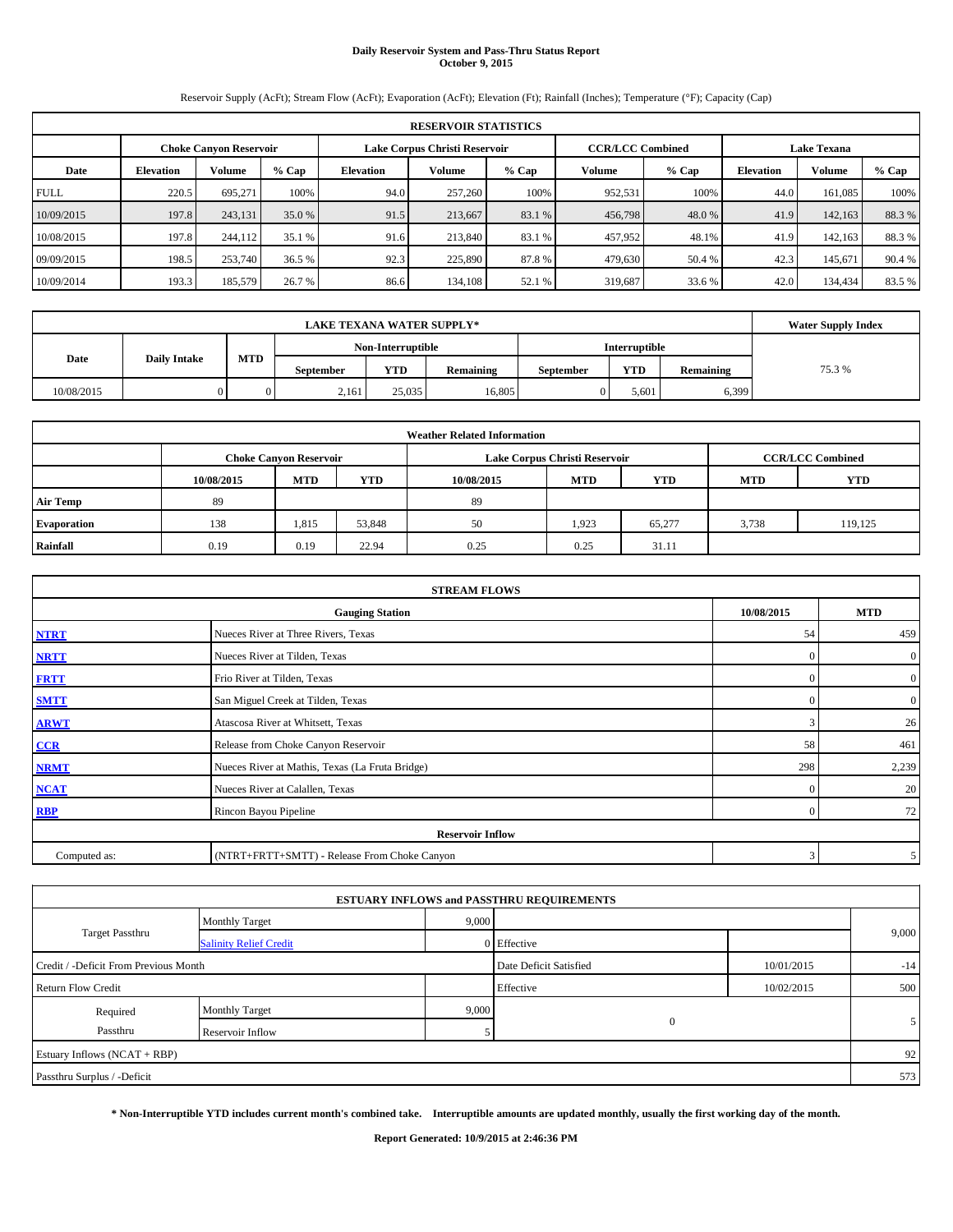# **Daily Reservoir System and Pass-Thru Status Report October 9, 2015**

Reservoir Supply (AcFt); Stream Flow (AcFt); Evaporation (AcFt); Elevation (Ft); Rainfall (Inches); Temperature (°F); Capacity (Cap)

|             | <b>RESERVOIR STATISTICS</b>                                                                                     |               |         |           |         |        |         |         |                  |         |         |  |  |  |  |
|-------------|-----------------------------------------------------------------------------------------------------------------|---------------|---------|-----------|---------|--------|---------|---------|------------------|---------|---------|--|--|--|--|
|             | Lake Corpus Christi Reservoir<br><b>CCR/LCC Combined</b><br><b>Lake Texana</b><br><b>Choke Canvon Reservoir</b> |               |         |           |         |        |         |         |                  |         |         |  |  |  |  |
| Date        | <b>Elevation</b>                                                                                                | <b>Volume</b> | $%$ Cap | Elevation | Volume  | % Cap  | Volume  | $%$ Cap | <b>Elevation</b> | Volume  | $%$ Cap |  |  |  |  |
| <b>FULL</b> | 220.5                                                                                                           | 695.271       | 100%    | 94.0      | 257,260 | 100%   | 952,531 | 100%    | 44.0             | 161.085 | 100%    |  |  |  |  |
| 10/09/2015  | 197.8                                                                                                           | 243,131       | 35.0 %  | 91.5      | 213,667 | 83.1 % | 456,798 | 48.0 %  | 41.9             | 142,163 | 88.3%   |  |  |  |  |
| 10/08/2015  | 197.8                                                                                                           | 244,112       | 35.1 %  | 91.6      | 213,840 | 83.1 % | 457,952 | 48.1%   | 41.9             | 142,163 | 88.3 %  |  |  |  |  |
| 09/09/2015  | 198.5                                                                                                           | 253,740       | 36.5 %  | 92.3      | 225,890 | 87.8%  | 479,630 | 50.4 %  | 42.3             | 145.671 | 90.4 %  |  |  |  |  |
| 10/09/2014  | 193.3                                                                                                           | 185,579       | 26.7 %  | 86.6      | 134,108 | 52.1 % | 319,687 | 33.6 %  | 42.0             | 134.434 | 83.5%   |  |  |  |  |

|            | <b>Water Supply Index</b> |            |                  |                   |           |                  |                      |           |       |
|------------|---------------------------|------------|------------------|-------------------|-----------|------------------|----------------------|-----------|-------|
|            |                           |            |                  | Non-Interruptible |           |                  | <b>Interruptible</b> |           |       |
| Date       | <b>Daily Intake</b>       | <b>MTD</b> | <b>September</b> | YTD               | Remaining | <b>September</b> | <b>YTD</b>           | Remaining | 75.3% |
| 10/08/2015 |                           |            | 2,161            | 25,035            | 16,805    |                  | 5,601                | 6,399     |       |

|                    |            |                                                                                           |            | <b>Weather Related Information</b> |            |            |            |            |  |  |  |  |
|--------------------|------------|-------------------------------------------------------------------------------------------|------------|------------------------------------|------------|------------|------------|------------|--|--|--|--|
|                    |            | <b>CCR/LCC Combined</b><br>Lake Corpus Christi Reservoir<br><b>Choke Canyon Reservoir</b> |            |                                    |            |            |            |            |  |  |  |  |
|                    | 10/08/2015 | <b>MTD</b>                                                                                | <b>YTD</b> | 10/08/2015                         | <b>MTD</b> | <b>YTD</b> | <b>MTD</b> | <b>YTD</b> |  |  |  |  |
| <b>Air Temp</b>    | 89         |                                                                                           |            | 89                                 |            |            |            |            |  |  |  |  |
| <b>Evaporation</b> | 138        | 1,815                                                                                     | 53,848     | 50                                 | 1.923      | 65,277     | 3,738      | 119,125    |  |  |  |  |
| Rainfall           | 0.19       | 0.19                                                                                      | 22.94      | 0.25                               | 0.25       | 31.11      |            |            |  |  |  |  |

|              | <b>STREAM FLOWS</b>                                |          |                |  |  |  |  |  |  |  |
|--------------|----------------------------------------------------|----------|----------------|--|--|--|--|--|--|--|
|              | 10/08/2015<br><b>Gauging Station</b><br><b>MTD</b> |          |                |  |  |  |  |  |  |  |
| <b>NTRT</b>  | Nueces River at Three Rivers, Texas                | 54       | 459            |  |  |  |  |  |  |  |
| <b>NRTT</b>  | Nueces River at Tilden, Texas                      | $\Omega$ | $\overline{0}$ |  |  |  |  |  |  |  |
| <b>FRTT</b>  | Frio River at Tilden, Texas                        | $\Omega$ | $\overline{0}$ |  |  |  |  |  |  |  |
| <b>SMTT</b>  | San Miguel Creek at Tilden, Texas                  | $\Omega$ | $\overline{0}$ |  |  |  |  |  |  |  |
| <b>ARWT</b>  | Atascosa River at Whitsett, Texas                  | 3        | 26             |  |  |  |  |  |  |  |
| $CCR$        | Release from Choke Canyon Reservoir                | 58       | 461            |  |  |  |  |  |  |  |
| <b>NRMT</b>  | Nueces River at Mathis, Texas (La Fruta Bridge)    | 298      | 2,239          |  |  |  |  |  |  |  |
| <b>NCAT</b>  | Nueces River at Calallen, Texas                    | $\Omega$ | 20             |  |  |  |  |  |  |  |
| <b>RBP</b>   | Rincon Bayou Pipeline                              | $\Omega$ | 72             |  |  |  |  |  |  |  |
|              | <b>Reservoir Inflow</b>                            |          |                |  |  |  |  |  |  |  |
| Computed as: | (NTRT+FRTT+SMTT) - Release From Choke Canyon       | 3        | 5              |  |  |  |  |  |  |  |

|                                       |                               |       | <b>ESTUARY INFLOWS and PASSTHRU REQUIREMENTS</b> |            |       |
|---------------------------------------|-------------------------------|-------|--------------------------------------------------|------------|-------|
|                                       | <b>Monthly Target</b>         | 9,000 |                                                  |            |       |
| <b>Target Passthru</b>                | <b>Salinity Relief Credit</b> |       | 0 Effective                                      |            | 9,000 |
| Credit / -Deficit From Previous Month |                               |       | Date Deficit Satisfied                           | 10/01/2015 | $-14$ |
| <b>Return Flow Credit</b>             |                               |       | Effective                                        | 10/02/2015 | 500   |
| Required                              | <b>Monthly Target</b>         | 9,000 |                                                  |            |       |
| Passthru                              | Reservoir Inflow              |       | $\mathbf{0}$                                     |            |       |
| Estuary Inflows (NCAT + RBP)          |                               |       |                                                  |            | 92    |
| Passthru Surplus / -Deficit           |                               |       |                                                  |            | 573   |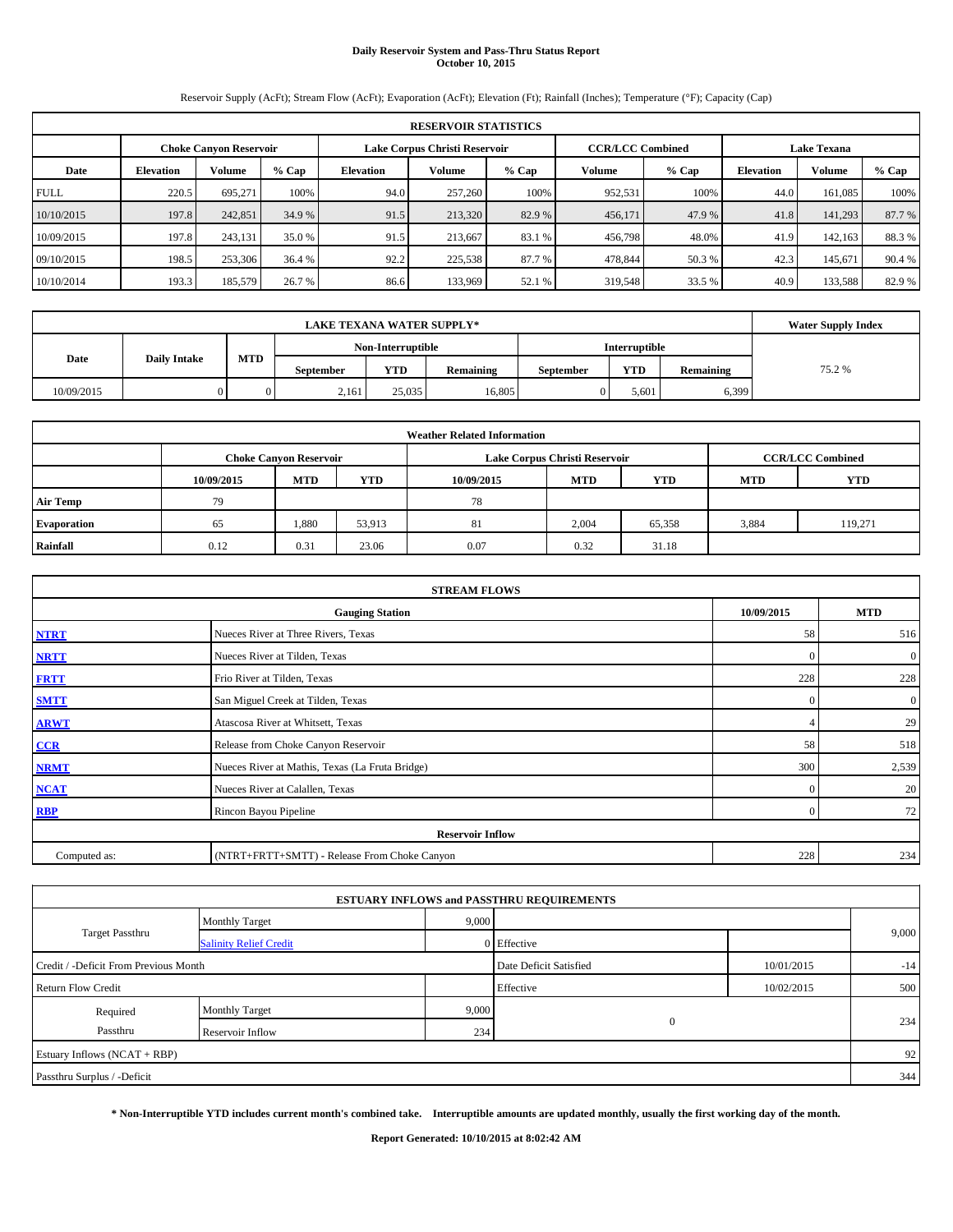# **Daily Reservoir System and Pass-Thru Status Report October 10, 2015**

Reservoir Supply (AcFt); Stream Flow (AcFt); Evaporation (AcFt); Elevation (Ft); Rainfall (Inches); Temperature (°F); Capacity (Cap)

|             | <b>RESERVOIR STATISTICS</b>                                                                                     |               |         |                  |         |         |         |         |                  |         |        |  |  |  |  |
|-------------|-----------------------------------------------------------------------------------------------------------------|---------------|---------|------------------|---------|---------|---------|---------|------------------|---------|--------|--|--|--|--|
|             | <b>CCR/LCC Combined</b><br>Lake Corpus Christi Reservoir<br><b>Lake Texana</b><br><b>Choke Canyon Reservoir</b> |               |         |                  |         |         |         |         |                  |         |        |  |  |  |  |
| Date        | <b>Elevation</b>                                                                                                | <b>Volume</b> | $%$ Cap | <b>Elevation</b> | Volume  | $%$ Cap | Volume  | $%$ Cap | <b>Elevation</b> | Volume  | % Cap  |  |  |  |  |
| <b>FULL</b> | 220.5                                                                                                           | 695.271       | 100%    | 94.0             | 257,260 | 100%    | 952,531 | 100%    | 44.0             | 161.085 | 100%   |  |  |  |  |
| 10/10/2015  | 197.8                                                                                                           | 242,851       | 34.9 %  | 91.5             | 213,320 | 82.9%   | 456,171 | 47.9 %  | 41.8             | 141,293 | 87.7 % |  |  |  |  |
| 10/09/2015  | 197.8                                                                                                           | 243.131       | 35.0 %  | 91.5             | 213,667 | 83.1 %  | 456,798 | 48.0%   | 41.9             | 142.163 | 88.3 % |  |  |  |  |
| 09/10/2015  | 198.5                                                                                                           | 253,306       | 36.4 %  | 92.2             | 225,538 | 87.7 %  | 478,844 | 50.3 %  | 42.3             | 145.671 | 90.4 % |  |  |  |  |
| 10/10/2014  | 193.3                                                                                                           | 185,579       | 26.7 %  | 86.6             | 133,969 | 52.1 %  | 319,548 | 33.5 %  | 40.9             | 133,588 | 82.9 % |  |  |  |  |

|            | <b>Water Supply Index</b> |     |                  |                   |           |                  |               |           |        |
|------------|---------------------------|-----|------------------|-------------------|-----------|------------------|---------------|-----------|--------|
|            |                           |     |                  | Non-Interruptible |           |                  | Interruptible |           |        |
| Date       | <b>Daily Intake</b>       | MTD | <b>September</b> | <b>YTD</b>        | Remaining | <b>September</b> | <b>YTD</b>    | Remaining | 75.2 % |
| 10/09/2015 |                           |     | 2,161            | 25,035            | 16.805    |                  | 5,601         | 6,399     |        |

|                    |            |                                                                                           |            | <b>Weather Related Information</b> |            |            |            |         |  |  |  |  |  |
|--------------------|------------|-------------------------------------------------------------------------------------------|------------|------------------------------------|------------|------------|------------|---------|--|--|--|--|--|
|                    |            | Lake Corpus Christi Reservoir<br><b>CCR/LCC Combined</b><br><b>Choke Canyon Reservoir</b> |            |                                    |            |            |            |         |  |  |  |  |  |
|                    | 10/09/2015 | <b>MTD</b>                                                                                | <b>YTD</b> | 10/09/2015                         | <b>MTD</b> | <b>YTD</b> | <b>MTD</b> | YTD     |  |  |  |  |  |
| <b>Air Temp</b>    | 79         |                                                                                           |            | 78                                 |            |            |            |         |  |  |  |  |  |
| <b>Evaporation</b> | 65         | 1,880                                                                                     | 53,913     | 81                                 | 2,004      | 65,358     | 3,884      | 119,271 |  |  |  |  |  |
| Rainfall           | 0.12       | 0.31                                                                                      | 23.06      | 0.07                               | 0.32       | 31.18      |            |         |  |  |  |  |  |

|              | <b>STREAM FLOWS</b>                             |            |                |  |  |  |  |  |  |  |
|--------------|-------------------------------------------------|------------|----------------|--|--|--|--|--|--|--|
|              | <b>Gauging Station</b>                          | 10/09/2015 | <b>MTD</b>     |  |  |  |  |  |  |  |
| <b>NTRT</b>  | Nueces River at Three Rivers, Texas             | 58         | 516            |  |  |  |  |  |  |  |
| <b>NRTT</b>  | Nueces River at Tilden, Texas                   | $\Omega$   | $\overline{0}$ |  |  |  |  |  |  |  |
| <b>FRTT</b>  | Frio River at Tilden, Texas                     | 228        | 228            |  |  |  |  |  |  |  |
| <b>SMTT</b>  | San Miguel Creek at Tilden, Texas               | $\Omega$   | $\overline{0}$ |  |  |  |  |  |  |  |
| <b>ARWT</b>  | Atascosa River at Whitsett, Texas               |            | 29             |  |  |  |  |  |  |  |
| $CCR$        | Release from Choke Canyon Reservoir             | 58         | 518            |  |  |  |  |  |  |  |
| <b>NRMT</b>  | Nueces River at Mathis, Texas (La Fruta Bridge) | 300        | 2,539          |  |  |  |  |  |  |  |
| <b>NCAT</b>  | Nueces River at Calallen, Texas                 | $\Omega$   | 20             |  |  |  |  |  |  |  |
| <b>RBP</b>   | Rincon Bayou Pipeline                           | $\Omega$   | 72             |  |  |  |  |  |  |  |
|              | <b>Reservoir Inflow</b>                         |            |                |  |  |  |  |  |  |  |
| Computed as: | (NTRT+FRTT+SMTT) - Release From Choke Canyon    | 228        | 234            |  |  |  |  |  |  |  |

| <b>ESTUARY INFLOWS and PASSTHRU REQUIREMENTS</b> |                               |       |                        |            |       |  |  |  |  |  |  |
|--------------------------------------------------|-------------------------------|-------|------------------------|------------|-------|--|--|--|--|--|--|
|                                                  | <b>Monthly Target</b>         | 9,000 |                        |            | 9,000 |  |  |  |  |  |  |
| Target Passthru                                  | <b>Salinity Relief Credit</b> |       | 0 Effective            |            |       |  |  |  |  |  |  |
| Credit / -Deficit From Previous Month            |                               |       | Date Deficit Satisfied | 10/01/2015 | $-14$ |  |  |  |  |  |  |
| <b>Return Flow Credit</b>                        |                               |       | Effective              | 10/02/2015 | 500   |  |  |  |  |  |  |
| Required                                         | <b>Monthly Target</b>         | 9,000 |                        |            |       |  |  |  |  |  |  |
| Passthru                                         | Reservoir Inflow              | 234   | $\mathbf{0}$           |            | 234   |  |  |  |  |  |  |
| Estuary Inflows (NCAT + RBP)                     |                               |       |                        |            | 92    |  |  |  |  |  |  |
| Passthru Surplus / -Deficit                      |                               |       |                        |            | 344   |  |  |  |  |  |  |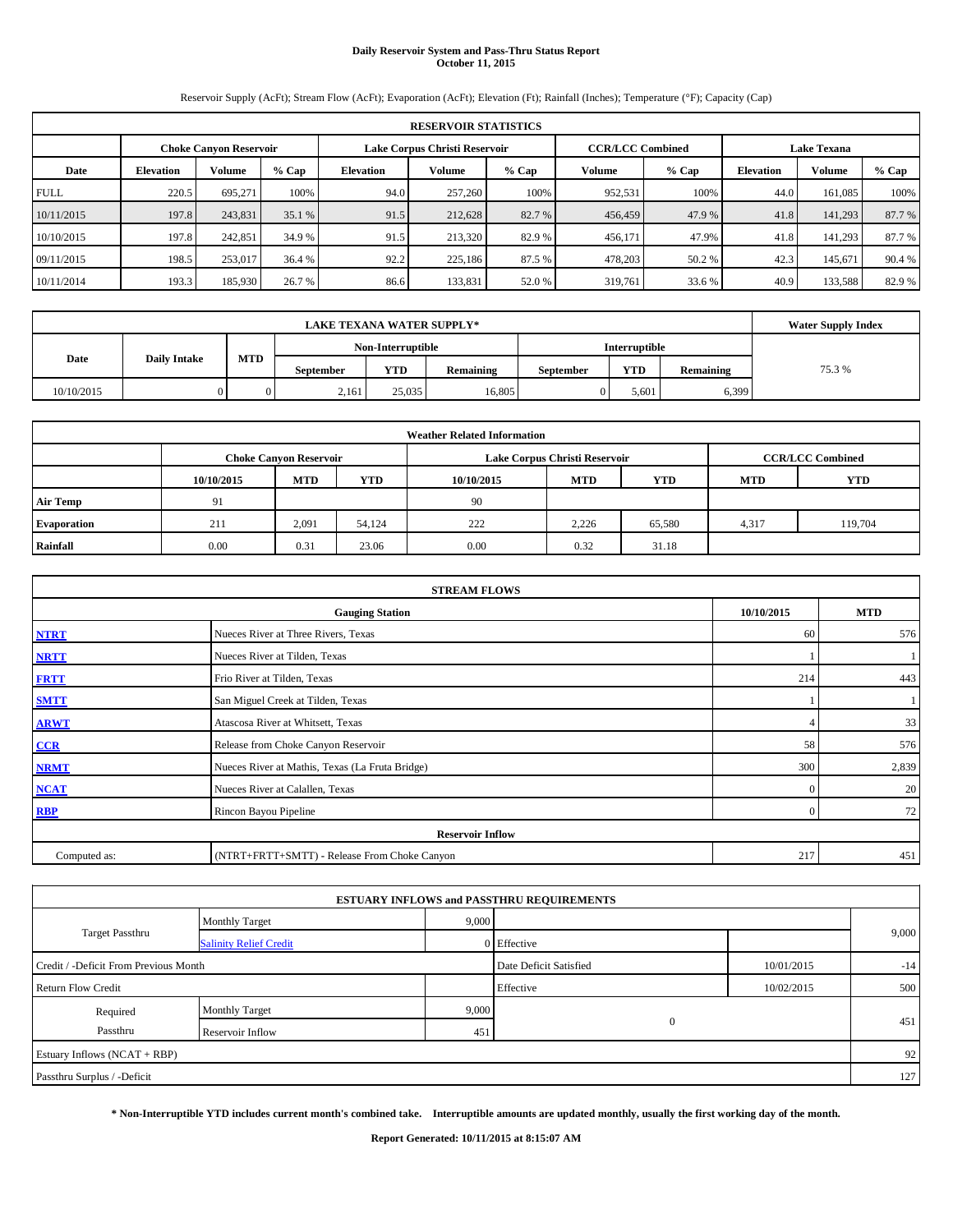# **Daily Reservoir System and Pass-Thru Status Report October 11, 2015**

Reservoir Supply (AcFt); Stream Flow (AcFt); Evaporation (AcFt); Elevation (Ft); Rainfall (Inches); Temperature (°F); Capacity (Cap)

|             | <b>RESERVOIR STATISTICS</b>   |               |         |                               |         |         |                         |         |                    |         |        |  |  |  |
|-------------|-------------------------------|---------------|---------|-------------------------------|---------|---------|-------------------------|---------|--------------------|---------|--------|--|--|--|
|             | <b>Choke Canyon Reservoir</b> |               |         | Lake Corpus Christi Reservoir |         |         | <b>CCR/LCC Combined</b> |         | <b>Lake Texana</b> |         |        |  |  |  |
| Date        | <b>Elevation</b>              | <b>Volume</b> | $%$ Cap | <b>Elevation</b>              | Volume  | $%$ Cap | Volume                  | $%$ Cap | <b>Elevation</b>   | Volume  | % Cap  |  |  |  |
| <b>FULL</b> | 220.5                         | 695.271       | 100%    | 94.0                          | 257,260 | 100%    | 952,531                 | 100%    | 44.0               | 161.085 | 100%   |  |  |  |
| 10/11/2015  | 197.8                         | 243,831       | 35.1%   | 91.5                          | 212,628 | 82.7 %  | 456,459                 | 47.9 %  | 41.8               | 141,293 | 87.7%  |  |  |  |
| 10/10/2015  | 197.8                         | 242,851       | 34.9 %  | 91.5                          | 213.320 | 82.9 %  | 456,171                 | 47.9%   | 41.8               | 141.293 | 87.7 % |  |  |  |
| 09/11/2015  | 198.5                         | 253,017       | 36.4 %  | 92.2                          | 225,186 | 87.5 %  | 478,203                 | 50.2 %  | 42.3               | 145.671 | 90.4 % |  |  |  |
| 10/11/2014  | 193.3                         | 185,930       | 26.7 %  | 86.6                          | 133,831 | 52.0 %  | 319,761                 | 33.6 %  | 40.9               | 133,588 | 82.9 % |  |  |  |

|            | <b>Water Supply Index</b> |     |                  |                   |           |                  |               |           |        |
|------------|---------------------------|-----|------------------|-------------------|-----------|------------------|---------------|-----------|--------|
|            |                           |     |                  | Non-Interruptible |           |                  | Interruptible |           |        |
| Date       | <b>Daily Intake</b>       | MTD | <b>September</b> | <b>YTD</b>        | Remaining | <b>September</b> | <b>YTD</b>    | Remaining | 75.3 % |
| 10/10/2015 |                           |     | 2,161            | 25,035            | 16.805    |                  | 5,601         | 6,399     |        |

| <b>Weather Related Information</b> |            |                               |        |            |                               |                         |            |            |  |  |  |
|------------------------------------|------------|-------------------------------|--------|------------|-------------------------------|-------------------------|------------|------------|--|--|--|
|                                    |            | <b>Choke Canyon Reservoir</b> |        |            | Lake Corpus Christi Reservoir | <b>CCR/LCC Combined</b> |            |            |  |  |  |
|                                    | 10/10/2015 | <b>MTD</b>                    | YTD    | 10/10/2015 | <b>MTD</b>                    | <b>YTD</b>              | <b>MTD</b> | <b>YTD</b> |  |  |  |
| <b>Air Temp</b>                    | 91         |                               |        | -90        |                               |                         |            |            |  |  |  |
| <b>Evaporation</b>                 | 211        | 2,091                         | 54,124 | 222        | 2.226                         | 65,580                  | 4,317      | 119,704    |  |  |  |
| Rainfall                           | 0.00       | 0.31                          | 23.06  | 0.00       | 0.32                          | 31.18                   |            |            |  |  |  |

|              | <b>STREAM FLOWS</b>                             |            |            |  |  |  |  |  |  |  |
|--------------|-------------------------------------------------|------------|------------|--|--|--|--|--|--|--|
|              | <b>Gauging Station</b>                          | 10/10/2015 | <b>MTD</b> |  |  |  |  |  |  |  |
| <b>NTRT</b>  | Nueces River at Three Rivers, Texas             | 60         | 576        |  |  |  |  |  |  |  |
| <b>NRTT</b>  | Nueces River at Tilden, Texas                   |            |            |  |  |  |  |  |  |  |
| <b>FRTT</b>  | Frio River at Tilden, Texas                     | 214        | 443        |  |  |  |  |  |  |  |
| <b>SMTT</b>  | San Miguel Creek at Tilden, Texas               |            |            |  |  |  |  |  |  |  |
| <b>ARWT</b>  | Atascosa River at Whitsett, Texas               |            | 33         |  |  |  |  |  |  |  |
| $CCR$        | Release from Choke Canyon Reservoir             | 58         | 576        |  |  |  |  |  |  |  |
| <b>NRMT</b>  | Nueces River at Mathis, Texas (La Fruta Bridge) | 300        | 2,839      |  |  |  |  |  |  |  |
| <b>NCAT</b>  | Nueces River at Calallen, Texas                 | $\Omega$   | 20         |  |  |  |  |  |  |  |
| <b>RBP</b>   | Rincon Bayou Pipeline                           | $\Omega$   | 72         |  |  |  |  |  |  |  |
|              | <b>Reservoir Inflow</b>                         |            |            |  |  |  |  |  |  |  |
| Computed as: | (NTRT+FRTT+SMTT) - Release From Choke Canyon    | 217        | 451        |  |  |  |  |  |  |  |

| <b>ESTUARY INFLOWS and PASSTHRU REQUIREMENTS</b> |                               |                        |              |            |       |  |  |  |  |  |  |  |
|--------------------------------------------------|-------------------------------|------------------------|--------------|------------|-------|--|--|--|--|--|--|--|
|                                                  | <b>Monthly Target</b>         | 9,000                  |              |            |       |  |  |  |  |  |  |  |
| <b>Target Passthru</b>                           | <b>Salinity Relief Credit</b> |                        | 0 Effective  |            | 9,000 |  |  |  |  |  |  |  |
| Credit / -Deficit From Previous Month            |                               | Date Deficit Satisfied | 10/01/2015   | $-14$      |       |  |  |  |  |  |  |  |
| <b>Return Flow Credit</b>                        |                               |                        | Effective    | 10/02/2015 | 500   |  |  |  |  |  |  |  |
| Required                                         | <b>Monthly Target</b>         | 9,000                  |              |            |       |  |  |  |  |  |  |  |
| Passthru                                         | Reservoir Inflow              | 451                    | $\mathbf{0}$ |            | 451   |  |  |  |  |  |  |  |
| Estuary Inflows (NCAT + RBP)                     |                               |                        |              |            | 92    |  |  |  |  |  |  |  |
| Passthru Surplus / -Deficit                      |                               |                        |              |            | 127   |  |  |  |  |  |  |  |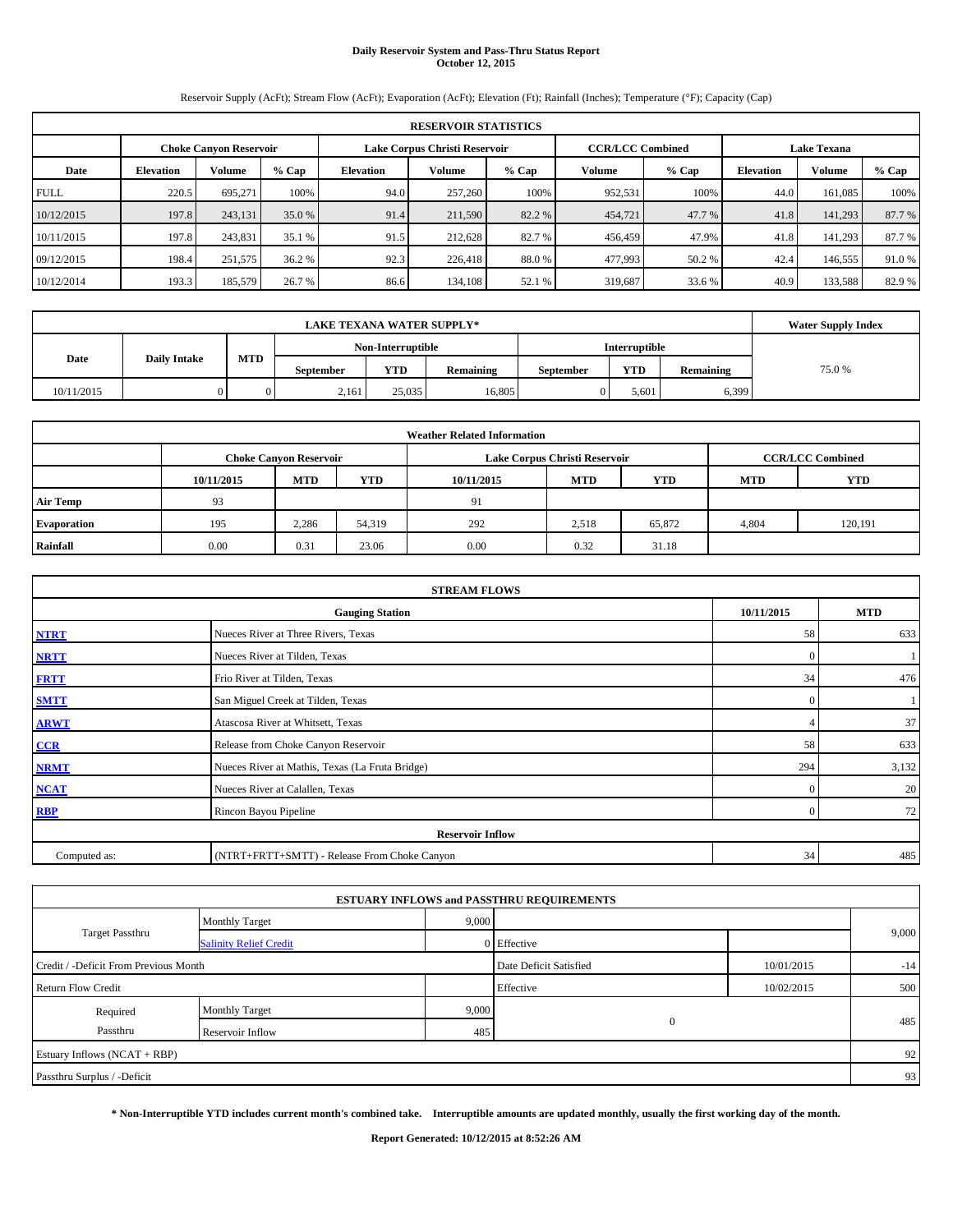# **Daily Reservoir System and Pass-Thru Status Report October 12, 2015**

Reservoir Supply (AcFt); Stream Flow (AcFt); Evaporation (AcFt); Elevation (Ft); Rainfall (Inches); Temperature (°F); Capacity (Cap)

|             | <b>RESERVOIR STATISTICS</b>   |               |         |                               |         |         |                         |         |                    |         |         |  |  |  |
|-------------|-------------------------------|---------------|---------|-------------------------------|---------|---------|-------------------------|---------|--------------------|---------|---------|--|--|--|
|             | <b>Choke Canvon Reservoir</b> |               |         | Lake Corpus Christi Reservoir |         |         | <b>CCR/LCC Combined</b> |         | <b>Lake Texana</b> |         |         |  |  |  |
| Date        | <b>Elevation</b>              | <b>Volume</b> | $%$ Cap | Elevation                     | Volume  | $%$ Cap | Volume                  | $%$ Cap | <b>Elevation</b>   | Volume  | $%$ Cap |  |  |  |
| <b>FULL</b> | 220.5                         | 695.271       | 100%    | 94.0                          | 257,260 | 100%    | 952,531                 | 100%    | 44.0               | 161.085 | 100%    |  |  |  |
| 10/12/2015  | 197.8                         | 243,131       | 35.0 %  | 91.4                          | 211,590 | 82.2 %  | 454,721                 | 47.7 %  | 41.8               | 141,293 | 87.7 %  |  |  |  |
| 10/11/2015  | 197.8                         | 243,831       | 35.1 %  | 91.5                          | 212,628 | 82.7 %  | 456,459                 | 47.9%   | 41.8               | 141.293 | 87.7 %  |  |  |  |
| 09/12/2015  | 198.4                         | 251,575       | 36.2 %  | 92.3                          | 226,418 | 88.0%   | 477,993                 | 50.2 %  | 42.4               | 146,555 | 91.0 %  |  |  |  |
| 10/12/2014  | 193.3                         | 185,579       | 26.7 %  | 86.6                          | 134,108 | 52.1 %  | 319,687                 | 33.6 %  | 40.9               | 133,588 | 82.9 %  |  |  |  |

|            | <b>Water Supply Index</b> |     |                  |                   |           |                  |               |           |        |
|------------|---------------------------|-----|------------------|-------------------|-----------|------------------|---------------|-----------|--------|
|            |                           |     |                  | Non-Interruptible |           |                  | Interruptible |           |        |
| Date       | <b>Daily Intake</b>       | MTD | <b>September</b> | <b>YTD</b>        | Remaining | <b>September</b> | <b>YTD</b>    | Remaining | 75.0 % |
| 10/11/2015 |                           |     | 2,161            | 25,035            | 16.805    |                  | 5,601         | 6,399     |        |

| <b>Weather Related Information</b> |            |                               |        |            |                               |                         |            |         |  |  |  |
|------------------------------------|------------|-------------------------------|--------|------------|-------------------------------|-------------------------|------------|---------|--|--|--|
|                                    |            | <b>Choke Canyon Reservoir</b> |        |            | Lake Corpus Christi Reservoir | <b>CCR/LCC Combined</b> |            |         |  |  |  |
|                                    | 10/11/2015 | <b>MTD</b>                    | YTD    | 10/11/2015 | <b>MTD</b>                    | <b>YTD</b>              | <b>MTD</b> | YTD     |  |  |  |
| <b>Air Temp</b>                    | 93         |                               |        | 91         |                               |                         |            |         |  |  |  |
| <b>Evaporation</b>                 | 195        | 2,286                         | 54,319 | 292        | 2,518                         | 65,872                  | 4,804      | 120,191 |  |  |  |
| Rainfall                           | 0.00       | 0.31                          | 23.06  | 0.00       | 0.32                          | 31.18                   |            |         |  |  |  |

|              | <b>STREAM FLOWS</b>                             |            |            |  |  |  |  |  |  |  |
|--------------|-------------------------------------------------|------------|------------|--|--|--|--|--|--|--|
|              | <b>Gauging Station</b>                          | 10/11/2015 | <b>MTD</b> |  |  |  |  |  |  |  |
| <b>NTRT</b>  | Nueces River at Three Rivers, Texas             | 58         | 633        |  |  |  |  |  |  |  |
| <b>NRTT</b>  | Nueces River at Tilden, Texas                   | $\Omega$   |            |  |  |  |  |  |  |  |
| <b>FRTT</b>  | Frio River at Tilden, Texas                     | 34         | 476        |  |  |  |  |  |  |  |
| <b>SMTT</b>  | San Miguel Creek at Tilden, Texas               | $\Omega$   |            |  |  |  |  |  |  |  |
| <b>ARWT</b>  | Atascosa River at Whitsett, Texas               |            | 37         |  |  |  |  |  |  |  |
| $CCR$        | Release from Choke Canyon Reservoir             | 58         | 633        |  |  |  |  |  |  |  |
| <b>NRMT</b>  | Nueces River at Mathis, Texas (La Fruta Bridge) | 294        | 3,132      |  |  |  |  |  |  |  |
| <b>NCAT</b>  | Nueces River at Calallen, Texas                 | $\Omega$   | 20         |  |  |  |  |  |  |  |
| <b>RBP</b>   | Rincon Bayou Pipeline                           | $\Omega$   | 72         |  |  |  |  |  |  |  |
|              | <b>Reservoir Inflow</b>                         |            |            |  |  |  |  |  |  |  |
| Computed as: | (NTRT+FRTT+SMTT) - Release From Choke Canyon    | 34         | 485        |  |  |  |  |  |  |  |

| <b>ESTUARY INFLOWS and PASSTHRU REQUIREMENTS</b> |  |                                                                             |            |  |  |  |  |  |  |  |  |
|--------------------------------------------------|--|-----------------------------------------------------------------------------|------------|--|--|--|--|--|--|--|--|
|                                                  |  |                                                                             |            |  |  |  |  |  |  |  |  |
|                                                  |  |                                                                             | 9,000      |  |  |  |  |  |  |  |  |
|                                                  |  | 10/01/2015                                                                  | $-14$      |  |  |  |  |  |  |  |  |
| <b>Return Flow Credit</b>                        |  |                                                                             | 500        |  |  |  |  |  |  |  |  |
| 9,000                                            |  |                                                                             |            |  |  |  |  |  |  |  |  |
| 485                                              |  |                                                                             | 485        |  |  |  |  |  |  |  |  |
|                                                  |  |                                                                             | 92         |  |  |  |  |  |  |  |  |
|                                                  |  |                                                                             | 93         |  |  |  |  |  |  |  |  |
|                                                  |  | 9,000<br>0 Effective<br>Date Deficit Satisfied<br>Effective<br>$\mathbf{0}$ | 10/02/2015 |  |  |  |  |  |  |  |  |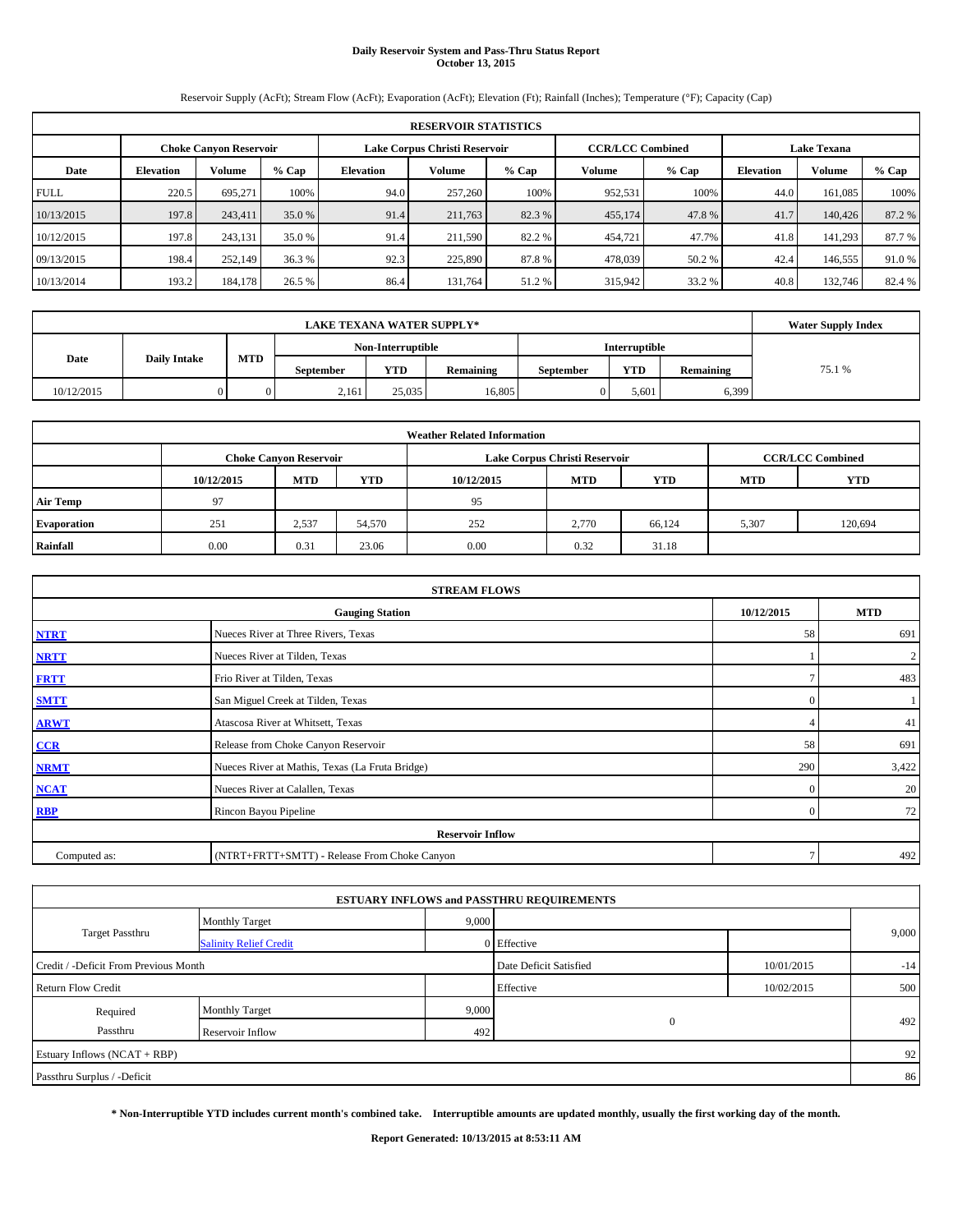# **Daily Reservoir System and Pass-Thru Status Report October 13, 2015**

Reservoir Supply (AcFt); Stream Flow (AcFt); Evaporation (AcFt); Elevation (Ft); Rainfall (Inches); Temperature (°F); Capacity (Cap)

|             | <b>RESERVOIR STATISTICS</b>                                                                                     |               |         |                                                            |         |        |         |                  |        |         |        |  |
|-------------|-----------------------------------------------------------------------------------------------------------------|---------------|---------|------------------------------------------------------------|---------|--------|---------|------------------|--------|---------|--------|--|
|             | <b>CCR/LCC Combined</b><br>Lake Corpus Christi Reservoir<br><b>Lake Texana</b><br><b>Choke Canyon Reservoir</b> |               |         |                                                            |         |        |         |                  |        |         |        |  |
| Date        | <b>Elevation</b>                                                                                                | <b>Volume</b> | $%$ Cap | Volume<br>$%$ Cap<br>$%$ Cap<br><b>Elevation</b><br>Volume |         |        |         | <b>Elevation</b> | Volume | % Cap   |        |  |
| <b>FULL</b> | 220.5                                                                                                           | 695.271       | 100%    | 94.0                                                       | 257,260 | 100%   | 952,531 | 100%             | 44.0   | 161.085 | 100%   |  |
| 10/13/2015  | 197.8                                                                                                           | 243.411       | 35.0 %  | 91.4                                                       | 211,763 | 82.3%  | 455,174 | 47.8%            | 41.7   | 140,426 | 87.2 % |  |
| 10/12/2015  | 197.8                                                                                                           | 243.131       | 35.0 %  | 91.4                                                       | 211.590 | 82.2 % | 454,721 | 47.7%            | 41.8   | 141.293 | 87.7 % |  |
| 09/13/2015  | 198.4                                                                                                           | 252,149       | 36.3%   | 92.3                                                       | 225,890 | 87.8%  | 478,039 | 50.2 %           | 42.4   | 146,555 | 91.0%  |  |
| 10/13/2014  | 193.2                                                                                                           | 184,178       | 26.5 %  | 86.4                                                       | 131.764 | 51.2%  | 315,942 | 33.2 %           | 40.8   | 132,746 | 82.4 % |  |

|            | <b>Water Supply Index</b> |     |                  |                   |           |                  |               |           |        |
|------------|---------------------------|-----|------------------|-------------------|-----------|------------------|---------------|-----------|--------|
|            |                           |     |                  | Non-Interruptible |           |                  | Interruptible |           |        |
| Date       | <b>Daily Intake</b>       | MTD | <b>September</b> | <b>YTD</b>        | Remaining | <b>September</b> | <b>YTD</b>    | Remaining | 75.1 % |
| 10/12/2015 |                           |     | 2,161            | 25,035            | 16.805    |                  | 5,601         | 6,399     |        |

| <b>Weather Related Information</b> |            |                               |            |      |                               |                         |       |         |  |  |  |
|------------------------------------|------------|-------------------------------|------------|------|-------------------------------|-------------------------|-------|---------|--|--|--|
|                                    |            | <b>Choke Canyon Reservoir</b> |            |      | Lake Corpus Christi Reservoir | <b>CCR/LCC Combined</b> |       |         |  |  |  |
|                                    | 10/12/2015 | <b>MTD</b>                    | <b>MTD</b> | YTD  |                               |                         |       |         |  |  |  |
| <b>Air Temp</b>                    | 97         |                               |            | 95   |                               |                         |       |         |  |  |  |
| <b>Evaporation</b>                 | 251        | 2,537                         | 54,570     | 252  | 2.770                         | 66,124                  | 5,307 | 120,694 |  |  |  |
| Rainfall                           | 0.00       | 0.31                          | 23.06      | 0.00 | 0.32                          | 31.18                   |       |         |  |  |  |

| <b>STREAM FLOWS</b> |                                                    |          |                |  |  |  |  |  |  |
|---------------------|----------------------------------------------------|----------|----------------|--|--|--|--|--|--|
|                     | 10/12/2015<br><b>MTD</b><br><b>Gauging Station</b> |          |                |  |  |  |  |  |  |
| <b>NTRT</b>         | Nueces River at Three Rivers, Texas                | 58       | 691            |  |  |  |  |  |  |
| <b>NRTT</b>         | Nueces River at Tilden, Texas                      |          | $\overline{2}$ |  |  |  |  |  |  |
| <b>FRTT</b>         | Frio River at Tilden, Texas                        |          | 483            |  |  |  |  |  |  |
| <b>SMTT</b>         | San Miguel Creek at Tilden, Texas                  | $\Omega$ |                |  |  |  |  |  |  |
| <b>ARWT</b>         | Atascosa River at Whitsett, Texas                  |          | 41             |  |  |  |  |  |  |
| CCR                 | Release from Choke Canyon Reservoir                | 58       | 691            |  |  |  |  |  |  |
| <b>NRMT</b>         | Nueces River at Mathis, Texas (La Fruta Bridge)    | 290      | 3,422          |  |  |  |  |  |  |
| <b>NCAT</b>         | Nueces River at Calallen, Texas                    | $\Omega$ | 20             |  |  |  |  |  |  |
| <b>RBP</b>          | Rincon Bayou Pipeline                              | $\Omega$ | 72             |  |  |  |  |  |  |
|                     | <b>Reservoir Inflow</b>                            |          |                |  |  |  |  |  |  |
| Computed as:        | (NTRT+FRTT+SMTT) - Release From Choke Canyon       |          | 492            |  |  |  |  |  |  |

| <b>Monthly Target</b>                                           |  |           |                                                                                                          |            |  |
|-----------------------------------------------------------------|--|-----------|----------------------------------------------------------------------------------------------------------|------------|--|
| <b>Salinity Relief Credit</b>                                   |  |           |                                                                                                          | 9,000      |  |
| Date Deficit Satisfied<br>Credit / -Deficit From Previous Month |  |           |                                                                                                          |            |  |
|                                                                 |  | Effective | 10/02/2015                                                                                               | 500        |  |
| <b>Monthly Target</b>                                           |  |           |                                                                                                          |            |  |
| Reservoir Inflow                                                |  |           |                                                                                                          | 492        |  |
|                                                                 |  |           |                                                                                                          | 92         |  |
|                                                                 |  |           |                                                                                                          | 86         |  |
|                                                                 |  |           | <b>ESTUARY INFLOWS and PASSTHRU REQUIREMENTS</b><br>9,000<br>0 Effective<br>9,000<br>$\mathbf{0}$<br>492 | 10/01/2015 |  |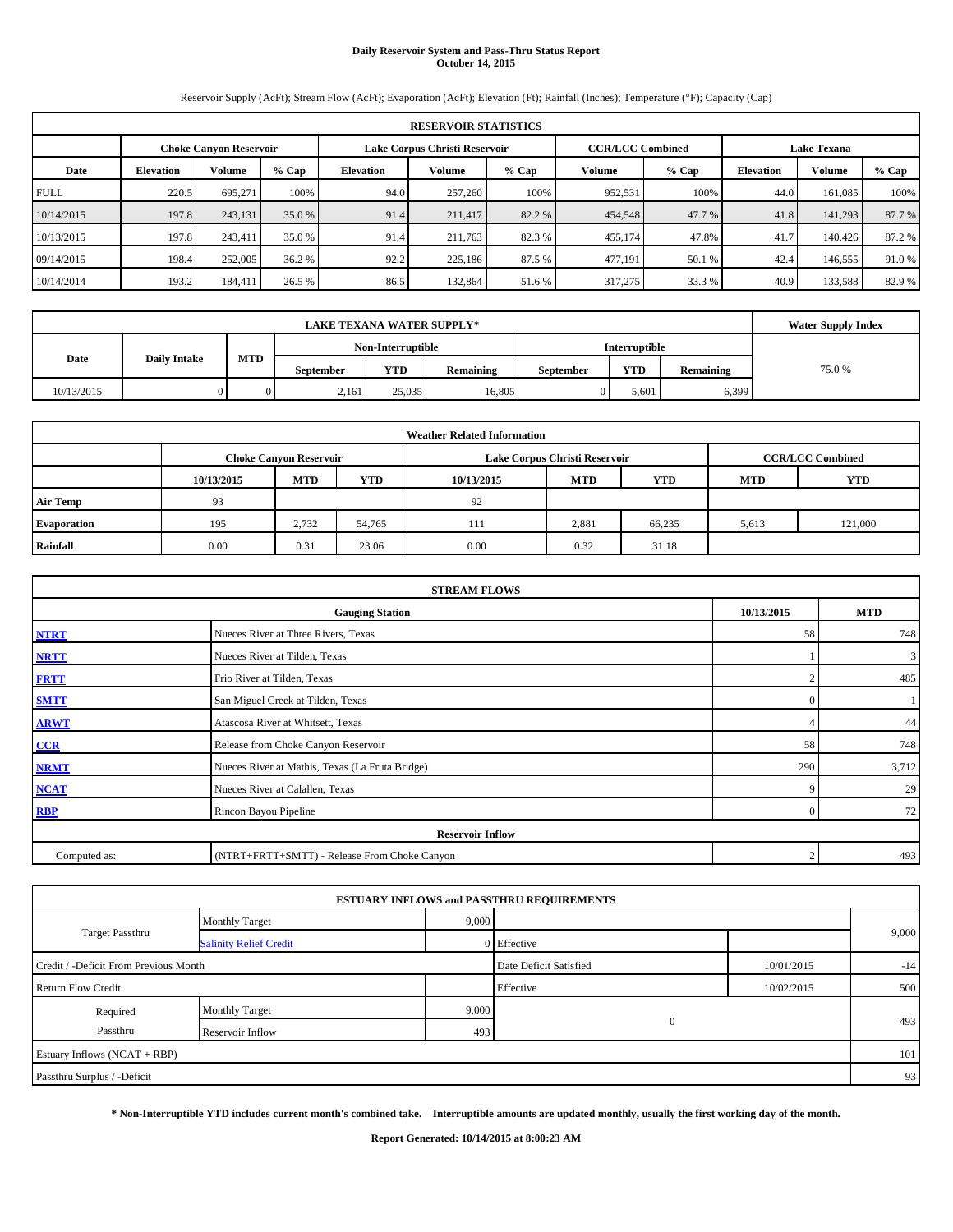# **Daily Reservoir System and Pass-Thru Status Report October 14, 2015**

Reservoir Supply (AcFt); Stream Flow (AcFt); Evaporation (AcFt); Elevation (Ft); Rainfall (Inches); Temperature (°F); Capacity (Cap)

|             | <b>RESERVOIR STATISTICS</b>                                                                                     |               |         |                                                            |         |        |         |        |                  |         |        |  |
|-------------|-----------------------------------------------------------------------------------------------------------------|---------------|---------|------------------------------------------------------------|---------|--------|---------|--------|------------------|---------|--------|--|
|             | <b>CCR/LCC Combined</b><br>Lake Corpus Christi Reservoir<br><b>Lake Texana</b><br><b>Choke Canyon Reservoir</b> |               |         |                                                            |         |        |         |        |                  |         |        |  |
| Date        | <b>Elevation</b>                                                                                                | <b>Volume</b> | $%$ Cap | Volume<br>$%$ Cap<br>$%$ Cap<br><b>Elevation</b><br>Volume |         |        |         |        | <b>Elevation</b> | Volume  | % Cap  |  |
| <b>FULL</b> | 220.5                                                                                                           | 695.271       | 100%    | 94.0                                                       | 257,260 | 100%   | 952,531 | 100%   | 44.0             | 161.085 | 100%   |  |
| 10/14/2015  | 197.8                                                                                                           | 243,131       | 35.0 %  | 91.4                                                       | 211,417 | 82.2 % | 454,548 | 47.7 % | 41.8             | 141,293 | 87.7%  |  |
| 10/13/2015  | 197.8                                                                                                           | 243,411       | 35.0 %  | 91.4                                                       | 211.763 | 82.3 % | 455,174 | 47.8%  | 41.7             | 140,426 | 87.2 % |  |
| 09/14/2015  | 198.4                                                                                                           | 252,005       | 36.2 %  | 92.2                                                       | 225,186 | 87.5 % | 477,191 | 50.1 % | 42.4             | 146,555 | 91.0%  |  |
| 10/14/2014  | 193.2                                                                                                           | 184,411       | 26.5 %  | 86.5                                                       | 132,864 | 51.6%  | 317,275 | 33.3 % | 40.9             | 133,588 | 82.9 % |  |

|            | <b>Water Supply Index</b> |     |                  |                   |                  |                  |               |           |        |
|------------|---------------------------|-----|------------------|-------------------|------------------|------------------|---------------|-----------|--------|
|            |                           |     |                  | Non-Interruptible |                  |                  | Interruptible |           |        |
| Date       | <b>Daily Intake</b>       | MTD | <b>September</b> | <b>YTD</b>        | <b>Remaining</b> | <b>September</b> | <b>YTD</b>    | Remaining | 75.0 % |
| 10/13/2015 |                           |     | 2,161            | 25,035            | 16.805           |                  | 5,601         | 6,399     |        |

| <b>Weather Related Information</b> |                                                                           |                               |        |      |                               |                         |       |         |  |  |  |
|------------------------------------|---------------------------------------------------------------------------|-------------------------------|--------|------|-------------------------------|-------------------------|-------|---------|--|--|--|
|                                    |                                                                           | <b>Choke Canyon Reservoir</b> |        |      | Lake Corpus Christi Reservoir | <b>CCR/LCC Combined</b> |       |         |  |  |  |
|                                    | <b>MTD</b><br>YTD<br><b>MTD</b><br><b>YTD</b><br>10/13/2015<br>10/13/2015 |                               |        |      |                               |                         |       | YTD     |  |  |  |
| <b>Air Temp</b>                    | 93                                                                        |                               |        | 92   |                               |                         |       |         |  |  |  |
| <b>Evaporation</b>                 | 195                                                                       | 2.732                         | 54,765 | 111  | 2,881                         | 66,235                  | 5,613 | 121,000 |  |  |  |
| Rainfall                           | 0.00                                                                      | 0.31                          | 23.06  | 0.00 | 0.32                          | 31.18                   |       |         |  |  |  |

| <b>STREAM FLOWS</b> |                                                    |             |              |  |  |  |  |  |  |
|---------------------|----------------------------------------------------|-------------|--------------|--|--|--|--|--|--|
|                     | 10/13/2015<br><b>Gauging Station</b><br><b>MTD</b> |             |              |  |  |  |  |  |  |
| <b>NTRT</b>         | Nueces River at Three Rivers, Texas                | 58          | 748          |  |  |  |  |  |  |
| <b>NRTT</b>         | Nueces River at Tilden, Texas                      |             | $\mathbf{3}$ |  |  |  |  |  |  |
| <b>FRTT</b>         | Frio River at Tilden, Texas                        |             | 485          |  |  |  |  |  |  |
| <b>SMTT</b>         | San Miguel Creek at Tilden, Texas                  | $\Omega$    |              |  |  |  |  |  |  |
| <b>ARWT</b>         | Atascosa River at Whitsett, Texas                  |             | 44           |  |  |  |  |  |  |
| $CCR$               | Release from Choke Canyon Reservoir                | 58          | 748          |  |  |  |  |  |  |
| <b>NRMT</b>         | Nueces River at Mathis, Texas (La Fruta Bridge)    | 290         | 3,712        |  |  |  |  |  |  |
| <b>NCAT</b>         | Nueces River at Calallen, Texas                    | $\mathbf Q$ | 29           |  |  |  |  |  |  |
| <b>RBP</b>          | Rincon Bayou Pipeline                              | $\Omega$    | 72           |  |  |  |  |  |  |
|                     | <b>Reservoir Inflow</b>                            |             |              |  |  |  |  |  |  |
| Computed as:        | (NTRT+FRTT+SMTT) - Release From Choke Canyon       | $\gamma$    | 493          |  |  |  |  |  |  |

|                                                                               |                               |       | <b>ESTUARY INFLOWS and PASSTHRU REQUIREMENTS</b> |            |       |  |  |
|-------------------------------------------------------------------------------|-------------------------------|-------|--------------------------------------------------|------------|-------|--|--|
|                                                                               | <b>Monthly Target</b>         | 9,000 |                                                  |            |       |  |  |
| <b>Target Passthru</b>                                                        | <b>Salinity Relief Credit</b> |       | 0 Effective                                      |            | 9,000 |  |  |
| Date Deficit Satisfied<br>10/01/2015<br>Credit / -Deficit From Previous Month |                               |       |                                                  |            |       |  |  |
| <b>Return Flow Credit</b>                                                     |                               |       | Effective                                        | 10/02/2015 | 500   |  |  |
| Required                                                                      | <b>Monthly Target</b>         | 9,000 |                                                  |            |       |  |  |
| Passthru                                                                      | Reservoir Inflow              | 493   | $\mathbf{0}$                                     |            | 493   |  |  |
| Estuary Inflows (NCAT + RBP)                                                  |                               |       |                                                  |            | 101   |  |  |
| Passthru Surplus / -Deficit                                                   |                               |       |                                                  |            | 93    |  |  |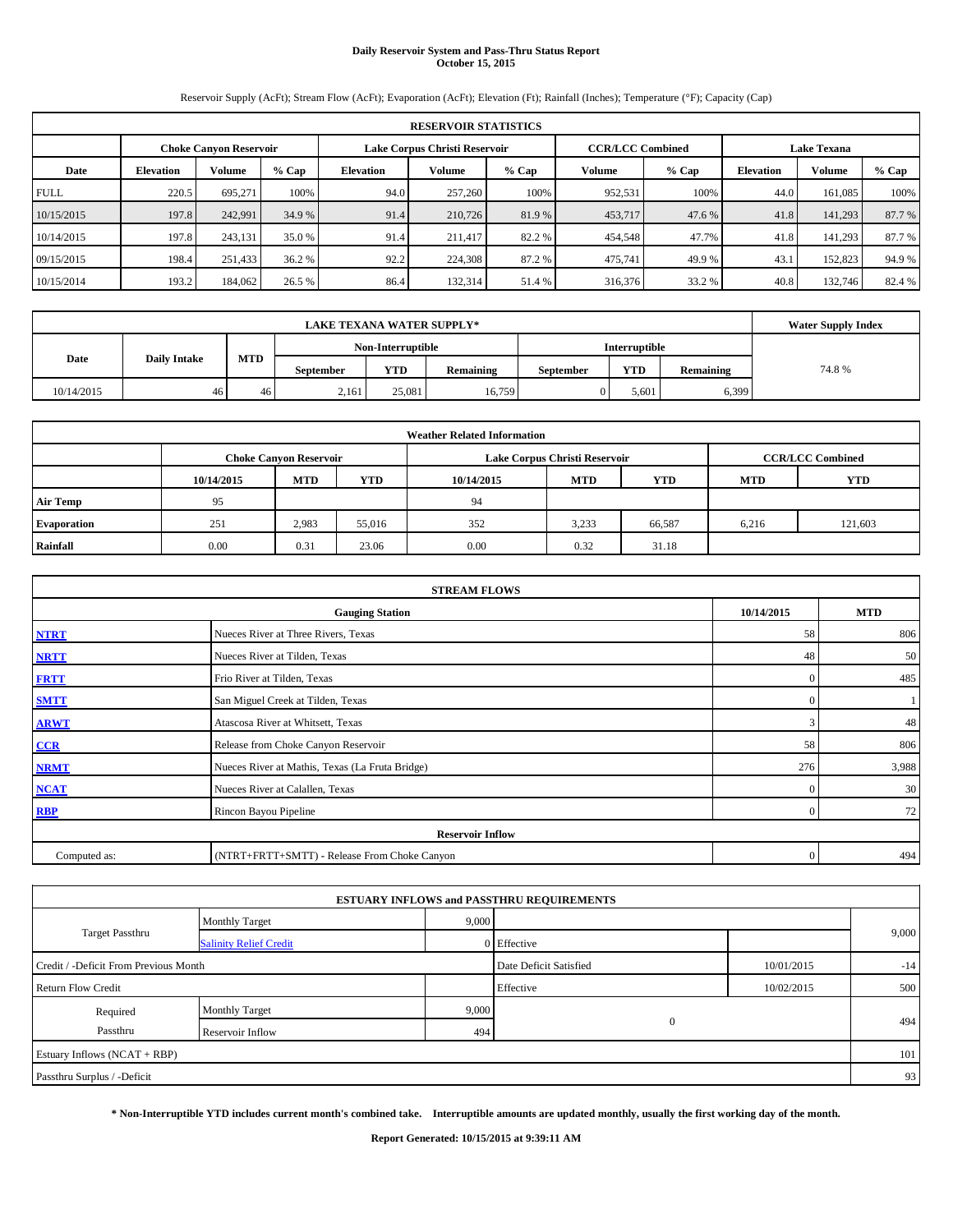# **Daily Reservoir System and Pass-Thru Status Report October 15, 2015**

Reservoir Supply (AcFt); Stream Flow (AcFt); Evaporation (AcFt); Elevation (Ft); Rainfall (Inches); Temperature (°F); Capacity (Cap)

|             | <b>RESERVOIR STATISTICS</b>                                                                                     |               |         |                                                            |         |        |         |                  |        |         |        |  |
|-------------|-----------------------------------------------------------------------------------------------------------------|---------------|---------|------------------------------------------------------------|---------|--------|---------|------------------|--------|---------|--------|--|
|             | <b>CCR/LCC Combined</b><br>Lake Corpus Christi Reservoir<br><b>Lake Texana</b><br><b>Choke Canyon Reservoir</b> |               |         |                                                            |         |        |         |                  |        |         |        |  |
| Date        | <b>Elevation</b>                                                                                                | <b>Volume</b> | $%$ Cap | Volume<br>$%$ Cap<br>$%$ Cap<br><b>Elevation</b><br>Volume |         |        |         | <b>Elevation</b> | Volume | % Cap   |        |  |
| <b>FULL</b> | 220.5                                                                                                           | 695.271       | 100%    | 94.0                                                       | 257,260 | 100%   | 952,531 | 100%             | 44.0   | 161.085 | 100%   |  |
| 10/15/2015  | 197.8                                                                                                           | 242.991       | 34.9 %  | 91.4                                                       | 210,726 | 81.9%  | 453,717 | 47.6 %           | 41.8   | 141,293 | 87.7 % |  |
| 10/14/2015  | 197.8                                                                                                           | 243.131       | 35.0 %  | 91.4                                                       | 211.417 | 82.2 % | 454,548 | 47.7%            | 41.8   | 141.293 | 87.7 % |  |
| 09/15/2015  | 198.4                                                                                                           | 251,433       | 36.2 %  | 92.2                                                       | 224,308 | 87.2%  | 475,741 | 49.9%            | 43.1   | 152,823 | 94.9 % |  |
| 10/15/2014  | 193.2                                                                                                           | 184,062       | 26.5 %  | 86.4                                                       | 132,314 | 51.4 % | 316,376 | 33.2 %           | 40.8   | 132,746 | 82.4 % |  |

|            | <b>Water Supply Index</b> |     |                  |                   |           |                  |               |           |       |
|------------|---------------------------|-----|------------------|-------------------|-----------|------------------|---------------|-----------|-------|
|            |                           |     |                  | Non-Interruptible |           |                  | Interruptible |           |       |
| Date       | <b>Daily Intake</b>       | MTD | <b>September</b> | <b>YTD</b>        | Remaining | <b>September</b> | <b>YTD</b>    | Remaining | 74.8% |
| 10/14/2015 | 46                        | 46  | 2,161            | 25,081            | 16.759    |                  | 5,601         | 6,399     |       |

| <b>Weather Related Information</b> |            |                               |        |            |                               |                         |            |         |  |  |
|------------------------------------|------------|-------------------------------|--------|------------|-------------------------------|-------------------------|------------|---------|--|--|
|                                    |            | <b>Choke Canyon Reservoir</b> |        |            | Lake Corpus Christi Reservoir | <b>CCR/LCC Combined</b> |            |         |  |  |
|                                    | 10/14/2015 | <b>MTD</b>                    | YTD    | 10/14/2015 | <b>MTD</b>                    | <b>YTD</b>              | <b>MTD</b> | YTD     |  |  |
| <b>Air Temp</b>                    | 95         |                               |        | 94         |                               |                         |            |         |  |  |
| <b>Evaporation</b>                 | 251        | 2,983                         | 55,016 | 352        | 3.233                         | 66,587                  | 6,216      | 121,603 |  |  |
| Rainfall                           | 0.00       | 0.31                          | 23.06  | 0.00       | 0.32                          | 31.18                   |            |         |  |  |

| <b>STREAM FLOWS</b> |                                                 |            |            |  |  |  |  |  |  |
|---------------------|-------------------------------------------------|------------|------------|--|--|--|--|--|--|
|                     | <b>Gauging Station</b>                          | 10/14/2015 | <b>MTD</b> |  |  |  |  |  |  |
| <b>NTRT</b>         | Nueces River at Three Rivers, Texas             | 58         | 806        |  |  |  |  |  |  |
| <b>NRTT</b>         | Nueces River at Tilden, Texas                   | 48         | 50         |  |  |  |  |  |  |
| <b>FRTT</b>         | Frio River at Tilden, Texas                     | $\Omega$   | 485        |  |  |  |  |  |  |
| <b>SMTT</b>         | San Miguel Creek at Tilden, Texas               | $\Omega$   |            |  |  |  |  |  |  |
| <b>ARWT</b>         | Atascosa River at Whitsett, Texas               | 3          | 48         |  |  |  |  |  |  |
| CCR                 | Release from Choke Canyon Reservoir             | 58         | 806        |  |  |  |  |  |  |
| <b>NRMT</b>         | Nueces River at Mathis, Texas (La Fruta Bridge) | 276        | 3,988      |  |  |  |  |  |  |
| <b>NCAT</b>         | Nueces River at Calallen, Texas                 | $\Omega$   | 30         |  |  |  |  |  |  |
| <b>RBP</b>          | Rincon Bayou Pipeline                           | $\Omega$   | 72         |  |  |  |  |  |  |
|                     | <b>Reservoir Inflow</b>                         |            |            |  |  |  |  |  |  |
| Computed as:        | (NTRT+FRTT+SMTT) - Release From Choke Canyon    | $\Omega$   | 494        |  |  |  |  |  |  |

|                                       |                               |                        | <b>ESTUARY INFLOWS and PASSTHRU REQUIREMENTS</b> |            |       |  |
|---------------------------------------|-------------------------------|------------------------|--------------------------------------------------|------------|-------|--|
|                                       | <b>Monthly Target</b>         | 9,000                  |                                                  |            |       |  |
| <b>Target Passthru</b>                | <b>Salinity Relief Credit</b> |                        | 0 Effective                                      |            | 9,000 |  |
| Credit / -Deficit From Previous Month |                               | Date Deficit Satisfied | 10/01/2015                                       | $-14$      |       |  |
| <b>Return Flow Credit</b>             |                               |                        | Effective                                        | 10/02/2015 | 500   |  |
| Required                              | <b>Monthly Target</b>         | 9,000                  |                                                  |            |       |  |
| Passthru                              | Reservoir Inflow              | 494                    | $\mathbf{0}$                                     |            | 494   |  |
| Estuary Inflows (NCAT + RBP)          |                               |                        |                                                  |            | 101   |  |
| Passthru Surplus / -Deficit           |                               |                        |                                                  |            | 93    |  |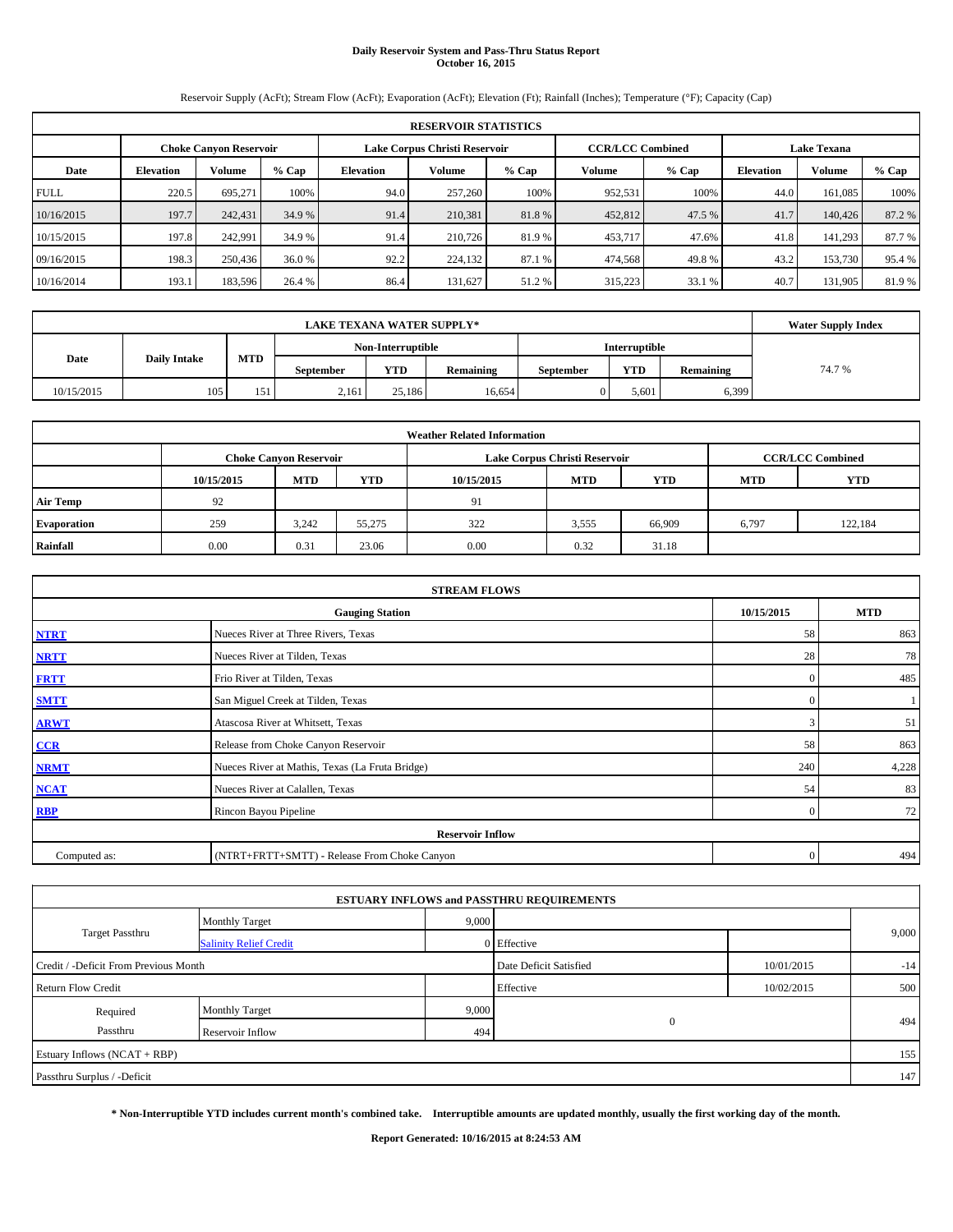# **Daily Reservoir System and Pass-Thru Status Report October 16, 2015**

Reservoir Supply (AcFt); Stream Flow (AcFt); Evaporation (AcFt); Elevation (Ft); Rainfall (Inches); Temperature (°F); Capacity (Cap)

| <b>RESERVOIR STATISTICS</b> |                  |                               |         |                               |         |         |                         |        |                    |         |         |
|-----------------------------|------------------|-------------------------------|---------|-------------------------------|---------|---------|-------------------------|--------|--------------------|---------|---------|
|                             |                  | <b>Choke Canvon Reservoir</b> |         | Lake Corpus Christi Reservoir |         |         | <b>CCR/LCC Combined</b> |        | <b>Lake Texana</b> |         |         |
| Date                        | <b>Elevation</b> | <b>Volume</b>                 | $%$ Cap | Elevation                     | Volume  | $%$ Cap | Volume                  | % Cap  | <b>Elevation</b>   | Volume  | $%$ Cap |
| <b>FULL</b>                 | 220.5            | 695.271                       | 100%    | 94.0                          | 257,260 | 100%    | 952,531                 | 100%   | 44.0               | 161.085 | 100%    |
| 10/16/2015                  | 197.7            | 242,431                       | 34.9 %  | 91.4                          | 210,381 | 81.8%   | 452,812                 | 47.5 % | 41.7               | 140,426 | 87.2 %  |
| 10/15/2015                  | 197.8            | 242.991                       | 34.9 %  | 91.4                          | 210,726 | 81.9 %  | 453,717                 | 47.6%  | 41.8               | 141.293 | 87.7 %  |
| 09/16/2015                  | 198.3            | 250,436                       | 36.0%   | 92.2                          | 224,132 | 87.1 %  | 474,568                 | 49.8%  | 43.2               | 153,730 | 95.4 %  |
| 10/16/2014                  | 193.1            | 183,596                       | 26.4 %  | 86.4                          | 131,627 | 51.2%   | 315,223                 | 33.1 % | 40.7               | 131.905 | 81.9%   |

|            | <b>Water Supply Index</b> |     |                  |                   |                  |                  |               |           |        |
|------------|---------------------------|-----|------------------|-------------------|------------------|------------------|---------------|-----------|--------|
|            |                           |     |                  | Non-Interruptible |                  |                  | Interruptible |           |        |
| Date       | <b>Daily Intake</b>       | MTD | <b>September</b> | <b>YTD</b>        | <b>Remaining</b> | <b>September</b> | <b>YTD</b>    | Remaining | 74.7 % |
| 10/15/2015 | 105                       | 151 | 2,161            | 25.186            | 16.654           |                  | 5,601         | 6,399     |        |

| <b>Weather Related Information</b> |            |                               |        |            |                               |                         |            |            |  |  |
|------------------------------------|------------|-------------------------------|--------|------------|-------------------------------|-------------------------|------------|------------|--|--|
|                                    |            | <b>Choke Canyon Reservoir</b> |        |            | Lake Corpus Christi Reservoir | <b>CCR/LCC Combined</b> |            |            |  |  |
|                                    | 10/15/2015 | <b>MTD</b>                    | YTD    | 10/15/2015 | <b>MTD</b>                    | <b>YTD</b>              | <b>MTD</b> | <b>YTD</b> |  |  |
| <b>Air Temp</b>                    | 92         |                               |        | 91         |                               |                         |            |            |  |  |
| <b>Evaporation</b>                 | 259        | 3.242                         | 55.275 | 322        | 3,555                         | 66,909                  | 6,797      | 122,184    |  |  |
| Rainfall                           | 0.00       | 0.31                          | 23.06  | 0.00       | 0.32                          | 31.18                   |            |            |  |  |

| <b>STREAM FLOWS</b>                                |                                                 |          |       |  |  |  |  |  |  |  |
|----------------------------------------------------|-------------------------------------------------|----------|-------|--|--|--|--|--|--|--|
| 10/15/2015<br><b>MTD</b><br><b>Gauging Station</b> |                                                 |          |       |  |  |  |  |  |  |  |
| <b>NTRT</b>                                        | Nueces River at Three Rivers, Texas             | 58       | 863   |  |  |  |  |  |  |  |
| <b>NRTT</b>                                        | Nueces River at Tilden, Texas                   | 28       | 78    |  |  |  |  |  |  |  |
| <b>FRTT</b>                                        | Frio River at Tilden, Texas                     | $\Omega$ | 485   |  |  |  |  |  |  |  |
| <b>SMTT</b>                                        | San Miguel Creek at Tilden, Texas               | $\Omega$ |       |  |  |  |  |  |  |  |
| <b>ARWT</b>                                        | Atascosa River at Whitsett, Texas               |          | 51    |  |  |  |  |  |  |  |
| CCR                                                | Release from Choke Canyon Reservoir             | 58       | 863   |  |  |  |  |  |  |  |
| <b>NRMT</b>                                        | Nueces River at Mathis, Texas (La Fruta Bridge) | 240      | 4,228 |  |  |  |  |  |  |  |
| <b>NCAT</b>                                        | Nueces River at Calallen, Texas                 | 54       | 83    |  |  |  |  |  |  |  |
| <b>RBP</b>                                         | Rincon Bayou Pipeline                           | $\Omega$ | 72    |  |  |  |  |  |  |  |
|                                                    | <b>Reservoir Inflow</b>                         |          |       |  |  |  |  |  |  |  |
| Computed as:                                       | (NTRT+FRTT+SMTT) - Release From Choke Canyon    | $\Omega$ | 494   |  |  |  |  |  |  |  |

|                                       |                               |                        | <b>ESTUARY INFLOWS and PASSTHRU REQUIREMENTS</b> |            |       |  |
|---------------------------------------|-------------------------------|------------------------|--------------------------------------------------|------------|-------|--|
|                                       | <b>Monthly Target</b>         | 9,000                  |                                                  |            |       |  |
| Target Passthru                       | <b>Salinity Relief Credit</b> |                        | 0 Effective                                      |            | 9,000 |  |
| Credit / -Deficit From Previous Month |                               | Date Deficit Satisfied | 10/01/2015                                       | $-14$      |       |  |
| <b>Return Flow Credit</b>             |                               |                        | Effective                                        | 10/02/2015 | 500   |  |
| Required                              | <b>Monthly Target</b>         | 9,000                  |                                                  |            |       |  |
| Passthru                              | Reservoir Inflow              | 494                    | $\mathbf{0}$                                     |            | 494   |  |
| Estuary Inflows (NCAT + RBP)          |                               |                        |                                                  |            | 155   |  |
| Passthru Surplus / -Deficit           |                               |                        |                                                  |            | 147   |  |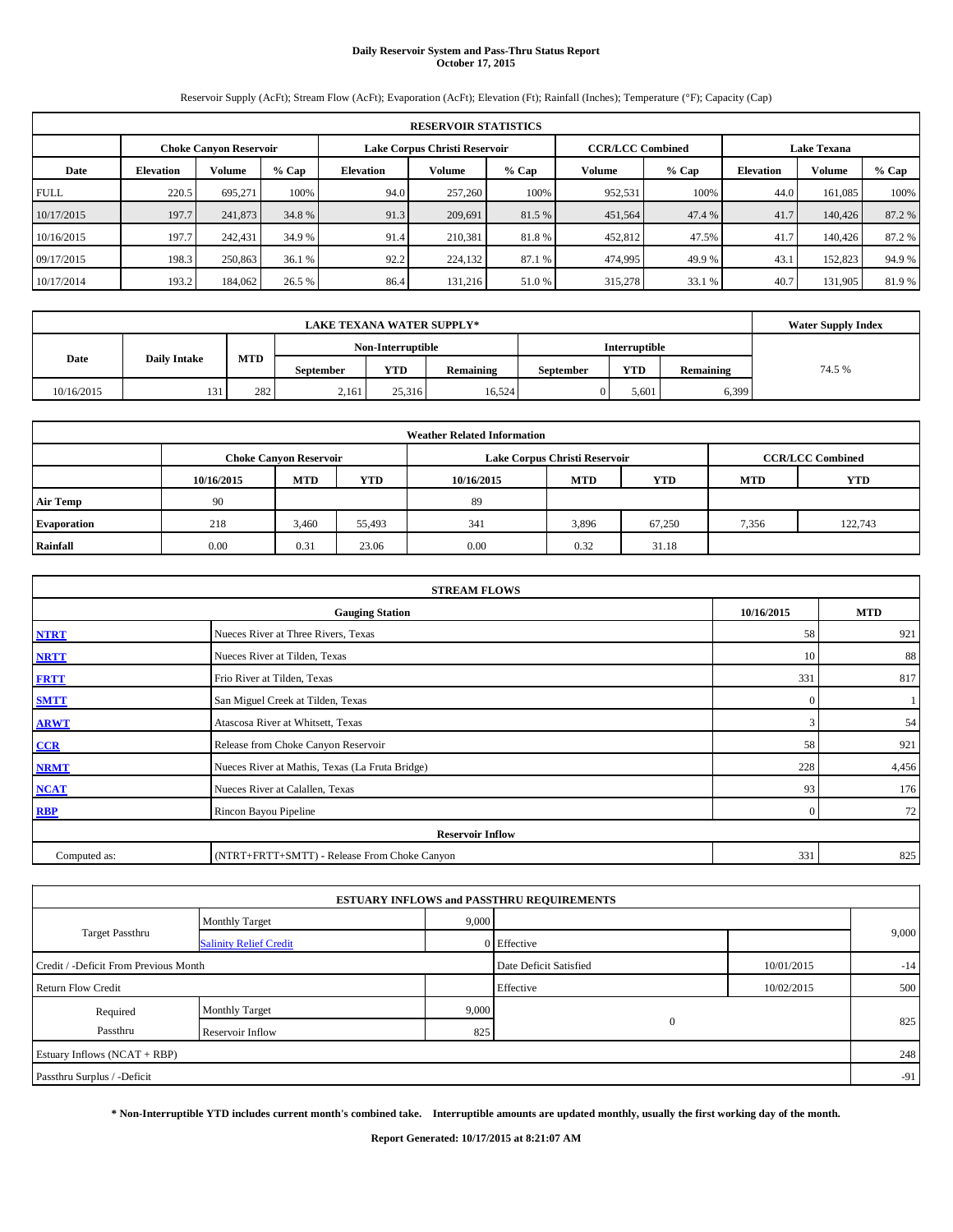# **Daily Reservoir System and Pass-Thru Status Report October 17, 2015**

Reservoir Supply (AcFt); Stream Flow (AcFt); Evaporation (AcFt); Elevation (Ft); Rainfall (Inches); Temperature (°F); Capacity (Cap)

| <b>RESERVOIR STATISTICS</b> |                  |                               |         |                               |         |         |                         |         |                    |         |         |
|-----------------------------|------------------|-------------------------------|---------|-------------------------------|---------|---------|-------------------------|---------|--------------------|---------|---------|
|                             |                  | <b>Choke Canvon Reservoir</b> |         | Lake Corpus Christi Reservoir |         |         | <b>CCR/LCC Combined</b> |         | <b>Lake Texana</b> |         |         |
| Date                        | <b>Elevation</b> | <b>Volume</b>                 | $%$ Cap | Elevation                     | Volume  | $%$ Cap | Volume                  | $%$ Cap | <b>Elevation</b>   | Volume  | $%$ Cap |
| <b>FULL</b>                 | 220.5            | 695.271                       | 100%    | 94.0                          | 257,260 | 100%    | 952,531                 | 100%    | 44.0               | 161.085 | 100%    |
| 10/17/2015                  | 197.7            | 241,873                       | 34.8 %  | 91.3                          | 209,691 | 81.5 %  | 451,564                 | 47.4 %  | 41.7               | 140,426 | 87.2 %  |
| 10/16/2015                  | 197.7            | 242,431                       | 34.9 %  | 91.4                          | 210.381 | 81.8%   | 452,812                 | 47.5%   | 41.7               | 140,426 | 87.2 %  |
| 09/17/2015                  | 198.3            | 250,863                       | 36.1%   | 92.2                          | 224,132 | 87.1 %  | 474,995                 | 49.9%   | 43.1               | 152,823 | 94.9 %  |
| 10/17/2014                  | 193.2            | 184,062                       | 26.5 %  | 86.4                          | 131,216 | 51.0%   | 315,278                 | 33.1 %  | 40.7               | 131.905 | 81.9%   |

|            | <b>Water Supply Index</b> |            |                  |                   |           |                  |                      |           |        |
|------------|---------------------------|------------|------------------|-------------------|-----------|------------------|----------------------|-----------|--------|
|            |                           |            |                  | Non-Interruptible |           |                  | <b>Interruptible</b> |           |        |
| Date       | <b>Daily Intake</b>       | <b>MTD</b> | <b>September</b> | YTD               | Remaining | <b>September</b> | <b>YTD</b>           | Remaining | 74.5 % |
| 10/16/2015 | 131                       | 282        | 2,161            | 25.316            | 16,524    |                  | 5,601                | 6,399     |        |

| <b>Weather Related Information</b> |            |                               |        |            |                               |                         |            |         |  |  |
|------------------------------------|------------|-------------------------------|--------|------------|-------------------------------|-------------------------|------------|---------|--|--|
|                                    |            | <b>Choke Canyon Reservoir</b> |        |            | Lake Corpus Christi Reservoir | <b>CCR/LCC Combined</b> |            |         |  |  |
|                                    | 10/16/2015 | <b>MTD</b>                    | YTD    | 10/16/2015 | <b>MTD</b>                    | <b>YTD</b>              | <b>MTD</b> | YTD     |  |  |
| <b>Air Temp</b>                    | 90         |                               |        | 89         |                               |                         |            |         |  |  |
| <b>Evaporation</b>                 | 218        | 3,460                         | 55,493 | 341        | 3,896                         | 67,250                  | 7,356      | 122,743 |  |  |
| Rainfall                           | 0.00       | 0.31                          | 23.06  | 0.00       | 0.32                          | 31.18                   |            |         |  |  |

| <b>STREAM FLOWS</b> |                                                 |            |            |  |  |  |  |  |  |  |
|---------------------|-------------------------------------------------|------------|------------|--|--|--|--|--|--|--|
|                     | <b>Gauging Station</b>                          | 10/16/2015 | <b>MTD</b> |  |  |  |  |  |  |  |
| <b>NTRT</b>         | Nueces River at Three Rivers, Texas             | 58         | 921        |  |  |  |  |  |  |  |
| <b>NRTT</b>         | Nueces River at Tilden, Texas                   | 10         | 88         |  |  |  |  |  |  |  |
| <b>FRTT</b>         | Frio River at Tilden, Texas                     | 331        | 817        |  |  |  |  |  |  |  |
| <b>SMTT</b>         | San Miguel Creek at Tilden, Texas               | $\Omega$   |            |  |  |  |  |  |  |  |
| <b>ARWT</b>         | Atascosa River at Whitsett, Texas               | 3          | 54         |  |  |  |  |  |  |  |
| CCR                 | Release from Choke Canyon Reservoir             | 58         | 921        |  |  |  |  |  |  |  |
| <b>NRMT</b>         | Nueces River at Mathis, Texas (La Fruta Bridge) | 228        | 4,456      |  |  |  |  |  |  |  |
| <b>NCAT</b>         | Nueces River at Calallen, Texas                 | 93         | 176        |  |  |  |  |  |  |  |
| <b>RBP</b>          | Rincon Bayou Pipeline                           | $\Omega$   | 72         |  |  |  |  |  |  |  |
|                     | <b>Reservoir Inflow</b>                         |            |            |  |  |  |  |  |  |  |
| Computed as:        | (NTRT+FRTT+SMTT) - Release From Choke Canyon    | 331        | 825        |  |  |  |  |  |  |  |

|                                       |                               |       | <b>ESTUARY INFLOWS and PASSTHRU REQUIREMENTS</b> |            |       |
|---------------------------------------|-------------------------------|-------|--------------------------------------------------|------------|-------|
|                                       | <b>Monthly Target</b>         | 9,000 |                                                  |            |       |
| <b>Target Passthru</b>                | <b>Salinity Relief Credit</b> |       | 0 Effective                                      |            | 9,000 |
| Credit / -Deficit From Previous Month |                               |       | Date Deficit Satisfied                           | 10/01/2015 | $-14$ |
| <b>Return Flow Credit</b>             |                               |       | Effective                                        | 10/02/2015 | 500   |
| Required                              | <b>Monthly Target</b>         | 9,000 |                                                  |            |       |
| Passthru                              | Reservoir Inflow              | 825   | $\mathbf{0}$                                     |            | 825   |
| Estuary Inflows (NCAT + RBP)          |                               |       |                                                  |            | 248   |
| Passthru Surplus / -Deficit           |                               |       |                                                  |            | $-91$ |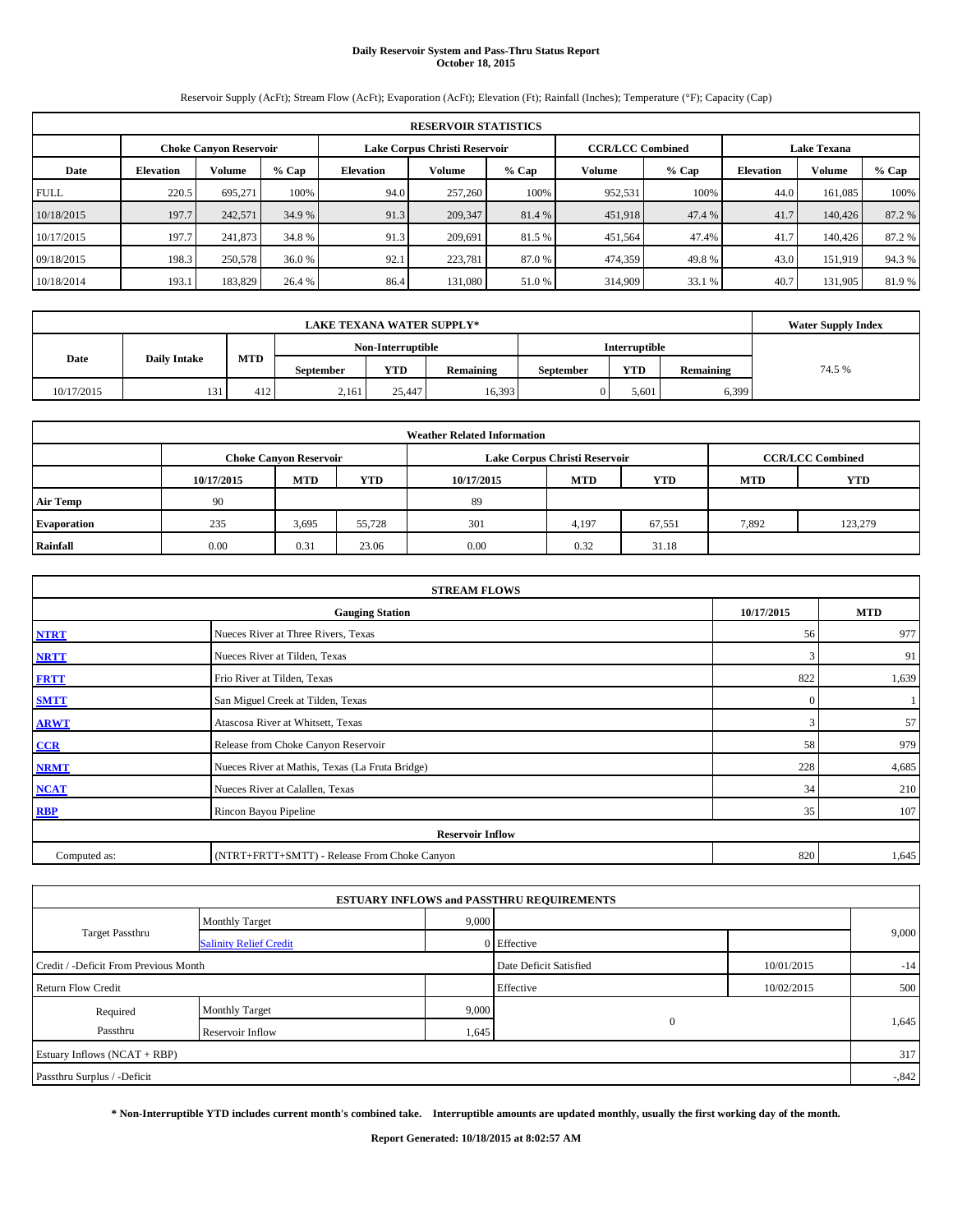# **Daily Reservoir System and Pass-Thru Status Report October 18, 2015**

Reservoir Supply (AcFt); Stream Flow (AcFt); Evaporation (AcFt); Elevation (Ft); Rainfall (Inches); Temperature (°F); Capacity (Cap)

|             | <b>RESERVOIR STATISTICS</b> |                               |         |                  |                               |         |                                               |         |                  |         |        |  |  |
|-------------|-----------------------------|-------------------------------|---------|------------------|-------------------------------|---------|-----------------------------------------------|---------|------------------|---------|--------|--|--|
|             |                             | <b>Choke Canyon Reservoir</b> |         |                  | Lake Corpus Christi Reservoir |         | <b>CCR/LCC Combined</b><br><b>Lake Texana</b> |         |                  |         |        |  |  |
| Date        | <b>Elevation</b>            | <b>Volume</b>                 | $%$ Cap | <b>Elevation</b> | Volume                        | $%$ Cap | Volume                                        | $%$ Cap | <b>Elevation</b> | Volume  | % Cap  |  |  |
| <b>FULL</b> | 220.5                       | 695.271                       | 100%    | 94.0             | 257,260                       | 100%    | 952,531                                       | 100%    | 44.0             | 161.085 | 100%   |  |  |
| 10/18/2015  | 197.7                       | 242,571                       | 34.9 %  | 91.3             | 209,347                       | 81.4 %  | 451,918                                       | 47.4 %  | 41.7             | 140,426 | 87.2 % |  |  |
| 10/17/2015  | 197.7                       | 241,873                       | 34.8 %  | 91.3             | 209,691                       | 81.5 %  | 451,564                                       | 47.4%   | 41.7             | 140,426 | 87.2 % |  |  |
| 09/18/2015  | 198.3                       | 250,578                       | 36.0%   | 92.1             | 223.781                       | 87.0%   | 474,359                                       | 49.8%   | 43.0             | 151.919 | 94.3%  |  |  |
| 10/18/2014  | 193.1                       | 183,829                       | 26.4 %  | 86.4             | 131,080                       | 51.0%   | 314,909                                       | 33.1 %  | 40.7             | 131.905 | 81.9%  |  |  |

|            | <b>Water Supply Index</b>                 |     |                  |                   |           |                  |                      |           |        |
|------------|-------------------------------------------|-----|------------------|-------------------|-----------|------------------|----------------------|-----------|--------|
|            |                                           |     |                  | Non-Interruptible |           |                  | <b>Interruptible</b> |           |        |
|            | <b>MTD</b><br><b>Daily Intake</b><br>Date |     | <b>September</b> | YTD               | Remaining | <b>September</b> | <b>YTD</b>           | Remaining | 74.5 % |
| 10/17/2015 | 131                                       | 412 | 2,161            | 25,447            | 16,393    |                  | 5,601                | 6,399     |        |

|                    |            |                               |        | <b>Weather Related Information</b> |                               |                         |            |         |
|--------------------|------------|-------------------------------|--------|------------------------------------|-------------------------------|-------------------------|------------|---------|
|                    |            | <b>Choke Canyon Reservoir</b> |        |                                    | Lake Corpus Christi Reservoir | <b>CCR/LCC Combined</b> |            |         |
|                    | 10/17/2015 | <b>MTD</b>                    | YTD    | 10/17/2015                         | <b>MTD</b>                    | <b>YTD</b>              | <b>MTD</b> | YTD     |
| <b>Air Temp</b>    | 90         |                               |        | 89                                 |                               |                         |            |         |
| <b>Evaporation</b> | 235        | 3,695                         | 55.728 | 301                                | 4,197                         | 67,551                  | 7,892      | 123,279 |
| Rainfall           | 0.00       | 0.31                          | 23.06  | 0.00                               | 0.32                          | 31.18                   |            |         |

| <b>STREAM FLOWS</b> |                                                 |              |       |  |  |  |  |  |  |  |
|---------------------|-------------------------------------------------|--------------|-------|--|--|--|--|--|--|--|
|                     | 10/17/2015                                      | <b>MTD</b>   |       |  |  |  |  |  |  |  |
| <b>NTRT</b>         | Nueces River at Three Rivers, Texas             |              |       |  |  |  |  |  |  |  |
| <b>NRTT</b>         | 3                                               | 91           |       |  |  |  |  |  |  |  |
| <b>FRTT</b>         | Frio River at Tilden, Texas                     | 822          | 1,639 |  |  |  |  |  |  |  |
| <b>SMTT</b>         | San Miguel Creek at Tilden, Texas               | $\mathbf{0}$ |       |  |  |  |  |  |  |  |
| <b>ARWT</b>         | 3                                               | 57           |       |  |  |  |  |  |  |  |
| $CCR$               | Release from Choke Canyon Reservoir             | 58           | 979   |  |  |  |  |  |  |  |
| <b>NRMT</b>         | Nueces River at Mathis, Texas (La Fruta Bridge) | 228          | 4,685 |  |  |  |  |  |  |  |
| <b>NCAT</b>         | Nueces River at Calallen, Texas                 | 34           | 210   |  |  |  |  |  |  |  |
| RBP                 | Rincon Bayou Pipeline                           | 35           | 107   |  |  |  |  |  |  |  |
|                     | <b>Reservoir Inflow</b>                         |              |       |  |  |  |  |  |  |  |
| Computed as:        | (NTRT+FRTT+SMTT) - Release From Choke Canyon    |              |       |  |  |  |  |  |  |  |

|                                       |                               |       | <b>ESTUARY INFLOWS and PASSTHRU REQUIREMENTS</b> |            |          |
|---------------------------------------|-------------------------------|-------|--------------------------------------------------|------------|----------|
|                                       | <b>Monthly Target</b>         | 9,000 |                                                  |            |          |
| <b>Target Passthru</b>                | <b>Salinity Relief Credit</b> |       | 0 Effective                                      |            | 9,000    |
| Credit / -Deficit From Previous Month |                               |       | Date Deficit Satisfied                           | 10/01/2015 | $-14$    |
| <b>Return Flow Credit</b>             |                               |       | Effective                                        | 10/02/2015 | 500      |
| Required                              | <b>Monthly Target</b>         | 9,000 |                                                  |            |          |
| Passthru                              | Reservoir Inflow              | 1,645 | $\mathbf{0}$                                     |            | 1,645    |
| Estuary Inflows (NCAT + RBP)          |                               |       |                                                  |            | 317      |
| Passthru Surplus / -Deficit           |                               |       |                                                  |            | $-0.842$ |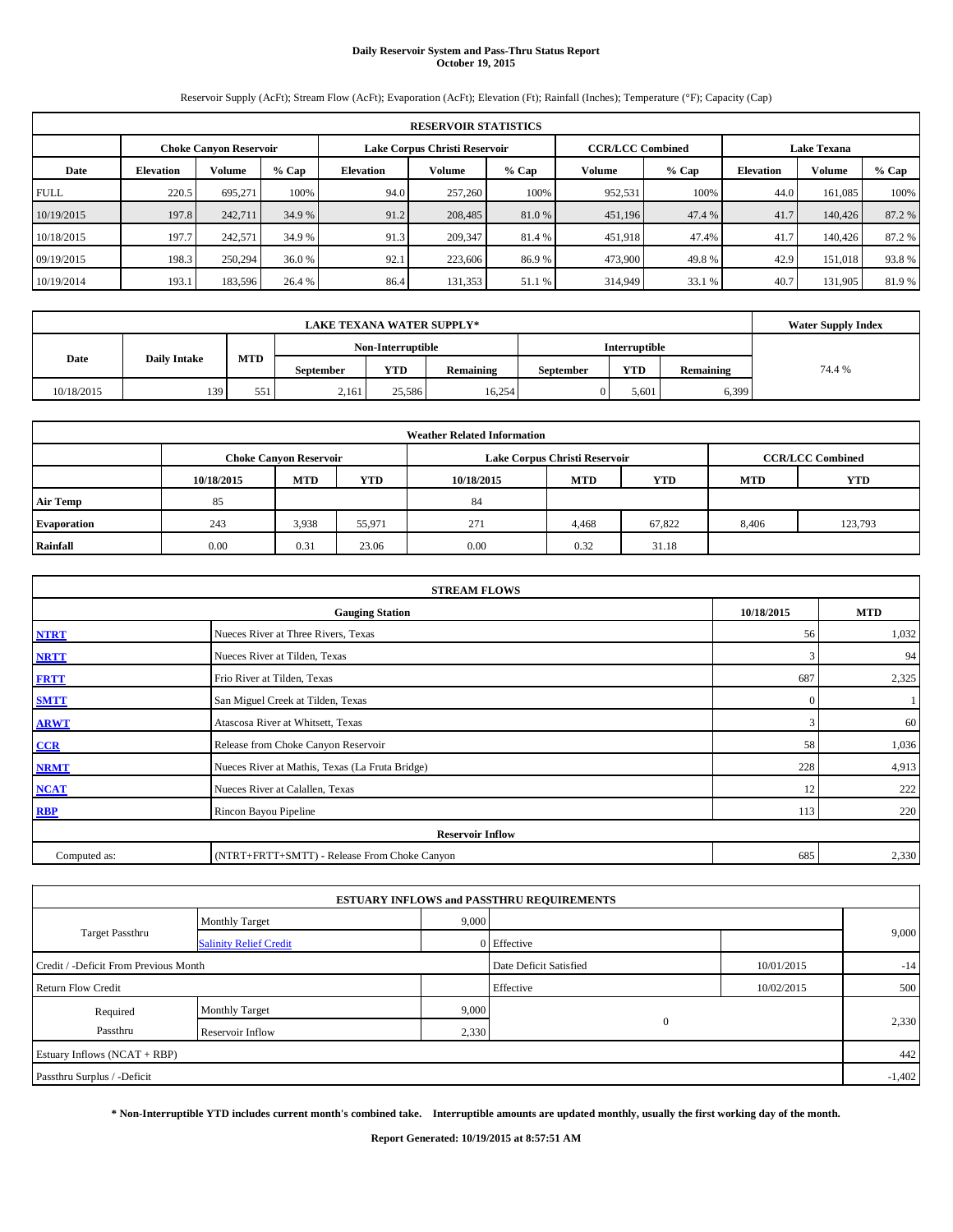# **Daily Reservoir System and Pass-Thru Status Report October 19, 2015**

Reservoir Supply (AcFt); Stream Flow (AcFt); Evaporation (AcFt); Elevation (Ft); Rainfall (Inches); Temperature (°F); Capacity (Cap)

|             | <b>RESERVOIR STATISTICS</b> |                               |         |           |                               |                                               |         |        |                  |         |         |  |  |
|-------------|-----------------------------|-------------------------------|---------|-----------|-------------------------------|-----------------------------------------------|---------|--------|------------------|---------|---------|--|--|
|             |                             | <b>Choke Canvon Reservoir</b> |         |           | Lake Corpus Christi Reservoir | <b>CCR/LCC Combined</b><br><b>Lake Texana</b> |         |        |                  |         |         |  |  |
| Date        | <b>Elevation</b>            | <b>Volume</b>                 | $%$ Cap | Elevation | Volume                        | % Cap                                         | Volume  | % Cap  | <b>Elevation</b> | Volume  | $%$ Cap |  |  |
| <b>FULL</b> | 220.5                       | 695.271                       | 100%    | 94.0      | 257,260                       | 100%                                          | 952,531 | 100%   | 44.0             | 161.085 | 100%    |  |  |
| 10/19/2015  | 197.8                       | 242,711                       | 34.9 %  | 91.2      | 208,485                       | 81.0 %                                        | 451,196 | 47.4 % | 41.7             | 140,426 | 87.2 %  |  |  |
| 10/18/2015  | 197.7                       | 242,571                       | 34.9 %  | 91.3      | 209,347                       | 81.4 %                                        | 451,918 | 47.4%  | 41.7             | 140,426 | 87.2 %  |  |  |
| 09/19/2015  | 198.3                       | 250,294                       | 36.0%   | 92.1      | 223,606                       | 86.9%                                         | 473,900 | 49.8%  | 42.9             | 151,018 | 93.8%   |  |  |
| 10/19/2014  | 193.1                       | 183,596                       | 26.4 %  | 86.4      | 131,353                       | 51.1 %                                        | 314,949 | 33.1 % | 40.7             | 131.905 | 81.9%   |  |  |

|                             | <b>Water Supply Index</b> |     |                  |                   |                  |                  |               |           |        |
|-----------------------------|---------------------------|-----|------------------|-------------------|------------------|------------------|---------------|-----------|--------|
|                             |                           |     |                  | Non-Interruptible |                  |                  | Interruptible |           |        |
| <b>Daily Intake</b><br>Date |                           | MTD | <b>September</b> | <b>YTD</b>        | <b>Remaining</b> | <b>September</b> | <b>YTD</b>    | Remaining | 74.4 % |
| 10/18/2015                  | 139                       | 551 | 2,161            | 25.586            | 16.254           |                  | 5,601         | 6,399     |        |

| <b>Weather Related Information</b> |            |                               |        |            |                               |                         |            |         |  |  |  |
|------------------------------------|------------|-------------------------------|--------|------------|-------------------------------|-------------------------|------------|---------|--|--|--|
|                                    |            | <b>Choke Canyon Reservoir</b> |        |            | Lake Corpus Christi Reservoir | <b>CCR/LCC Combined</b> |            |         |  |  |  |
|                                    | 10/18/2015 | <b>MTD</b>                    | YTD    | 10/18/2015 | <b>MTD</b>                    | <b>YTD</b>              | <b>MTD</b> | YTD     |  |  |  |
| <b>Air Temp</b>                    | 85         |                               |        | 84         |                               |                         |            |         |  |  |  |
| <b>Evaporation</b>                 | 243        | 3.938                         | 55,971 | 271        | 4,468                         | 67,822                  | 8.406      | 123,793 |  |  |  |
| Rainfall                           | 0.00       | 0.31                          | 23.06  | 0.00       | 0.32                          | 31.18                   |            |         |  |  |  |

|              | <b>STREAM FLOWS</b>                             |            |       |  |  |  |  |  |
|--------------|-------------------------------------------------|------------|-------|--|--|--|--|--|
|              | 10/18/2015                                      | <b>MTD</b> |       |  |  |  |  |  |
| <b>NTRT</b>  | 56                                              | 1,032      |       |  |  |  |  |  |
| <b>NRTT</b>  | Nueces River at Tilden, Texas                   |            |       |  |  |  |  |  |
| <b>FRTT</b>  | Frio River at Tilden, Texas                     | 687        | 2,325 |  |  |  |  |  |
| <b>SMTT</b>  | San Miguel Creek at Tilden, Texas               | $\Omega$   |       |  |  |  |  |  |
| <b>ARWT</b>  | Atascosa River at Whitsett, Texas               | 3          | 60    |  |  |  |  |  |
| CCR          | Release from Choke Canyon Reservoir             | 58         | 1,036 |  |  |  |  |  |
| <b>NRMT</b>  | Nueces River at Mathis, Texas (La Fruta Bridge) | 228        | 4,913 |  |  |  |  |  |
| <b>NCAT</b>  | Nueces River at Calallen, Texas                 | 12         | 222   |  |  |  |  |  |
| RBP          | Rincon Bayou Pipeline                           | 113        | 220   |  |  |  |  |  |
|              | <b>Reservoir Inflow</b>                         |            |       |  |  |  |  |  |
| Computed as: | (NTRT+FRTT+SMTT) - Release From Choke Canyon    |            |       |  |  |  |  |  |

|                                       |                               |       | <b>ESTUARY INFLOWS and PASSTHRU REQUIREMENTS</b> |            |       |  |  |  |
|---------------------------------------|-------------------------------|-------|--------------------------------------------------|------------|-------|--|--|--|
|                                       | <b>Monthly Target</b>         | 9,000 |                                                  |            |       |  |  |  |
| Target Passthru                       | <b>Salinity Relief Credit</b> |       | 0 Effective                                      |            | 9,000 |  |  |  |
| Credit / -Deficit From Previous Month |                               |       | Date Deficit Satisfied                           | 10/01/2015 | $-14$ |  |  |  |
| <b>Return Flow Credit</b>             |                               |       | Effective                                        | 10/02/2015 | 500   |  |  |  |
| Required                              | <b>Monthly Target</b>         | 9,000 |                                                  |            |       |  |  |  |
| Passthru                              | Reservoir Inflow              | 2,330 | $\mathbf{0}$                                     |            | 2,330 |  |  |  |
| Estuary Inflows (NCAT + RBP)          |                               |       |                                                  |            | 442   |  |  |  |
| Passthru Surplus / -Deficit           |                               |       |                                                  |            |       |  |  |  |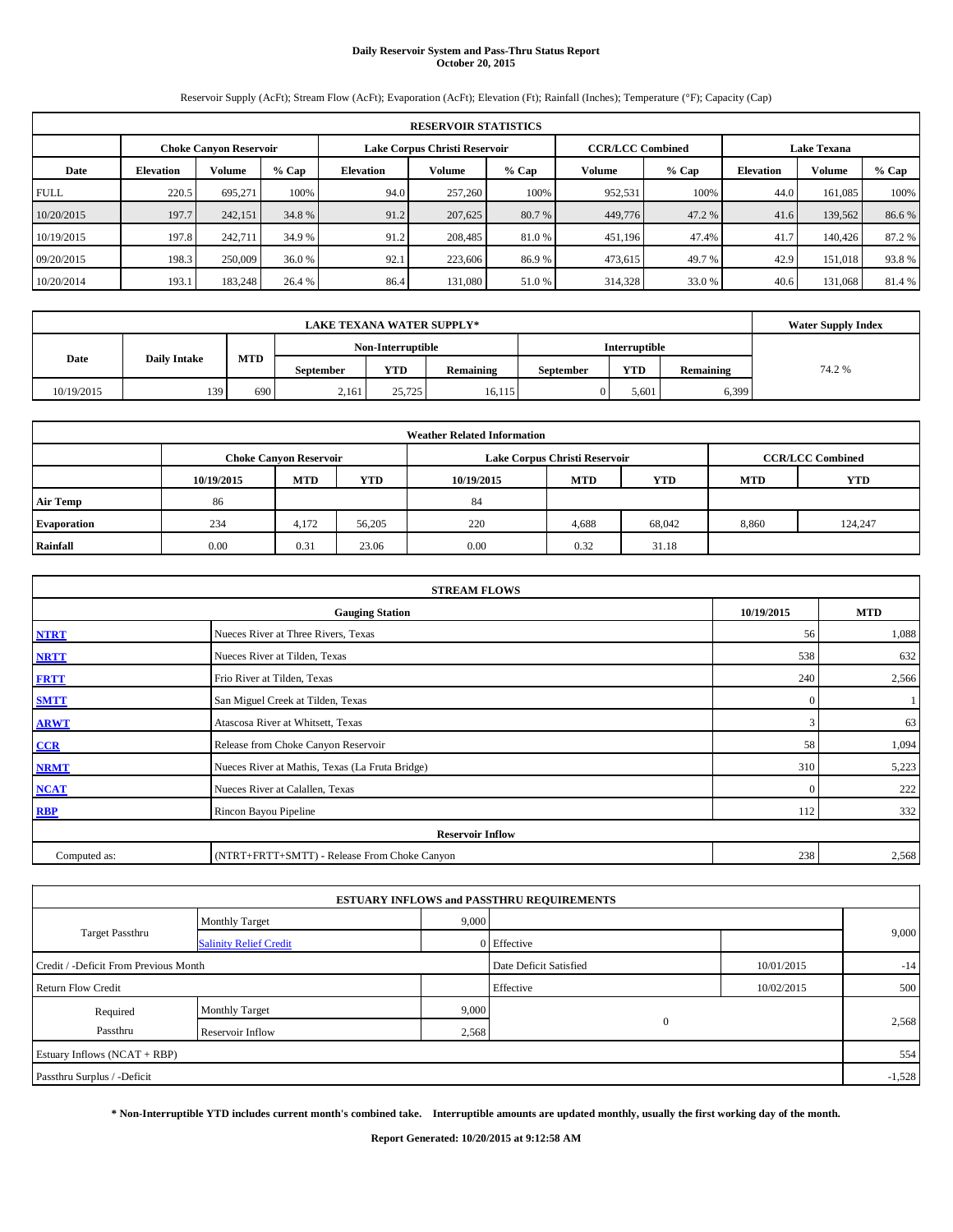# **Daily Reservoir System and Pass-Thru Status Report October 20, 2015**

Reservoir Supply (AcFt); Stream Flow (AcFt); Evaporation (AcFt); Elevation (Ft); Rainfall (Inches); Temperature (°F); Capacity (Cap)

|             | <b>RESERVOIR STATISTICS</b> |                               |         |                  |                               |         |                         |         |                    |         |        |  |  |
|-------------|-----------------------------|-------------------------------|---------|------------------|-------------------------------|---------|-------------------------|---------|--------------------|---------|--------|--|--|
|             |                             | <b>Choke Canyon Reservoir</b> |         |                  | Lake Corpus Christi Reservoir |         | <b>CCR/LCC Combined</b> |         | <b>Lake Texana</b> |         |        |  |  |
| Date        | <b>Elevation</b>            | <b>Volume</b>                 | $%$ Cap | <b>Elevation</b> | Volume                        | $%$ Cap | Volume                  | $%$ Cap | <b>Elevation</b>   | Volume  | % Cap  |  |  |
| <b>FULL</b> | 220.5                       | 695.271                       | 100%    | 94.0             | 257,260                       | 100%    | 952,531                 | 100%    | 44.0               | 161.085 | 100%   |  |  |
| 10/20/2015  | 197.7                       | 242,151                       | 34.8 %  | 91.2             | 207,625                       | 80.7%   | 449,776                 | 47.2 %  | 41.6               | 139,562 | 86.6 % |  |  |
| 10/19/2015  | 197.8                       | 242.711                       | 34.9 %  | 91.2             | 208,485                       | 81.0 %  | 451,196                 | 47.4%   | 41.7               | 140,426 | 87.2 % |  |  |
| 09/20/2015  | 198.3                       | 250,009                       | 36.0%   | 92.1             | 223,606                       | 86.9%   | 473,615                 | 49.7 %  | 42.9               | 151,018 | 93.8%  |  |  |
| 10/20/2014  | 193.1                       | 183,248                       | 26.4 %  | 86.4             | 131.080                       | 51.0%   | 314,328                 | 33.0 %  | 40.6               | 131.068 | 81.4 % |  |  |

|            | <b>Water Supply Index</b> |     |                  |                   |                  |                  |               |           |        |
|------------|---------------------------|-----|------------------|-------------------|------------------|------------------|---------------|-----------|--------|
|            |                           |     |                  | Non-Interruptible |                  |                  | Interruptible |           |        |
| Date       | <b>Daily Intake</b>       | MTD | <b>September</b> | <b>YTD</b>        | <b>Remaining</b> | <b>September</b> | <b>YTD</b>    | Remaining | 74.2 % |
| 10/19/2015 | 139                       | 690 | 2,161            | 25,725            | 16,115           |                  | 5,601         | 6,399     |        |

|                    |            |                                                                                           |        | <b>Weather Related Information</b> |            |            |            |         |  |  |  |  |  |
|--------------------|------------|-------------------------------------------------------------------------------------------|--------|------------------------------------|------------|------------|------------|---------|--|--|--|--|--|
|                    |            | <b>CCR/LCC Combined</b><br>Lake Corpus Christi Reservoir<br><b>Choke Canyon Reservoir</b> |        |                                    |            |            |            |         |  |  |  |  |  |
|                    | 10/19/2015 | <b>MTD</b>                                                                                | YTD    | 10/19/2015                         | <b>MTD</b> | <b>YTD</b> | <b>MTD</b> | YTD     |  |  |  |  |  |
| <b>Air Temp</b>    | 86         |                                                                                           |        | 84                                 |            |            |            |         |  |  |  |  |  |
| <b>Evaporation</b> | 234        | 4,172                                                                                     | 56,205 | 220                                | 4,688      | 68,042     | 8.860      | 124,247 |  |  |  |  |  |
| Rainfall           | 0.00       | 0.31                                                                                      | 23.06  | 0.00                               | 0.32       | 31.18      |            |         |  |  |  |  |  |

|              | <b>STREAM FLOWS</b>                                |              |       |  |  |  |  |  |  |  |
|--------------|----------------------------------------------------|--------------|-------|--|--|--|--|--|--|--|
|              | 10/19/2015<br><b>MTD</b><br><b>Gauging Station</b> |              |       |  |  |  |  |  |  |  |
| <b>NTRT</b>  | Nueces River at Three Rivers, Texas                | 56           | 1,088 |  |  |  |  |  |  |  |
| <b>NRTT</b>  | Nueces River at Tilden, Texas                      | 538          | 632   |  |  |  |  |  |  |  |
| <b>FRTT</b>  | Frio River at Tilden, Texas                        |              |       |  |  |  |  |  |  |  |
| <b>SMTT</b>  | $\mathbf{0}$                                       |              |       |  |  |  |  |  |  |  |
| <b>ARWT</b>  | Atascosa River at Whitsett, Texas                  | 3            | 63    |  |  |  |  |  |  |  |
| CCR          | Release from Choke Canyon Reservoir                | 58           | 1,094 |  |  |  |  |  |  |  |
| <b>NRMT</b>  | Nueces River at Mathis, Texas (La Fruta Bridge)    | 310          | 5,223 |  |  |  |  |  |  |  |
| <b>NCAT</b>  | Nueces River at Calallen, Texas                    | $\mathbf{0}$ | 222   |  |  |  |  |  |  |  |
| <b>RBP</b>   | Rincon Bayou Pipeline                              | 112          | 332   |  |  |  |  |  |  |  |
|              | <b>Reservoir Inflow</b>                            |              |       |  |  |  |  |  |  |  |
| Computed as: | (NTRT+FRTT+SMTT) - Release From Choke Canyon       | 238          | 2,568 |  |  |  |  |  |  |  |

|                                       |                               |       | <b>ESTUARY INFLOWS and PASSTHRU REQUIREMENTS</b> |            |          |
|---------------------------------------|-------------------------------|-------|--------------------------------------------------|------------|----------|
|                                       | <b>Monthly Target</b>         | 9,000 |                                                  |            |          |
| Target Passthru                       | <b>Salinity Relief Credit</b> |       | 0 Effective                                      |            | 9,000    |
| Credit / -Deficit From Previous Month |                               |       | Date Deficit Satisfied                           | 10/01/2015 | $-14$    |
| <b>Return Flow Credit</b>             |                               |       | Effective                                        | 10/02/2015 | 500      |
| Required                              | <b>Monthly Target</b>         | 9,000 |                                                  |            |          |
| Passthru                              | Reservoir Inflow              | 2,568 | $\mathbf{0}$                                     |            | 2,568    |
| Estuary Inflows (NCAT + RBP)          |                               |       |                                                  |            | 554      |
| Passthru Surplus / -Deficit           |                               |       |                                                  |            | $-1,528$ |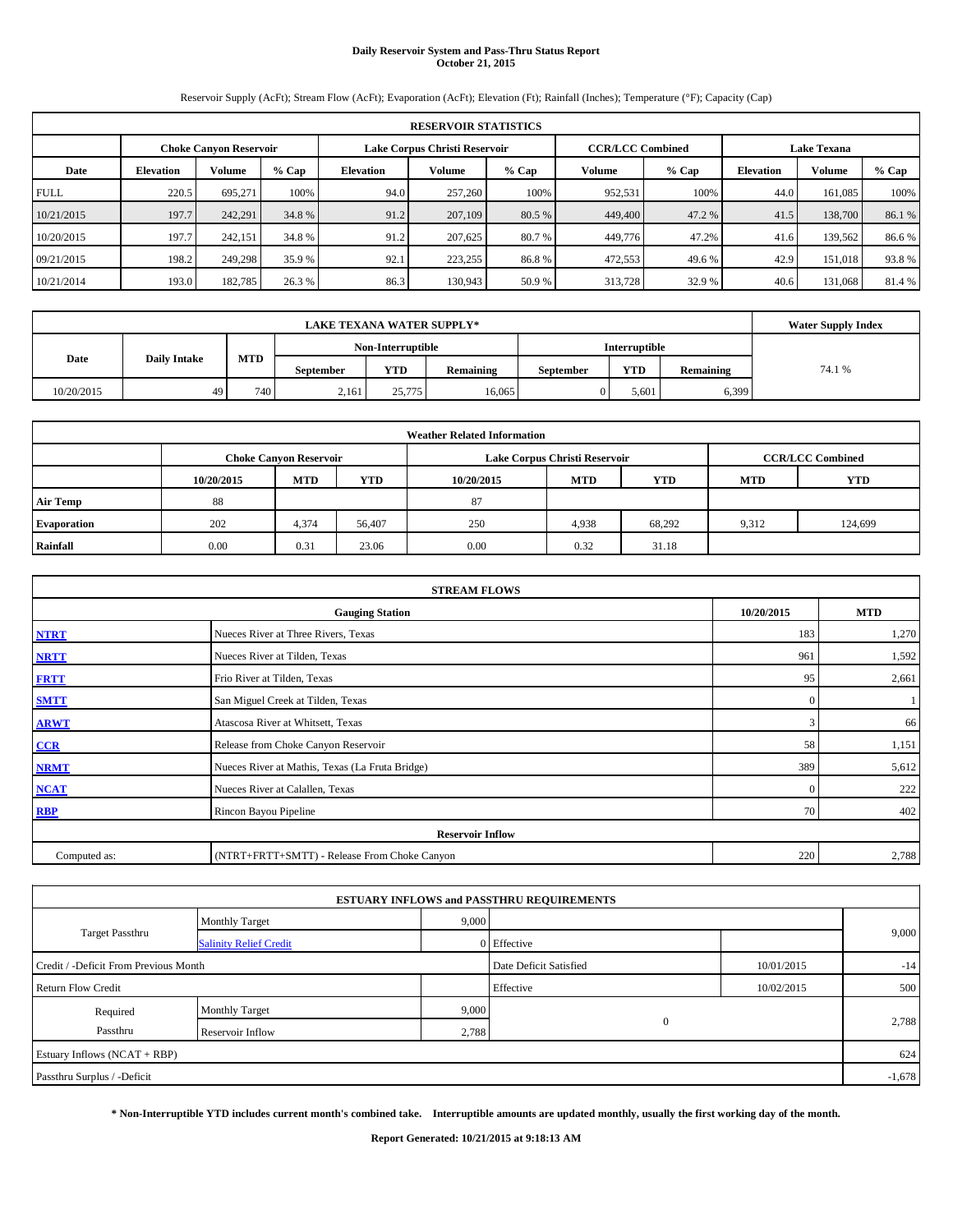## **Daily Reservoir System and Pass-Thru Status Report October 21, 2015**

Reservoir Supply (AcFt); Stream Flow (AcFt); Evaporation (AcFt); Elevation (Ft); Rainfall (Inches); Temperature (°F); Capacity (Cap)

|             | <b>RESERVOIR STATISTICS</b>                                                                                     |               |         |           |         |        |         |        |                  |         |         |  |  |  |  |
|-------------|-----------------------------------------------------------------------------------------------------------------|---------------|---------|-----------|---------|--------|---------|--------|------------------|---------|---------|--|--|--|--|
|             | Lake Corpus Christi Reservoir<br><b>CCR/LCC Combined</b><br><b>Lake Texana</b><br><b>Choke Canvon Reservoir</b> |               |         |           |         |        |         |        |                  |         |         |  |  |  |  |
| Date        | <b>Elevation</b>                                                                                                | <b>Volume</b> | $%$ Cap | Elevation | Volume  | % Cap  | Volume  | % Cap  | <b>Elevation</b> | Volume  | $%$ Cap |  |  |  |  |
| <b>FULL</b> | 220.5                                                                                                           | 695.271       | 100%    | 94.0      | 257,260 | 100%   | 952,531 | 100%   | 44.0             | 161.085 | 100%    |  |  |  |  |
| 10/21/2015  | 197.7                                                                                                           | 242.291       | 34.8 %  | 91.2      | 207,109 | 80.5 % | 449,400 | 47.2 % | 41.5             | 138,700 | 86.1%   |  |  |  |  |
| 10/20/2015  | 197.7                                                                                                           | 242,151       | 34.8 %  | 91.2      | 207,625 | 80.7 % | 449,776 | 47.2%  | 41.6             | 139.562 | 86.6 %  |  |  |  |  |
| 09/21/2015  | 198.2                                                                                                           | 249,298       | 35.9 %  | 92.1      | 223,255 | 86.8%  | 472,553 | 49.6 % | 42.9             | 151,018 | 93.8%   |  |  |  |  |
| 10/21/2014  | 193.0                                                                                                           | 182,785       | 26.3%   | 86.3      | 130,943 | 50.9%  | 313,728 | 32.9 % | 40.6             | 131.068 | 81.4 %  |  |  |  |  |

|            | <b>Water Supply Index</b> |                  |                  |                   |                  |                  |               |           |        |
|------------|---------------------------|------------------|------------------|-------------------|------------------|------------------|---------------|-----------|--------|
|            |                           |                  |                  | Non-Interruptible |                  |                  | Interruptible |           |        |
| Date       | <b>Daily Intake</b>       | <b>MTD</b>       | <b>September</b> | <b>YTD</b>        | <b>Remaining</b> | <b>September</b> | <b>YTD</b>    | Remaining | 74.1 % |
| 10/20/2015 | 49                        | 740 <sub>1</sub> | 2,161            | 25,775            | 16.065           |                  | 5,601         | 6,399     |        |

|                    |            |                                                                                           |        | <b>Weather Related Information</b> |            |            |            |         |  |  |  |  |  |
|--------------------|------------|-------------------------------------------------------------------------------------------|--------|------------------------------------|------------|------------|------------|---------|--|--|--|--|--|
|                    |            | <b>CCR/LCC Combined</b><br>Lake Corpus Christi Reservoir<br><b>Choke Canyon Reservoir</b> |        |                                    |            |            |            |         |  |  |  |  |  |
|                    | 10/20/2015 | <b>MTD</b>                                                                                | YTD    | 10/20/2015                         | <b>MTD</b> | <b>YTD</b> | <b>MTD</b> | YTD     |  |  |  |  |  |
| <b>Air Temp</b>    | 88         |                                                                                           |        | 87                                 |            |            |            |         |  |  |  |  |  |
| <b>Evaporation</b> | 202        | 4,374                                                                                     | 56,407 | 250                                | 4,938      | 68,292     | 9,312      | 124,699 |  |  |  |  |  |
| Rainfall           | 0.00       | 0.31                                                                                      | 23.06  | 0.00                               | 0.32       | 31.18      |            |         |  |  |  |  |  |

|                                                    | <b>STREAM FLOWS</b>                             |          |       |  |  |  |  |  |  |  |
|----------------------------------------------------|-------------------------------------------------|----------|-------|--|--|--|--|--|--|--|
| 10/20/2015<br><b>MTD</b><br><b>Gauging Station</b> |                                                 |          |       |  |  |  |  |  |  |  |
| <b>NTRT</b>                                        | Nueces River at Three Rivers, Texas             | 183      | 1,270 |  |  |  |  |  |  |  |
| <b>NRTT</b>                                        | Nueces River at Tilden, Texas                   | 961      | 1,592 |  |  |  |  |  |  |  |
| <b>FRTT</b>                                        | Frio River at Tilden, Texas                     | 95       | 2,661 |  |  |  |  |  |  |  |
| <b>SMTT</b>                                        | San Miguel Creek at Tilden, Texas               | $\Omega$ |       |  |  |  |  |  |  |  |
| <b>ARWT</b>                                        | Atascosa River at Whitsett, Texas               | 3        | 66    |  |  |  |  |  |  |  |
| CCR                                                | Release from Choke Canyon Reservoir             | 58       | 1,151 |  |  |  |  |  |  |  |
| <b>NRMT</b>                                        | Nueces River at Mathis, Texas (La Fruta Bridge) | 389      | 5,612 |  |  |  |  |  |  |  |
| <b>NCAT</b>                                        | Nueces River at Calallen, Texas                 | $\Omega$ | 222   |  |  |  |  |  |  |  |
| <b>RBP</b>                                         | Rincon Bayou Pipeline                           | 70       | 402   |  |  |  |  |  |  |  |
|                                                    | <b>Reservoir Inflow</b>                         |          |       |  |  |  |  |  |  |  |
| Computed as:                                       | (NTRT+FRTT+SMTT) - Release From Choke Canyon    | 220      | 2,788 |  |  |  |  |  |  |  |

|                                       |                               |       | <b>ESTUARY INFLOWS and PASSTHRU REQUIREMENTS</b> |            |          |
|---------------------------------------|-------------------------------|-------|--------------------------------------------------|------------|----------|
|                                       | <b>Monthly Target</b>         | 9,000 |                                                  |            |          |
| Target Passthru                       | <b>Salinity Relief Credit</b> |       | 0 Effective                                      |            | 9,000    |
| Credit / -Deficit From Previous Month |                               |       | Date Deficit Satisfied                           | 10/01/2015 | $-14$    |
| <b>Return Flow Credit</b>             |                               |       | Effective                                        | 10/02/2015 | 500      |
| Required                              | <b>Monthly Target</b>         | 9,000 |                                                  |            |          |
| Passthru                              | Reservoir Inflow              | 2,788 | $\mathbf{0}$                                     |            | 2,788    |
| Estuary Inflows (NCAT + RBP)          |                               |       |                                                  |            | 624      |
| Passthru Surplus / -Deficit           |                               |       |                                                  |            | $-1,678$ |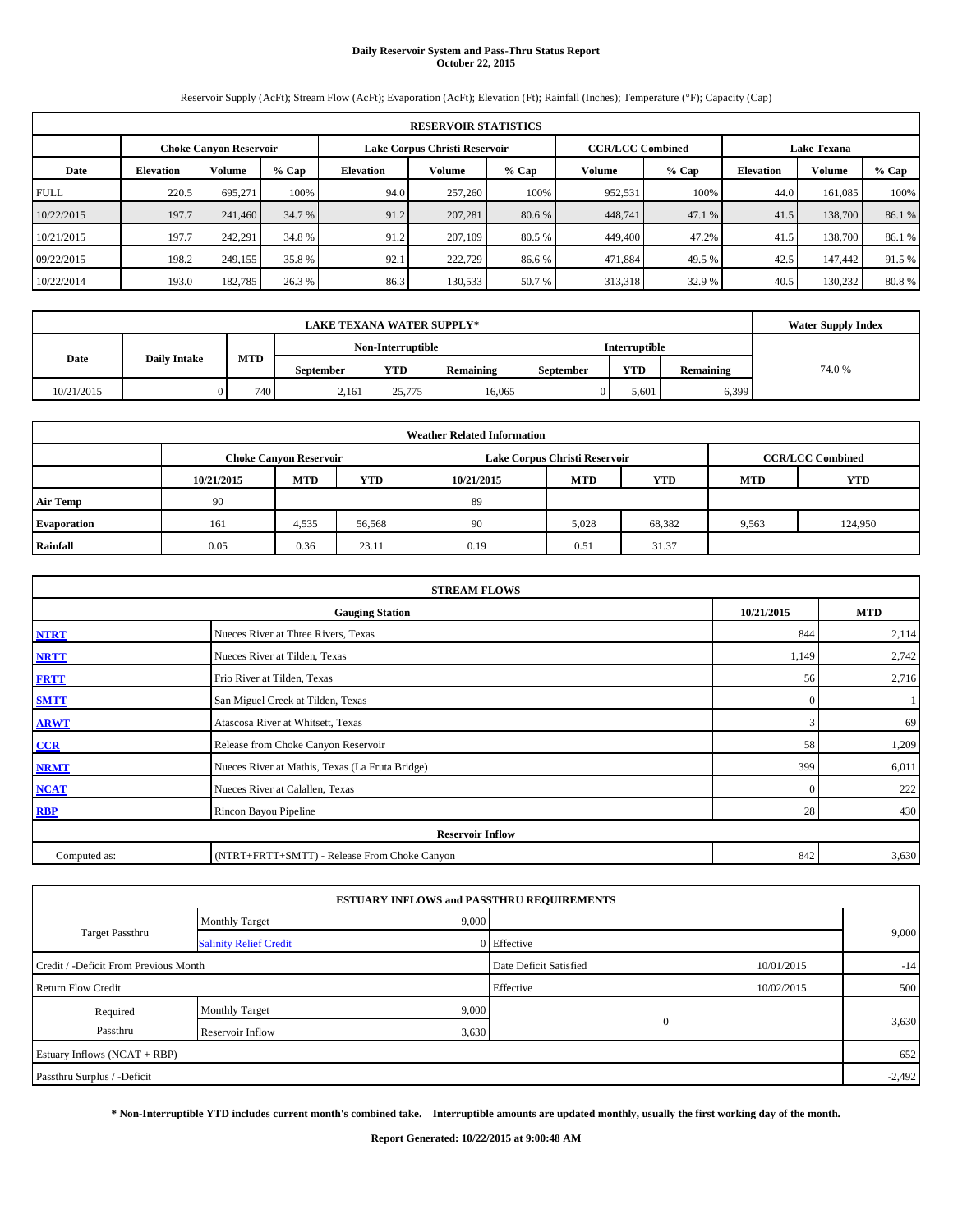## **Daily Reservoir System and Pass-Thru Status Report October 22, 2015**

Reservoir Supply (AcFt); Stream Flow (AcFt); Evaporation (AcFt); Elevation (Ft); Rainfall (Inches); Temperature (°F); Capacity (Cap)

|             | <b>RESERVOIR STATISTICS</b>                                                                                     |               |         |           |         |        |         |        |                  |         |         |  |  |  |  |
|-------------|-----------------------------------------------------------------------------------------------------------------|---------------|---------|-----------|---------|--------|---------|--------|------------------|---------|---------|--|--|--|--|
|             | Lake Corpus Christi Reservoir<br><b>CCR/LCC Combined</b><br><b>Lake Texana</b><br><b>Choke Canvon Reservoir</b> |               |         |           |         |        |         |        |                  |         |         |  |  |  |  |
| Date        | <b>Elevation</b>                                                                                                | <b>Volume</b> | $%$ Cap | Elevation | Volume  | % Cap  | Volume  | % Cap  | <b>Elevation</b> | Volume  | $%$ Cap |  |  |  |  |
| <b>FULL</b> | 220.5                                                                                                           | 695.271       | 100%    | 94.0      | 257,260 | 100%   | 952,531 | 100%   | 44.0             | 161.085 | 100%    |  |  |  |  |
| 10/22/2015  | 197.7                                                                                                           | 241,460       | 34.7 %  | 91.2      | 207,281 | 80.6 % | 448,741 | 47.1 % | 41.5             | 138,700 | 86.1%   |  |  |  |  |
| 10/21/2015  | 197.7                                                                                                           | 242,291       | 34.8 %  | 91.2      | 207,109 | 80.5 % | 449,400 | 47.2%  | 41.5             | 138,700 | 86.1 %  |  |  |  |  |
| 09/22/2015  | 198.2                                                                                                           | 249,155       | 35.8 %  | 92.1      | 222,729 | 86.6%  | 471,884 | 49.5 % | 42.5             | 147,442 | 91.5 %  |  |  |  |  |
| 10/22/2014  | 193.0                                                                                                           | 182,785       | 26.3%   | 86.3      | 130,533 | 50.7%  | 313,318 | 32.9 % | 40.5             | 130.232 | 80.8%   |  |  |  |  |

|            | <b>Water Supply Index</b> |     |                  |                   |                  |                  |               |           |        |
|------------|---------------------------|-----|------------------|-------------------|------------------|------------------|---------------|-----------|--------|
|            |                           |     |                  | Non-Interruptible |                  |                  | Interruptible |           |        |
| Date       | <b>Daily Intake</b>       | MTD | <b>September</b> | <b>YTD</b>        | <b>Remaining</b> | <b>September</b> | <b>YTD</b>    | Remaining | 74.0 % |
| 10/21/2015 |                           | 740 | 2,161            | 25,775            | 16.065           |                  | 5,601         | 6,399     |        |

|                    |            |                                                                                           |        | <b>Weather Related Information</b> |            |            |            |            |  |  |  |  |  |
|--------------------|------------|-------------------------------------------------------------------------------------------|--------|------------------------------------|------------|------------|------------|------------|--|--|--|--|--|
|                    |            | Lake Corpus Christi Reservoir<br><b>CCR/LCC Combined</b><br><b>Choke Canyon Reservoir</b> |        |                                    |            |            |            |            |  |  |  |  |  |
|                    | 10/21/2015 | <b>MTD</b>                                                                                | YTD    | 10/21/2015                         | <b>MTD</b> | <b>YTD</b> | <b>MTD</b> | <b>YTD</b> |  |  |  |  |  |
| <b>Air Temp</b>    | 90         |                                                                                           |        | 89                                 |            |            |            |            |  |  |  |  |  |
| <b>Evaporation</b> | 161        | 4,535                                                                                     | 56,568 | -90                                | 5.028      | 68,382     | 9,563      | 124,950    |  |  |  |  |  |
| Rainfall           | 0.05       | 0.36                                                                                      | 23.11  | 0.19                               | 0.51       | 31.37      |            |            |  |  |  |  |  |

|              | <b>STREAM FLOWS</b>                             |              |            |  |  |  |  |  |  |  |
|--------------|-------------------------------------------------|--------------|------------|--|--|--|--|--|--|--|
|              | <b>Gauging Station</b>                          | 10/21/2015   | <b>MTD</b> |  |  |  |  |  |  |  |
| <b>NTRT</b>  | Nueces River at Three Rivers, Texas             | 844          | 2,114      |  |  |  |  |  |  |  |
| <b>NRTT</b>  | Nueces River at Tilden, Texas                   | 1,149        | 2,742      |  |  |  |  |  |  |  |
| <b>FRTT</b>  | Frio River at Tilden, Texas                     | 56           | 2,716      |  |  |  |  |  |  |  |
| <b>SMTT</b>  | San Miguel Creek at Tilden, Texas               | $\mathbf{0}$ |            |  |  |  |  |  |  |  |
| <b>ARWT</b>  | Atascosa River at Whitsett, Texas               | 3            | 69         |  |  |  |  |  |  |  |
| CCR          | Release from Choke Canyon Reservoir             | 58           | 1,209      |  |  |  |  |  |  |  |
| <b>NRMT</b>  | Nueces River at Mathis, Texas (La Fruta Bridge) | 399          | 6,011      |  |  |  |  |  |  |  |
| <b>NCAT</b>  | Nueces River at Calallen, Texas                 | $\mathbf{0}$ | 222        |  |  |  |  |  |  |  |
| <b>RBP</b>   | Rincon Bayou Pipeline                           | 28           | 430        |  |  |  |  |  |  |  |
|              | <b>Reservoir Inflow</b>                         |              |            |  |  |  |  |  |  |  |
| Computed as: | (NTRT+FRTT+SMTT) - Release From Choke Canyon    | 842          | 3,630      |  |  |  |  |  |  |  |

|                                       |                               |       | <b>ESTUARY INFLOWS and PASSTHRU REQUIREMENTS</b> |            |       |  |  |
|---------------------------------------|-------------------------------|-------|--------------------------------------------------|------------|-------|--|--|
|                                       | <b>Monthly Target</b>         | 9,000 |                                                  |            |       |  |  |
| <b>Target Passthru</b>                | <b>Salinity Relief Credit</b> |       | 0 Effective                                      |            | 9,000 |  |  |
| Credit / -Deficit From Previous Month |                               |       | Date Deficit Satisfied                           | 10/01/2015 | $-14$ |  |  |
| <b>Return Flow Credit</b>             |                               |       | Effective                                        | 10/02/2015 | 500   |  |  |
| Required                              | Monthly Target                | 9,000 |                                                  |            | 3,630 |  |  |
| Passthru                              | Reservoir Inflow              | 3,630 | $\mathbf{0}$                                     |            |       |  |  |
| Estuary Inflows (NCAT + RBP)          |                               |       |                                                  |            | 652   |  |  |
| Passthru Surplus / -Deficit           |                               |       |                                                  |            |       |  |  |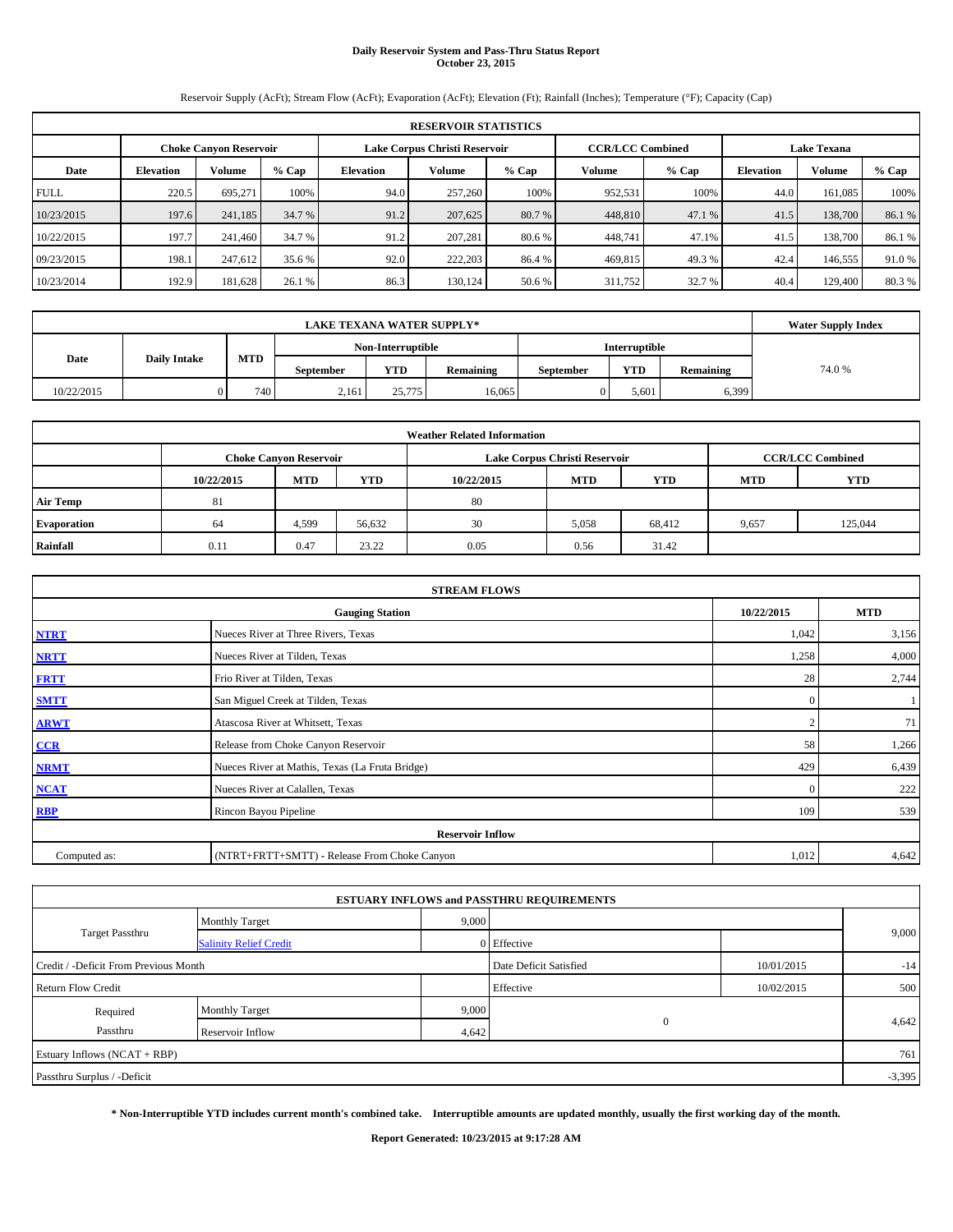# **Daily Reservoir System and Pass-Thru Status Report October 23, 2015**

Reservoir Supply (AcFt); Stream Flow (AcFt); Evaporation (AcFt); Elevation (Ft); Rainfall (Inches); Temperature (°F); Capacity (Cap)

|             | <b>RESERVOIR STATISTICS</b> |                               |         |           |                               |        |                         |        |                    |         |         |  |  |
|-------------|-----------------------------|-------------------------------|---------|-----------|-------------------------------|--------|-------------------------|--------|--------------------|---------|---------|--|--|
|             |                             | <b>Choke Canvon Reservoir</b> |         |           | Lake Corpus Christi Reservoir |        | <b>CCR/LCC Combined</b> |        | <b>Lake Texana</b> |         |         |  |  |
| Date        | <b>Elevation</b>            | <b>Volume</b>                 | $%$ Cap | Elevation | Volume                        | % Cap  | Volume                  | % Cap  | <b>Elevation</b>   | Volume  | $%$ Cap |  |  |
| <b>FULL</b> | 220.5                       | 695.271                       | 100%    | 94.0      | 257,260                       | 100%   | 952,531                 | 100%   | 44.0               | 161.085 | 100%    |  |  |
| 10/23/2015  | 197.6                       | 241,185                       | 34.7 %  | 91.2      | 207,625                       | 80.7 % | 448,810                 | 47.1 % | 41.5               | 138,700 | 86.1%   |  |  |
| 10/22/2015  | 197.7                       | 241,460                       | 34.7 %  | 91.2      | 207.281                       | 80.6 % | 448,741                 | 47.1%  | 41.5               | 138,700 | 86.1 %  |  |  |
| 09/23/2015  | 198.1                       | 247,612                       | 35.6 %  | 92.0      | 222,203                       | 86.4 % | 469,815                 | 49.3 % | 42.4               | 146,555 | 91.0%   |  |  |
| 10/23/2014  | 192.9                       | 181,628                       | 26.1 %  | 86.3      | 130,124                       | 50.6%  | 311,752                 | 32.7 % | 40.4               | 129,400 | 80.3%   |  |  |

|            | <b>Water Supply Index</b> |     |                  |                   |                  |                  |               |           |        |
|------------|---------------------------|-----|------------------|-------------------|------------------|------------------|---------------|-----------|--------|
|            |                           |     |                  | Non-Interruptible |                  |                  | Interruptible |           |        |
| Date       | <b>Daily Intake</b>       | MTD | <b>September</b> | <b>YTD</b>        | <b>Remaining</b> | <b>September</b> | <b>YTD</b>    | Remaining | 74.0 % |
| 10/22/2015 |                           | 740 | 2,161            | 25,775            | 16.065           |                  | 5,601         | 6,399     |        |

|                    | <b>Weather Related Information</b> |                               |        |            |                               |                         |            |            |  |  |  |  |
|--------------------|------------------------------------|-------------------------------|--------|------------|-------------------------------|-------------------------|------------|------------|--|--|--|--|
|                    |                                    | <b>Choke Canyon Reservoir</b> |        |            | Lake Corpus Christi Reservoir | <b>CCR/LCC Combined</b> |            |            |  |  |  |  |
|                    | 10/22/2015                         | <b>MTD</b>                    | YTD    | 10/22/2015 | <b>MTD</b>                    | <b>YTD</b>              | <b>MTD</b> | <b>YTD</b> |  |  |  |  |
| <b>Air Temp</b>    | 81                                 |                               |        | 80         |                               |                         |            |            |  |  |  |  |
| <b>Evaporation</b> | 64                                 | 4,599                         | 56,632 | 30         | 5,058                         | 68,412                  | 9,657      | 125,044    |  |  |  |  |
| Rainfall           | 0.11                               | 0.47                          | 23.22  | 0.05       | 0.56                          | 31.42                   |            |            |  |  |  |  |

|              | <b>STREAM FLOWS</b>                             |              |            |  |  |  |  |  |  |  |
|--------------|-------------------------------------------------|--------------|------------|--|--|--|--|--|--|--|
|              | <b>Gauging Station</b>                          | 10/22/2015   | <b>MTD</b> |  |  |  |  |  |  |  |
| <b>NTRT</b>  | Nueces River at Three Rivers, Texas             | 1,042        | 3,156      |  |  |  |  |  |  |  |
| <b>NRTT</b>  | Nueces River at Tilden, Texas                   | 1,258        | 4,000      |  |  |  |  |  |  |  |
| <b>FRTT</b>  | Frio River at Tilden, Texas                     | 28           | 2,744      |  |  |  |  |  |  |  |
| <b>SMTT</b>  | San Miguel Creek at Tilden, Texas               | $\mathbf{0}$ |            |  |  |  |  |  |  |  |
| <b>ARWT</b>  | Atascosa River at Whitsett, Texas               |              | 71         |  |  |  |  |  |  |  |
| CCR          | Release from Choke Canyon Reservoir             | 58           | 1,266      |  |  |  |  |  |  |  |
| <b>NRMT</b>  | Nueces River at Mathis, Texas (La Fruta Bridge) | 429          | 6,439      |  |  |  |  |  |  |  |
| <b>NCAT</b>  | Nueces River at Calallen, Texas                 | $\mathbf{0}$ | 222        |  |  |  |  |  |  |  |
| <b>RBP</b>   | Rincon Bayou Pipeline                           | 109          | 539        |  |  |  |  |  |  |  |
|              | <b>Reservoir Inflow</b>                         |              |            |  |  |  |  |  |  |  |
| Computed as: | (NTRT+FRTT+SMTT) - Release From Choke Canyon    | 1,012        | 4,642      |  |  |  |  |  |  |  |

|                                       |                               |       | <b>ESTUARY INFLOWS and PASSTHRU REQUIREMENTS</b> |            |          |  |
|---------------------------------------|-------------------------------|-------|--------------------------------------------------|------------|----------|--|
|                                       | <b>Monthly Target</b>         | 9,000 |                                                  |            |          |  |
| <b>Target Passthru</b>                | <b>Salinity Relief Credit</b> |       | 0 Effective                                      |            | 9,000    |  |
| Credit / -Deficit From Previous Month |                               |       | Date Deficit Satisfied                           | 10/01/2015 | $-14$    |  |
| <b>Return Flow Credit</b>             |                               |       | Effective                                        | 10/02/2015 | 500      |  |
| Required                              | Monthly Target                | 9,000 |                                                  |            | 4,642    |  |
| Passthru                              | Reservoir Inflow              | 4,642 | $\mathbf{0}$                                     |            |          |  |
| Estuary Inflows (NCAT + RBP)          |                               |       |                                                  |            | 761      |  |
| Passthru Surplus / -Deficit           |                               |       |                                                  |            | $-3,395$ |  |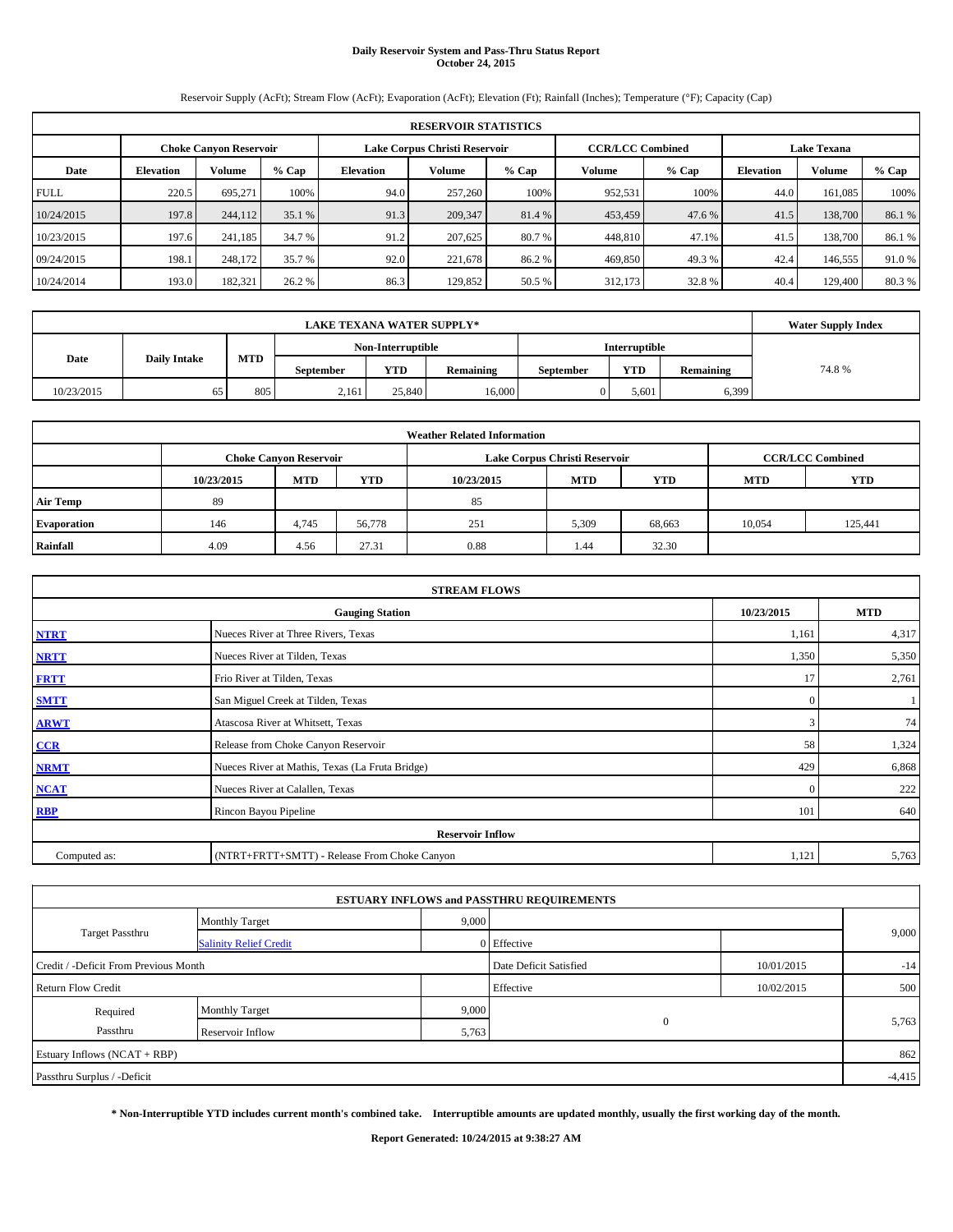# **Daily Reservoir System and Pass-Thru Status Report October 24, 2015**

Reservoir Supply (AcFt); Stream Flow (AcFt); Evaporation (AcFt); Elevation (Ft); Rainfall (Inches); Temperature (°F); Capacity (Cap)

|             | <b>RESERVOIR STATISTICS</b>   |               |         |                               |         |         |                         |         |                    |         |        |  |  |
|-------------|-------------------------------|---------------|---------|-------------------------------|---------|---------|-------------------------|---------|--------------------|---------|--------|--|--|
|             | <b>Choke Canyon Reservoir</b> |               |         | Lake Corpus Christi Reservoir |         |         | <b>CCR/LCC Combined</b> |         | <b>Lake Texana</b> |         |        |  |  |
| Date        | <b>Elevation</b>              | <b>Volume</b> | $%$ Cap | <b>Elevation</b>              | Volume  | $%$ Cap | Volume                  | $%$ Cap | <b>Elevation</b>   | Volume  | % Cap  |  |  |
| <b>FULL</b> | 220.5                         | 695.271       | 100%    | 94.0                          | 257,260 | 100%    | 952,531                 | 100%    | 44.0               | 161.085 | 100%   |  |  |
| 10/24/2015  | 197.8                         | 244,112       | 35.1%   | 91.3                          | 209,347 | 81.4 %  | 453,459                 | 47.6 %  | 41.5               | 138,700 | 86.1%  |  |  |
| 10/23/2015  | 197.6                         | 241.185       | 34.7 %  | 91.2                          | 207,625 | 80.7 %  | 448,810                 | 47.1%   | 41.5               | 138,700 | 86.1 % |  |  |
| 09/24/2015  | 198.1                         | 248,172       | 35.7 %  | 92.0                          | 221,678 | 86.2%   | 469,850                 | 49.3 %  | 42.4               | 146,555 | 91.0%  |  |  |
| 10/24/2014  | 193.0                         | 182,321       | 26.2 %  | 86.3                          | 129,852 | 50.5 %  | 312,173                 | 32.8%   | 40.4               | 129,400 | 80.3%  |  |  |

|            | <b>Water Supply Index</b> |            |                  |                   |                  |                  |               |                  |       |
|------------|---------------------------|------------|------------------|-------------------|------------------|------------------|---------------|------------------|-------|
|            |                           |            |                  | Non-Interruptible |                  |                  | Interruptible |                  |       |
| Date       | <b>Daily Intake</b>       | <b>MTD</b> | <b>September</b> | <b>YTD</b>        | <b>Remaining</b> | <b>September</b> | <b>YTD</b>    | <b>Remaining</b> | 74.8% |
| 10/23/2015 | 65                        | 805        | 2,161            | 25,840            | 16,000           |                  | 5,601         | 6,399            |       |

| <b>Weather Related Information</b> |                               |            |            |            |                               |                         |            |            |  |  |  |
|------------------------------------|-------------------------------|------------|------------|------------|-------------------------------|-------------------------|------------|------------|--|--|--|
|                                    | <b>Choke Canyon Reservoir</b> |            |            |            | Lake Corpus Christi Reservoir | <b>CCR/LCC Combined</b> |            |            |  |  |  |
|                                    | 10/23/2015                    | <b>MTD</b> | <b>YTD</b> | 10/23/2015 | <b>MTD</b>                    | <b>YTD</b>              | <b>MTD</b> | <b>YTD</b> |  |  |  |
| <b>Air Temp</b>                    | 89                            |            |            | 85         |                               |                         |            |            |  |  |  |
| <b>Evaporation</b>                 | 146                           | 4,745      | 56,778     | 251        | 5,309                         | 68,663                  | 10,054     | 125,441    |  |  |  |
| Rainfall                           | 4.09                          | 4.56       | 27.31      | 0.88       | 1.44                          | 32.30                   |            |            |  |  |  |

|              | <b>STREAM FLOWS</b>                             |              |            |  |  |  |  |  |  |  |  |
|--------------|-------------------------------------------------|--------------|------------|--|--|--|--|--|--|--|--|
|              | <b>Gauging Station</b>                          | 10/23/2015   | <b>MTD</b> |  |  |  |  |  |  |  |  |
| <b>NTRT</b>  | Nueces River at Three Rivers, Texas             | 1,161        | 4,317      |  |  |  |  |  |  |  |  |
| <b>NRTT</b>  | Nueces River at Tilden, Texas                   | 1,350        | 5,350      |  |  |  |  |  |  |  |  |
| <b>FRTT</b>  | Frio River at Tilden, Texas                     | 17           | 2,761      |  |  |  |  |  |  |  |  |
| <b>SMTT</b>  | San Miguel Creek at Tilden, Texas               | $\mathbf{0}$ |            |  |  |  |  |  |  |  |  |
| <b>ARWT</b>  | Atascosa River at Whitsett, Texas               | 3            | 74         |  |  |  |  |  |  |  |  |
| $CCR$        | Release from Choke Canyon Reservoir             | 58           | 1,324      |  |  |  |  |  |  |  |  |
| <b>NRMT</b>  | Nueces River at Mathis, Texas (La Fruta Bridge) | 429          | 6,868      |  |  |  |  |  |  |  |  |
| <b>NCAT</b>  | Nueces River at Calallen, Texas                 | $\Omega$     | 222        |  |  |  |  |  |  |  |  |
| <b>RBP</b>   | Rincon Bayou Pipeline                           | 101          | 640        |  |  |  |  |  |  |  |  |
|              | <b>Reservoir Inflow</b>                         |              |            |  |  |  |  |  |  |  |  |
| Computed as: | (NTRT+FRTT+SMTT) - Release From Choke Canyon    | 1,121        | 5,763      |  |  |  |  |  |  |  |  |

| <b>ESTUARY INFLOWS and PASSTHRU REQUIREMENTS</b> |                               |                        |             |            |       |  |  |  |  |  |  |
|--------------------------------------------------|-------------------------------|------------------------|-------------|------------|-------|--|--|--|--|--|--|
|                                                  | <b>Monthly Target</b>         | 9,000                  |             |            |       |  |  |  |  |  |  |
| Target Passthru                                  | <b>Salinity Relief Credit</b> |                        | 0 Effective |            | 9,000 |  |  |  |  |  |  |
| Credit / -Deficit From Previous Month            |                               | Date Deficit Satisfied | 10/01/2015  | $-14$      |       |  |  |  |  |  |  |
| <b>Return Flow Credit</b>                        |                               |                        | Effective   | 10/02/2015 | 500   |  |  |  |  |  |  |
| Required                                         | Monthly Target                | 9,000                  |             |            |       |  |  |  |  |  |  |
| Passthru                                         | Reservoir Inflow              | 5,763                  | $\Omega$    |            | 5,763 |  |  |  |  |  |  |
| Estuary Inflows (NCAT + RBP)                     |                               |                        |             |            |       |  |  |  |  |  |  |
| Passthru Surplus / -Deficit                      |                               |                        |             |            |       |  |  |  |  |  |  |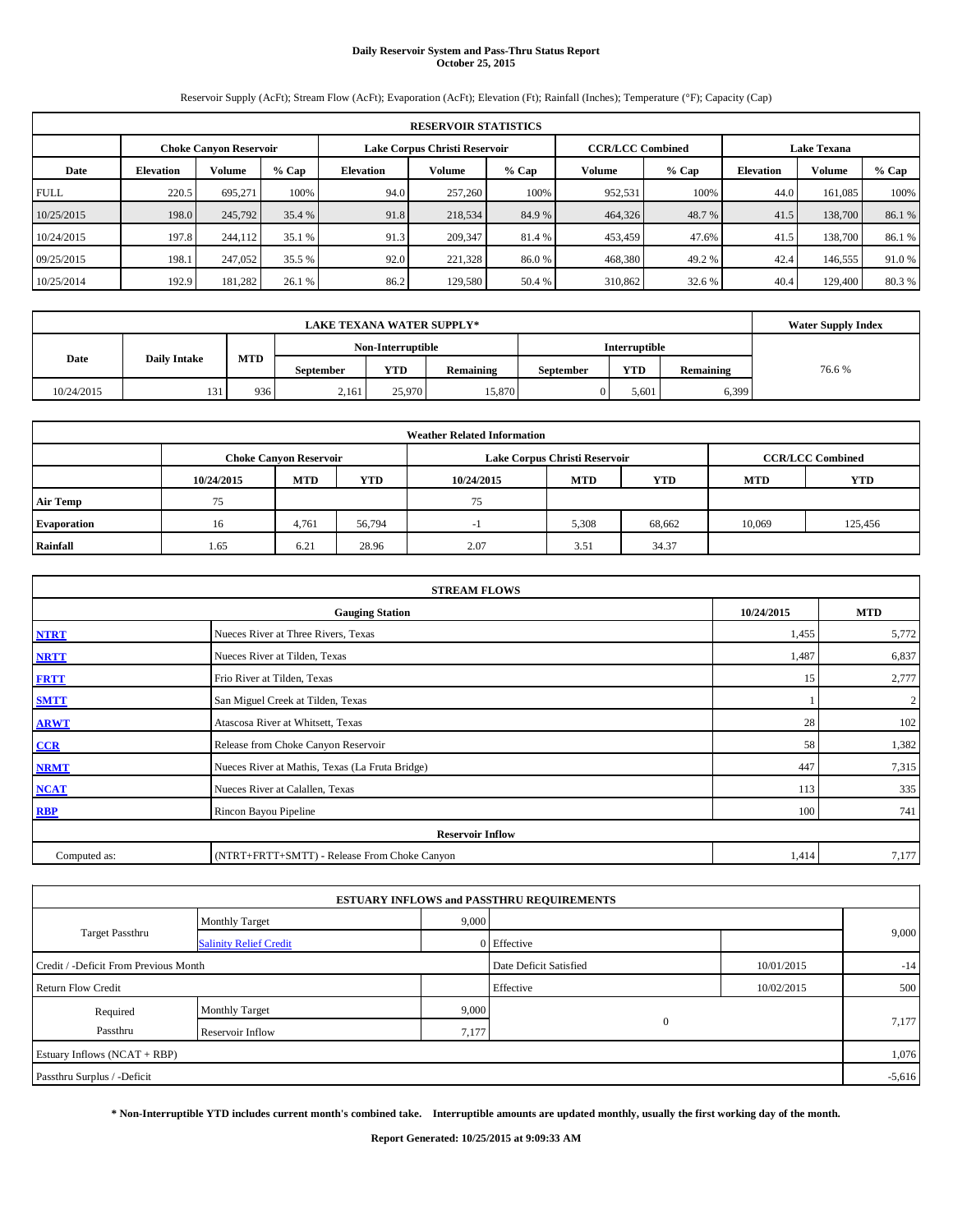# **Daily Reservoir System and Pass-Thru Status Report October 25, 2015**

Reservoir Supply (AcFt); Stream Flow (AcFt); Evaporation (AcFt); Elevation (Ft); Rainfall (Inches); Temperature (°F); Capacity (Cap)

| <b>RESERVOIR STATISTICS</b> |                                                                                                                 |         |        |           |         |        |         |        |                  |         |         |  |
|-----------------------------|-----------------------------------------------------------------------------------------------------------------|---------|--------|-----------|---------|--------|---------|--------|------------------|---------|---------|--|
|                             | Lake Corpus Christi Reservoir<br><b>CCR/LCC Combined</b><br><b>Lake Texana</b><br><b>Choke Canvon Reservoir</b> |         |        |           |         |        |         |        |                  |         |         |  |
| Date                        | <b>Volume</b><br>$%$ Cap<br><b>Elevation</b>                                                                    |         |        | Elevation | Volume  | % Cap  | Volume  | % Cap  | <b>Elevation</b> | Volume  | $%$ Cap |  |
| <b>FULL</b>                 | 220.5                                                                                                           | 695.271 | 100%   | 94.0      | 257,260 | 100%   | 952,531 | 100%   | 44.0             | 161.085 | 100%    |  |
| 10/25/2015                  | 198.0                                                                                                           | 245,792 | 35.4 % | 91.8      | 218,534 | 84.9%  | 464,326 | 48.7 % | 41.5             | 138,700 | 86.1%   |  |
| 10/24/2015                  | 197.8                                                                                                           | 244,112 | 35.1 % | 91.3      | 209,347 | 81.4 % | 453,459 | 47.6%  | 41.5             | 138,700 | 86.1 %  |  |
| 09/25/2015                  | 198.1                                                                                                           | 247,052 | 35.5 % | 92.0      | 221,328 | 86.0%  | 468,380 | 49.2 % | 42.4             | 146,555 | 91.0%   |  |
| 10/25/2014                  | 192.9                                                                                                           | 181,282 | 26.1 % | 86.2      | 129,580 | 50.4 % | 310,862 | 32.6 % | 40.4             | 129,400 | 80.3%   |  |

|            | <b>Water Supply Index</b> |     |                  |                   |           |                  |               |           |       |
|------------|---------------------------|-----|------------------|-------------------|-----------|------------------|---------------|-----------|-------|
|            |                           |     |                  | Non-Interruptible |           |                  | Interruptible |           |       |
| Date       | <b>Daily Intake</b>       | MTD | <b>September</b> | <b>YTD</b>        | Remaining | <b>September</b> | <b>YTD</b>    | Remaining | 76.6% |
| 10/24/2015 | 131                       | 936 | 2,161            | 25,970            | 15,870    |                  | 5,601         | 6,399     |       |

| <b>Weather Related Information</b> |                                                                                  |                               |        |      |                               |                         |        |            |  |  |  |
|------------------------------------|----------------------------------------------------------------------------------|-------------------------------|--------|------|-------------------------------|-------------------------|--------|------------|--|--|--|
|                                    |                                                                                  | <b>Choke Canyon Reservoir</b> |        |      | Lake Corpus Christi Reservoir | <b>CCR/LCC Combined</b> |        |            |  |  |  |
|                                    | <b>MTD</b><br><b>YTD</b><br><b>MTD</b><br><b>YTD</b><br>10/24/2015<br>10/24/2015 |                               |        |      |                               |                         |        | <b>YTD</b> |  |  |  |
| <b>Air Temp</b>                    | 75                                                                               |                               |        | 75   |                               |                         |        |            |  |  |  |
| <b>Evaporation</b>                 | 16                                                                               | 4,761                         | 56,794 |      | 5,308                         | 68,662                  | 10,069 | 125,456    |  |  |  |
| Rainfall                           | 1.65                                                                             | 6.21                          | 28.96  | 2.07 | 3.51                          | 34.37                   |        |            |  |  |  |

| <b>STREAM FLOWS</b>                                |                                                 |       |                  |  |  |  |  |  |  |
|----------------------------------------------------|-------------------------------------------------|-------|------------------|--|--|--|--|--|--|
| 10/24/2015<br><b>MTD</b><br><b>Gauging Station</b> |                                                 |       |                  |  |  |  |  |  |  |
| <b>NTRT</b>                                        | Nueces River at Three Rivers, Texas             | 1,455 | 5,772            |  |  |  |  |  |  |
| <b>NRTT</b>                                        | Nueces River at Tilden, Texas                   | 1,487 | 6,837            |  |  |  |  |  |  |
| <b>FRTT</b>                                        | Frio River at Tilden, Texas                     | 15    | 2,777            |  |  |  |  |  |  |
| <b>SMTT</b>                                        | San Miguel Creek at Tilden, Texas               |       | $\boldsymbol{2}$ |  |  |  |  |  |  |
| <b>ARWT</b>                                        | Atascosa River at Whitsett, Texas               | 28    | 102              |  |  |  |  |  |  |
| CCR                                                | Release from Choke Canyon Reservoir             | 58    | 1,382            |  |  |  |  |  |  |
| <b>NRMT</b>                                        | Nueces River at Mathis, Texas (La Fruta Bridge) | 447   | 7,315            |  |  |  |  |  |  |
| <b>NCAT</b>                                        | Nueces River at Calallen, Texas                 | 113   | 335              |  |  |  |  |  |  |
| <b>RBP</b>                                         | Rincon Bayou Pipeline                           | 100   | 741              |  |  |  |  |  |  |
|                                                    | <b>Reservoir Inflow</b>                         |       |                  |  |  |  |  |  |  |
| Computed as:                                       | (NTRT+FRTT+SMTT) - Release From Choke Canyon    |       |                  |  |  |  |  |  |  |

|                                       |                               |       | <b>ESTUARY INFLOWS and PASSTHRU REQUIREMENTS</b> |            |       |  |  |  |
|---------------------------------------|-------------------------------|-------|--------------------------------------------------|------------|-------|--|--|--|
|                                       | <b>Monthly Target</b>         | 9,000 |                                                  |            |       |  |  |  |
| <b>Target Passthru</b>                | <b>Salinity Relief Credit</b> |       | 0 Effective                                      |            | 9,000 |  |  |  |
| Credit / -Deficit From Previous Month |                               |       | Date Deficit Satisfied                           | 10/01/2015 | $-14$ |  |  |  |
| <b>Return Flow Credit</b>             |                               |       | Effective                                        | 10/02/2015 | 500   |  |  |  |
| Required                              | Monthly Target                | 9,000 |                                                  |            |       |  |  |  |
| Passthru                              | Reservoir Inflow              | 7,177 | $\mathbf{0}$                                     |            | 7,177 |  |  |  |
| Estuary Inflows (NCAT + RBP)          |                               |       |                                                  |            |       |  |  |  |
| Passthru Surplus / -Deficit           |                               |       |                                                  |            |       |  |  |  |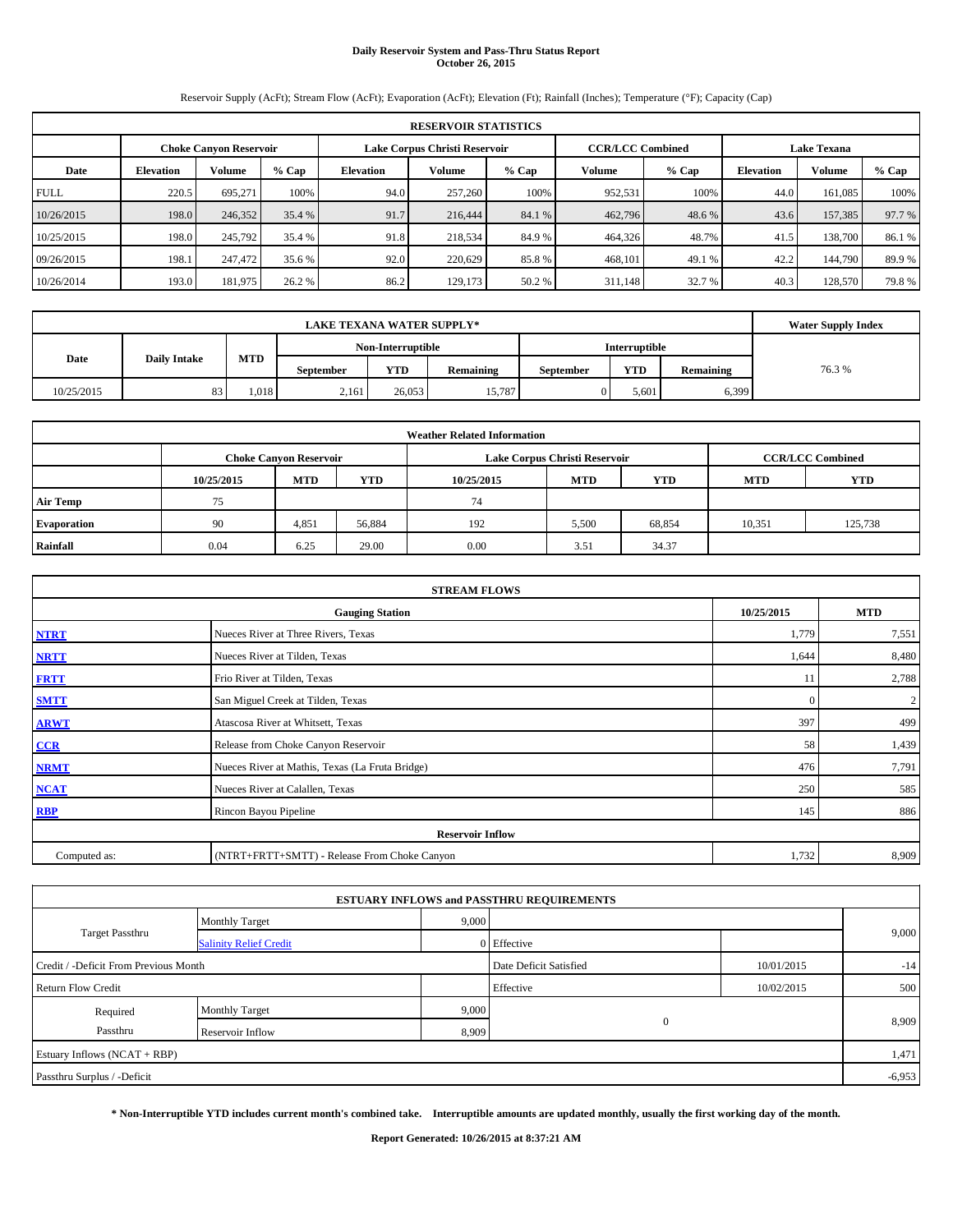## **Daily Reservoir System and Pass-Thru Status Report October 26, 2015**

Reservoir Supply (AcFt); Stream Flow (AcFt); Evaporation (AcFt); Elevation (Ft); Rainfall (Inches); Temperature (°F); Capacity (Cap)

|             | <b>RESERVOIR STATISTICS</b>                                                                                     |         |         |                  |         |         |         |         |                  |         |        |  |
|-------------|-----------------------------------------------------------------------------------------------------------------|---------|---------|------------------|---------|---------|---------|---------|------------------|---------|--------|--|
|             | <b>CCR/LCC Combined</b><br>Lake Corpus Christi Reservoir<br><b>Lake Texana</b><br><b>Choke Canyon Reservoir</b> |         |         |                  |         |         |         |         |                  |         |        |  |
| Date        | <b>Volume</b><br><b>Elevation</b>                                                                               |         | $%$ Cap | <b>Elevation</b> | Volume  | $%$ Cap | Volume  | $%$ Cap | <b>Elevation</b> | Volume  | % Cap  |  |
| <b>FULL</b> | 220.5                                                                                                           | 695.271 | 100%    | 94.0             | 257,260 | 100%    | 952,531 | 100%    | 44.0             | 161.085 | 100%   |  |
| 10/26/2015  | 198.0                                                                                                           | 246,352 | 35.4 %  | 91.7             | 216,444 | 84.1 %  | 462,796 | 48.6 %  | 43.6             | 157,385 | 97.7 % |  |
| 10/25/2015  | 198.0                                                                                                           | 245,792 | 35.4 %  | 91.8             | 218,534 | 84.9 %  | 464,326 | 48.7%   | 41.5             | 138,700 | 86.1 % |  |
| 09/26/2015  | 198.1                                                                                                           | 247,472 | 35.6 %  | 92.0             | 220.629 | 85.8%   | 468,101 | 49.1 %  | 42.2             | 144,790 | 89.9%  |  |
| 10/26/2014  | 193.0                                                                                                           | 181,975 | 26.2 %  | 86.2             | 129,173 | 50.2 %  | 311,148 | 32.7 %  | 40.3             | 128,570 | 79.8%  |  |

|            | <b>Water Supply Index</b>  |      |                  |                   |           |                  |                      |           |        |
|------------|----------------------------|------|------------------|-------------------|-----------|------------------|----------------------|-----------|--------|
|            |                            |      |                  | Non-Interruptible |           |                  | <b>Interruptible</b> |           |        |
| Date       | MTD<br><b>Daily Intake</b> |      | <b>September</b> | <b>YTD</b>        | Remaining | <b>September</b> | <b>YTD</b>           | Remaining | 76.3 % |
| 10/25/2015 | 83                         | .018 | 2,161            | 26.053            | 15.787    | 0                | 5,601                | 6,399     |        |

| <b>Weather Related Information</b> |                                                                           |                               |        |      |                               |                         |            |            |  |  |  |
|------------------------------------|---------------------------------------------------------------------------|-------------------------------|--------|------|-------------------------------|-------------------------|------------|------------|--|--|--|
|                                    |                                                                           | <b>Choke Canyon Reservoir</b> |        |      | Lake Corpus Christi Reservoir | <b>CCR/LCC Combined</b> |            |            |  |  |  |
|                                    | <b>MTD</b><br>YTD<br><b>MTD</b><br><b>YTD</b><br>10/25/2015<br>10/25/2015 |                               |        |      |                               |                         | <b>MTD</b> | <b>YTD</b> |  |  |  |
| <b>Air Temp</b>                    | 75                                                                        |                               |        | 74   |                               |                         |            |            |  |  |  |
| <b>Evaporation</b>                 | 90                                                                        | 4,851                         | 56,884 | 192  | 5,500                         | 68,854                  | 10,351     | 125,738    |  |  |  |
| Rainfall                           | 0.04                                                                      | 6.25                          | 29.00  | 0.00 | 3.51                          | 34.37                   |            |            |  |  |  |

| <b>STREAM FLOWS</b> |                                                    |              |                |  |  |  |  |  |  |  |
|---------------------|----------------------------------------------------|--------------|----------------|--|--|--|--|--|--|--|
|                     | 10/25/2015<br><b>MTD</b><br><b>Gauging Station</b> |              |                |  |  |  |  |  |  |  |
| <b>NTRT</b>         | Nueces River at Three Rivers, Texas                | 1,779        | 7,551          |  |  |  |  |  |  |  |
| <b>NRTT</b>         | Nueces River at Tilden, Texas                      | 1,644        | 8,480          |  |  |  |  |  |  |  |
| <b>FRTT</b>         | Frio River at Tilden, Texas                        | 11           | 2,788          |  |  |  |  |  |  |  |
| <b>SMTT</b>         | San Miguel Creek at Tilden, Texas                  | $\mathbf{0}$ | $\overline{2}$ |  |  |  |  |  |  |  |
| <b>ARWT</b>         | Atascosa River at Whitsett, Texas                  | 397          | 499            |  |  |  |  |  |  |  |
| CCR                 | Release from Choke Canyon Reservoir                | 58           | 1,439          |  |  |  |  |  |  |  |
| <b>NRMT</b>         | Nueces River at Mathis, Texas (La Fruta Bridge)    | 476          | 7,791          |  |  |  |  |  |  |  |
| <b>NCAT</b>         | Nueces River at Calallen, Texas                    | 250          | 585            |  |  |  |  |  |  |  |
| <b>RBP</b>          | Rincon Bayou Pipeline                              | 145          | 886            |  |  |  |  |  |  |  |
|                     | <b>Reservoir Inflow</b>                            |              |                |  |  |  |  |  |  |  |
| Computed as:        | (NTRT+FRTT+SMTT) - Release From Choke Canyon       |              |                |  |  |  |  |  |  |  |

|                                       |                               |       | <b>ESTUARY INFLOWS and PASSTHRU REQUIREMENTS</b> |            |       |  |  |  |
|---------------------------------------|-------------------------------|-------|--------------------------------------------------|------------|-------|--|--|--|
|                                       | <b>Monthly Target</b>         | 9,000 |                                                  |            |       |  |  |  |
| <b>Target Passthru</b>                | <b>Salinity Relief Credit</b> |       | 0 Effective                                      |            | 9,000 |  |  |  |
| Credit / -Deficit From Previous Month |                               |       | Date Deficit Satisfied                           | 10/01/2015 | $-14$ |  |  |  |
| <b>Return Flow Credit</b>             |                               |       | Effective                                        | 10/02/2015 | 500   |  |  |  |
| Required                              | Monthly Target                | 9,000 |                                                  |            |       |  |  |  |
| Passthru                              | Reservoir Inflow              | 8,909 | $\mathbf{0}$                                     |            | 8,909 |  |  |  |
| Estuary Inflows (NCAT + RBP)          |                               |       |                                                  |            |       |  |  |  |
| Passthru Surplus / -Deficit           |                               |       |                                                  |            |       |  |  |  |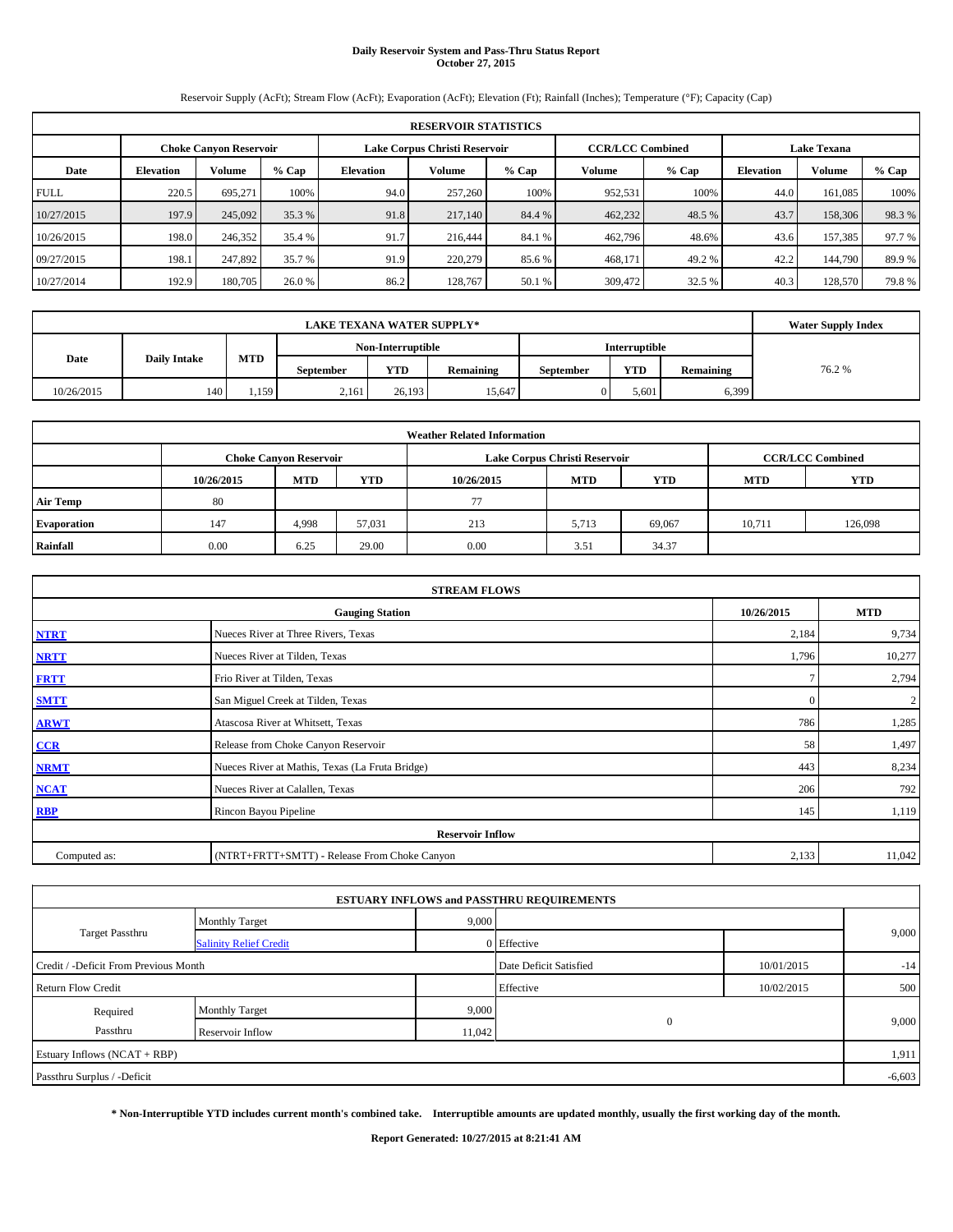## **Daily Reservoir System and Pass-Thru Status Report October 27, 2015**

Reservoir Supply (AcFt); Stream Flow (AcFt); Evaporation (AcFt); Elevation (Ft); Rainfall (Inches); Temperature (°F); Capacity (Cap)

| <b>RESERVOIR STATISTICS</b> |                                                                                                                 |         |        |           |         |        |         |        |                  |         |         |  |
|-----------------------------|-----------------------------------------------------------------------------------------------------------------|---------|--------|-----------|---------|--------|---------|--------|------------------|---------|---------|--|
|                             | Lake Corpus Christi Reservoir<br><b>CCR/LCC Combined</b><br><b>Lake Texana</b><br><b>Choke Canvon Reservoir</b> |         |        |           |         |        |         |        |                  |         |         |  |
| Date                        | <b>Volume</b><br>$%$ Cap<br><b>Elevation</b>                                                                    |         |        | Elevation | Volume  | % Cap  | Volume  | % Cap  | <b>Elevation</b> | Volume  | $%$ Cap |  |
| <b>FULL</b>                 | 220.5                                                                                                           | 695.271 | 100%   | 94.0      | 257,260 | 100%   | 952,531 | 100%   | 44.0             | 161.085 | 100%    |  |
| 10/27/2015                  | 197.9                                                                                                           | 245,092 | 35.3 % | 91.8      | 217,140 | 84.4 % | 462,232 | 48.5 % | 43.7             | 158,306 | 98.3%   |  |
| 10/26/2015                  | 198.0                                                                                                           | 246,352 | 35.4 % | 91.7      | 216,444 | 84.1 % | 462,796 | 48.6%  | 43.6             | 157,385 | 97.7 %  |  |
| 09/27/2015                  | 198.1                                                                                                           | 247,892 | 35.7 % | 91.9      | 220,279 | 85.6%  | 468,171 | 49.2 % | 42.2             | 144,790 | 89.9%   |  |
| 10/27/2014                  | 192.9                                                                                                           | 180,705 | 26.0 % | 86.2      | 128,767 | 50.1 % | 309,472 | 32.5 % | 40.3             | 128,570 | 79.8%   |  |

|            | <b>Water Supply Index</b> |            |                  |                   |           |           |                      |                  |       |
|------------|---------------------------|------------|------------------|-------------------|-----------|-----------|----------------------|------------------|-------|
|            |                           |            |                  | Non-Interruptible |           |           | <b>Interruptible</b> |                  |       |
| Date       | <b>Daily Intake</b>       | <b>MTD</b> | <b>September</b> | <b>YTD</b>        | Remaining | September | <b>YTD</b>           | <b>Remaining</b> | 76.2% |
| 10/26/2015 | 140                       | 1,159      | 2,161            | 26.193            | 15,647    |           | 5,601                | 5,399            |       |

| <b>Weather Related Information</b> |            |                               |        |            |                               |                         |            |            |  |  |
|------------------------------------|------------|-------------------------------|--------|------------|-------------------------------|-------------------------|------------|------------|--|--|
|                                    |            | <b>Choke Canyon Reservoir</b> |        |            | Lake Corpus Christi Reservoir | <b>CCR/LCC Combined</b> |            |            |  |  |
|                                    | 10/26/2015 | <b>MTD</b>                    | YTD    | 10/26/2015 | <b>MTD</b>                    | <b>YTD</b>              | <b>MTD</b> | <b>YTD</b> |  |  |
| <b>Air Temp</b>                    | 80         |                               |        | 77         |                               |                         |            |            |  |  |
| <b>Evaporation</b>                 | 147        | 4.998                         | 57,031 | 213        | 5.713                         | 69,067                  | 10,711     | 126,098    |  |  |
| Rainfall                           | 0.00       | 6.25                          | 29.00  | 0.00       | 3.51                          | 34.37                   |            |            |  |  |

| <b>STREAM FLOWS</b> |                                                 |          |                  |  |  |  |  |  |  |
|---------------------|-------------------------------------------------|----------|------------------|--|--|--|--|--|--|
|                     | <b>Gauging Station</b>                          |          |                  |  |  |  |  |  |  |
| <b>NTRT</b>         | Nueces River at Three Rivers, Texas             | 2,184    | 9,734            |  |  |  |  |  |  |
| <b>NRTT</b>         | Nueces River at Tilden, Texas                   | 1,796    | 10,277           |  |  |  |  |  |  |
| <b>FRTT</b>         | Frio River at Tilden, Texas                     |          | 2,794            |  |  |  |  |  |  |
| <b>SMTT</b>         | San Miguel Creek at Tilden, Texas               | $\Omega$ | $\boldsymbol{2}$ |  |  |  |  |  |  |
| <b>ARWT</b>         | Atascosa River at Whitsett, Texas               | 786      | 1,285            |  |  |  |  |  |  |
| $CCR$               | Release from Choke Canyon Reservoir             | 58       | 1,497            |  |  |  |  |  |  |
| <b>NRMT</b>         | Nueces River at Mathis, Texas (La Fruta Bridge) | 443      | 8,234            |  |  |  |  |  |  |
| <b>NCAT</b>         | Nueces River at Calallen, Texas                 | 206      | 792              |  |  |  |  |  |  |
| <b>RBP</b>          | Rincon Bayou Pipeline                           | 145      | 1,119            |  |  |  |  |  |  |
|                     | <b>Reservoir Inflow</b>                         |          |                  |  |  |  |  |  |  |
| Computed as:        | (NTRT+FRTT+SMTT) - Release From Choke Canyon    | 2,133    | 11,042           |  |  |  |  |  |  |

|                                       |                               |        | <b>ESTUARY INFLOWS and PASSTHRU REQUIREMENTS</b> |            |          |
|---------------------------------------|-------------------------------|--------|--------------------------------------------------|------------|----------|
|                                       | <b>Monthly Target</b>         | 9,000  |                                                  |            |          |
| Target Passthru                       | <b>Salinity Relief Credit</b> |        | 0 Effective                                      |            | 9,000    |
| Credit / -Deficit From Previous Month |                               |        | Date Deficit Satisfied                           | 10/01/2015 | $-14$    |
| <b>Return Flow Credit</b>             |                               |        | Effective                                        | 10/02/2015 | 500      |
| Required                              | <b>Monthly Target</b>         | 9,000  |                                                  |            |          |
| Passthru                              | Reservoir Inflow              | 11,042 | $\mathbf{0}$                                     |            | 9,000    |
| Estuary Inflows (NCAT + RBP)          |                               |        |                                                  |            | 1,911    |
| Passthru Surplus / -Deficit           |                               |        |                                                  |            | $-6,603$ |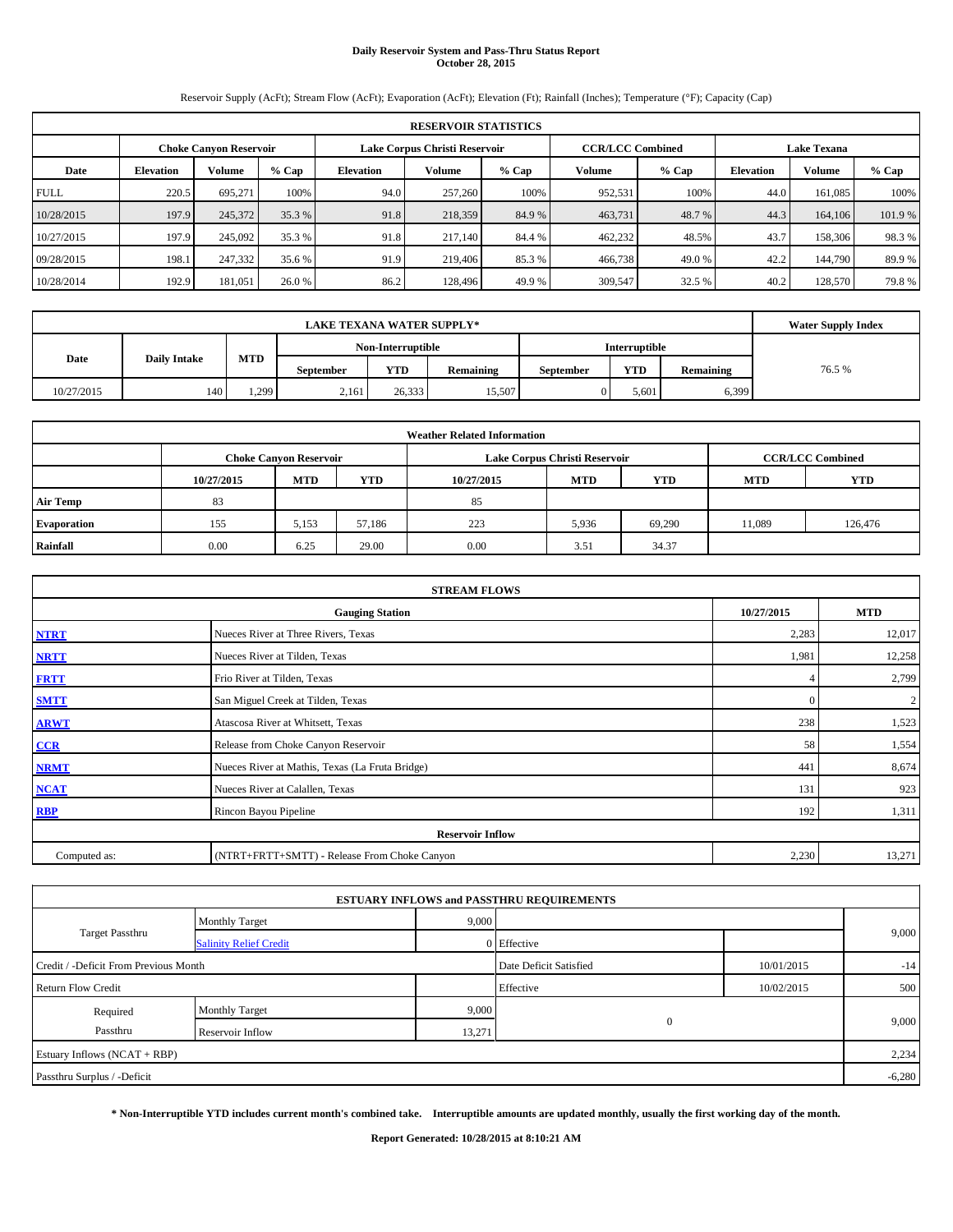# **Daily Reservoir System and Pass-Thru Status Report October 28, 2015**

Reservoir Supply (AcFt); Stream Flow (AcFt); Evaporation (AcFt); Elevation (Ft); Rainfall (Inches); Temperature (°F); Capacity (Cap)

| <b>RESERVOIR STATISTICS</b> |                                                         |         |         |                  |         |        |                                               |         |                  |               |         |
|-----------------------------|---------------------------------------------------------|---------|---------|------------------|---------|--------|-----------------------------------------------|---------|------------------|---------------|---------|
|                             | Lake Corpus Christi Reservoir<br>Choke Canvon Reservoir |         |         |                  |         |        | <b>CCR/LCC Combined</b><br><b>Lake Texana</b> |         |                  |               |         |
| Date                        | <b>Elevation</b>                                        | Volume  | $%$ Cap | <b>Elevation</b> | Volume  | % Cap  | <b>Volume</b>                                 | $%$ Cap | <b>Elevation</b> | <b>Volume</b> | % Cap   |
| <b>FULL</b>                 | 220.5                                                   | 695.271 | 100%    | 94.0             | 257,260 | 100%   | 952,531                                       | 100%    | 44.0             | 161.085       | 100%    |
| 10/28/2015                  | 197.9                                                   | 245,372 | 35.3 %  | 91.8             | 218,359 | 84.9 % | 463,731                                       | 48.7 %  | 44.3             | 164,106       | 101.9 % |
| 10/27/2015                  | 197.9                                                   | 245,092 | 35.3 %  | 91.8             | 217,140 | 84.4 % | 462,232                                       | 48.5%   | 43.7             | 158,306       | 98.3%   |
| 09/28/2015                  | 198.1                                                   | 247,332 | 35.6 %  | 91.9             | 219,406 | 85.3 % | 466,738                                       | 49.0 %  | 42.2             | 144,790       | 89.9%   |
| 10/28/2014                  | 192.9                                                   | 181.051 | 26.0 %  | 86.2             | 128,496 | 49.9 % | 309,547                                       | 32.5 %  | 40.2             | 128,570       | 79.8%   |

|            | <b>Water Supply Index</b> |            |                  |                   |           |           |                      |           |        |
|------------|---------------------------|------------|------------------|-------------------|-----------|-----------|----------------------|-----------|--------|
|            |                           |            |                  | Non-Interruptible |           |           | <b>Interruptible</b> |           |        |
| Date       | <b>Daily Intake</b>       | <b>MTD</b> | <b>September</b> | <b>YTD</b>        | Remaining | September | <b>YTD</b>           | Remaining | 76.5 % |
| 10/27/2015 | 140                       | 1,299      | 2,161            | 26.333            | 15,507    |           | 5,601                | 5,399     |        |

| <b>Weather Related Information</b> |            |                               |        |            |                               |                         |            |            |  |  |
|------------------------------------|------------|-------------------------------|--------|------------|-------------------------------|-------------------------|------------|------------|--|--|
|                                    |            | <b>Choke Canyon Reservoir</b> |        |            | Lake Corpus Christi Reservoir | <b>CCR/LCC Combined</b> |            |            |  |  |
|                                    | 10/27/2015 | <b>MTD</b>                    | YTD    | 10/27/2015 | <b>MTD</b>                    | <b>YTD</b>              | <b>MTD</b> | <b>YTD</b> |  |  |
| <b>Air Temp</b>                    | 83         |                               |        | 85         |                               |                         |            |            |  |  |
| <b>Evaporation</b>                 | 155        | 5,153                         | 57.186 | 223        | 5,936                         | 69,290                  | 11,089     | 126,476    |  |  |
| Rainfall                           | 0.00       | 6.25                          | 29.00  | 0.00       | 3.51                          | 34.37                   |            |            |  |  |

| <b>STREAM FLOWS</b> |                                                 |          |                  |  |  |  |  |  |  |
|---------------------|-------------------------------------------------|----------|------------------|--|--|--|--|--|--|
|                     | <b>Gauging Station</b>                          |          |                  |  |  |  |  |  |  |
| <b>NTRT</b>         | Nueces River at Three Rivers, Texas             | 2,283    | 12,017           |  |  |  |  |  |  |
| <b>NRTT</b>         | Nueces River at Tilden, Texas                   | 1,981    | 12,258           |  |  |  |  |  |  |
| <b>FRTT</b>         | Frio River at Tilden, Texas                     |          | 2,799            |  |  |  |  |  |  |
| <b>SMTT</b>         | San Miguel Creek at Tilden, Texas               | $\Omega$ | $\boldsymbol{2}$ |  |  |  |  |  |  |
| <b>ARWT</b>         | Atascosa River at Whitsett, Texas               | 238      | 1,523            |  |  |  |  |  |  |
| CCR                 | Release from Choke Canyon Reservoir             | 58       | 1,554            |  |  |  |  |  |  |
| <b>NRMT</b>         | Nueces River at Mathis, Texas (La Fruta Bridge) | 441      | 8,674            |  |  |  |  |  |  |
| <b>NCAT</b>         | Nueces River at Calallen, Texas                 | 131      | 923              |  |  |  |  |  |  |
| <b>RBP</b>          | Rincon Bayou Pipeline                           | 192      | 1,311            |  |  |  |  |  |  |
|                     | <b>Reservoir Inflow</b>                         |          |                  |  |  |  |  |  |  |
| Computed as:        | (NTRT+FRTT+SMTT) - Release From Choke Canyon    | 2,230    | 13,271           |  |  |  |  |  |  |

|                                       |                               |        | <b>ESTUARY INFLOWS and PASSTHRU REQUIREMENTS</b> |            |          |
|---------------------------------------|-------------------------------|--------|--------------------------------------------------|------------|----------|
|                                       | <b>Monthly Target</b>         | 9,000  |                                                  |            |          |
| Target Passthru                       | <b>Salinity Relief Credit</b> |        | 0 Effective                                      |            | 9,000    |
| Credit / -Deficit From Previous Month |                               |        | Date Deficit Satisfied                           | 10/01/2015 | $-14$    |
| <b>Return Flow Credit</b>             |                               |        | Effective                                        | 10/02/2015 | 500      |
| Required                              | <b>Monthly Target</b>         | 9,000  |                                                  |            |          |
| Passthru                              | Reservoir Inflow              | 13,271 | $\mathbf{0}$                                     |            | 9,000    |
| Estuary Inflows (NCAT + RBP)          |                               |        |                                                  |            | 2,234    |
| Passthru Surplus / -Deficit           |                               |        |                                                  |            | $-6,280$ |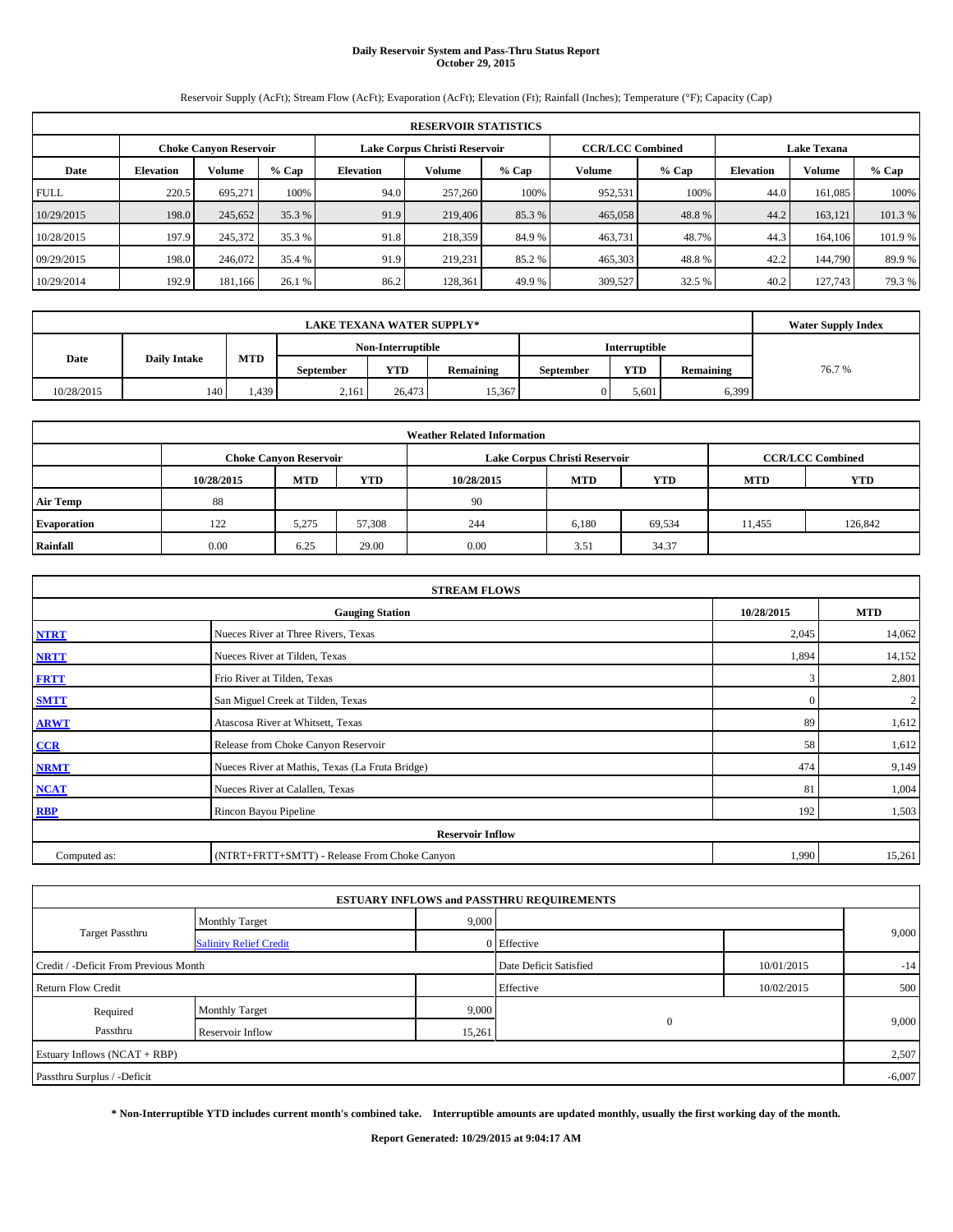## **Daily Reservoir System and Pass-Thru Status Report October 29, 2015**

Reservoir Supply (AcFt); Stream Flow (AcFt); Evaporation (AcFt); Elevation (Ft); Rainfall (Inches); Temperature (°F); Capacity (Cap)

| <b>RESERVOIR STATISTICS</b> |                                                         |         |         |                  |         |         |                         |         |                    |               |         |
|-----------------------------|---------------------------------------------------------|---------|---------|------------------|---------|---------|-------------------------|---------|--------------------|---------------|---------|
|                             | Lake Corpus Christi Reservoir<br>Choke Canvon Reservoir |         |         |                  |         |         | <b>CCR/LCC Combined</b> |         | <b>Lake Texana</b> |               |         |
| Date                        | <b>Elevation</b>                                        | Volume  | $%$ Cap | <b>Elevation</b> | Volume  | $%$ Cap | <b>Volume</b>           | $%$ Cap | <b>Elevation</b>   | <b>Volume</b> | % Cap   |
| <b>FULL</b>                 | 220.5                                                   | 695.271 | 100%    | 94.0             | 257,260 | 100%    | 952,531                 | 100%    | 44.0               | 161.085       | 100%    |
| 10/29/2015                  | 198.0                                                   | 245,652 | 35.3 %  | 91.9             | 219,406 | 85.3 %  | 465,058                 | 48.8%   | 44.2               | 163.121       | 101.3 % |
| 10/28/2015                  | 197.9                                                   | 245,372 | 35.3 %  | 91.8             | 218,359 | 84.9 %  | 463,731                 | 48.7%   | 44.3               | 164,106       | 101.9 % |
| 09/29/2015                  | 198.0                                                   | 246,072 | 35.4 %  | 91.9             | 219,231 | 85.2 %  | 465,303                 | 48.8%   | 42.2               | 144,790       | 89.9%   |
| 10/29/2014                  | 192.9                                                   | 181,166 | 26.1 %  | 86.2             | 128,361 | 49.9 %  | 309,527                 | 32.5 %  | 40.2               | 127,743       | 79.3 %  |

|            | <b>Water Supply Index</b> |       |           |                   |           |                  |                      |           |       |
|------------|---------------------------|-------|-----------|-------------------|-----------|------------------|----------------------|-----------|-------|
|            |                           |       |           | Non-Interruptible |           |                  | <b>Interruptible</b> |           |       |
| Date       | <b>Daily Intake</b>       | MTD   | September | <b>YTD</b>        | Remaining | <b>September</b> | <b>YTD</b>           | Remaining | 76.7% |
| 10/28/2015 | 140                       | 1.439 | 2,161     | 26.473            | 15,367    |                  | 5,601                | 6,399     |       |

| <b>Weather Related Information</b> |            |                               |            |            |                               |                         |            |            |  |  |
|------------------------------------|------------|-------------------------------|------------|------------|-------------------------------|-------------------------|------------|------------|--|--|
|                                    |            | <b>Choke Canyon Reservoir</b> |            |            | Lake Corpus Christi Reservoir | <b>CCR/LCC Combined</b> |            |            |  |  |
|                                    | 10/28/2015 | <b>MTD</b>                    | <b>YTD</b> | 10/28/2015 | <b>MTD</b>                    | <b>YTD</b>              | <b>MTD</b> | <b>YTD</b> |  |  |
| <b>Air Temp</b>                    | 88         |                               |            | 90         |                               |                         |            |            |  |  |
| <b>Evaporation</b>                 | 122        | 5,275                         | 57,308     | 244        | 6,180                         | 69,534                  | 11,455     | 126,842    |  |  |
| Rainfall                           | 0.00       | 6.25                          | 29.00      | 0.00       | 3.51                          | 34.37                   |            |            |  |  |

| <b>STREAM FLOWS</b> |                                                 |              |                |  |  |  |  |  |  |
|---------------------|-------------------------------------------------|--------------|----------------|--|--|--|--|--|--|
|                     | <b>Gauging Station</b>                          |              |                |  |  |  |  |  |  |
| <b>NTRT</b>         | Nueces River at Three Rivers, Texas             | 2,045        | 14,062         |  |  |  |  |  |  |
| <b>NRTT</b>         | Nueces River at Tilden, Texas                   | 1,894        | 14,152         |  |  |  |  |  |  |
| <b>FRTT</b>         | Frio River at Tilden, Texas                     | 3            | 2,801          |  |  |  |  |  |  |
| <b>SMTT</b>         | San Miguel Creek at Tilden, Texas               | $\mathbf{0}$ | $\overline{c}$ |  |  |  |  |  |  |
| <b>ARWT</b>         | Atascosa River at Whitsett, Texas               | 89           | 1,612          |  |  |  |  |  |  |
| $CCR$               | Release from Choke Canyon Reservoir             | 58           | 1,612          |  |  |  |  |  |  |
| <b>NRMT</b>         | Nueces River at Mathis, Texas (La Fruta Bridge) | 474          | 9,149          |  |  |  |  |  |  |
| <b>NCAT</b>         | Nueces River at Calallen, Texas                 | 81           | 1,004          |  |  |  |  |  |  |
| <b>RBP</b>          | Rincon Bayou Pipeline                           | 192          | 1,503          |  |  |  |  |  |  |
|                     | <b>Reservoir Inflow</b>                         |              |                |  |  |  |  |  |  |
| Computed as:        | (NTRT+FRTT+SMTT) - Release From Choke Canyon    | 1,990        | 15,261         |  |  |  |  |  |  |

|                                       |                                                              |                        | <b>ESTUARY INFLOWS and PASSTHRU REQUIREMENTS</b> |            |          |  |
|---------------------------------------|--------------------------------------------------------------|------------------------|--------------------------------------------------|------------|----------|--|
|                                       | <b>Monthly Target</b>                                        | 9,000                  |                                                  |            |          |  |
| Target Passthru                       | <b>Salinity Relief Credit</b>                                |                        | 0 Effective                                      |            | 9,000    |  |
| Credit / -Deficit From Previous Month |                                                              | Date Deficit Satisfied | 10/01/2015                                       | $-14$      |          |  |
| <b>Return Flow Credit</b>             |                                                              |                        | Effective                                        | 10/02/2015 | 500      |  |
| Required                              | 9,000<br><b>Monthly Target</b><br>15,261<br>Reservoir Inflow |                        |                                                  |            |          |  |
| Passthru                              |                                                              |                        | $\mathbf{0}$                                     |            | 9,000    |  |
| Estuary Inflows (NCAT + RBP)          |                                                              |                        |                                                  |            | 2,507    |  |
| Passthru Surplus / -Deficit           |                                                              |                        |                                                  |            | $-6,007$ |  |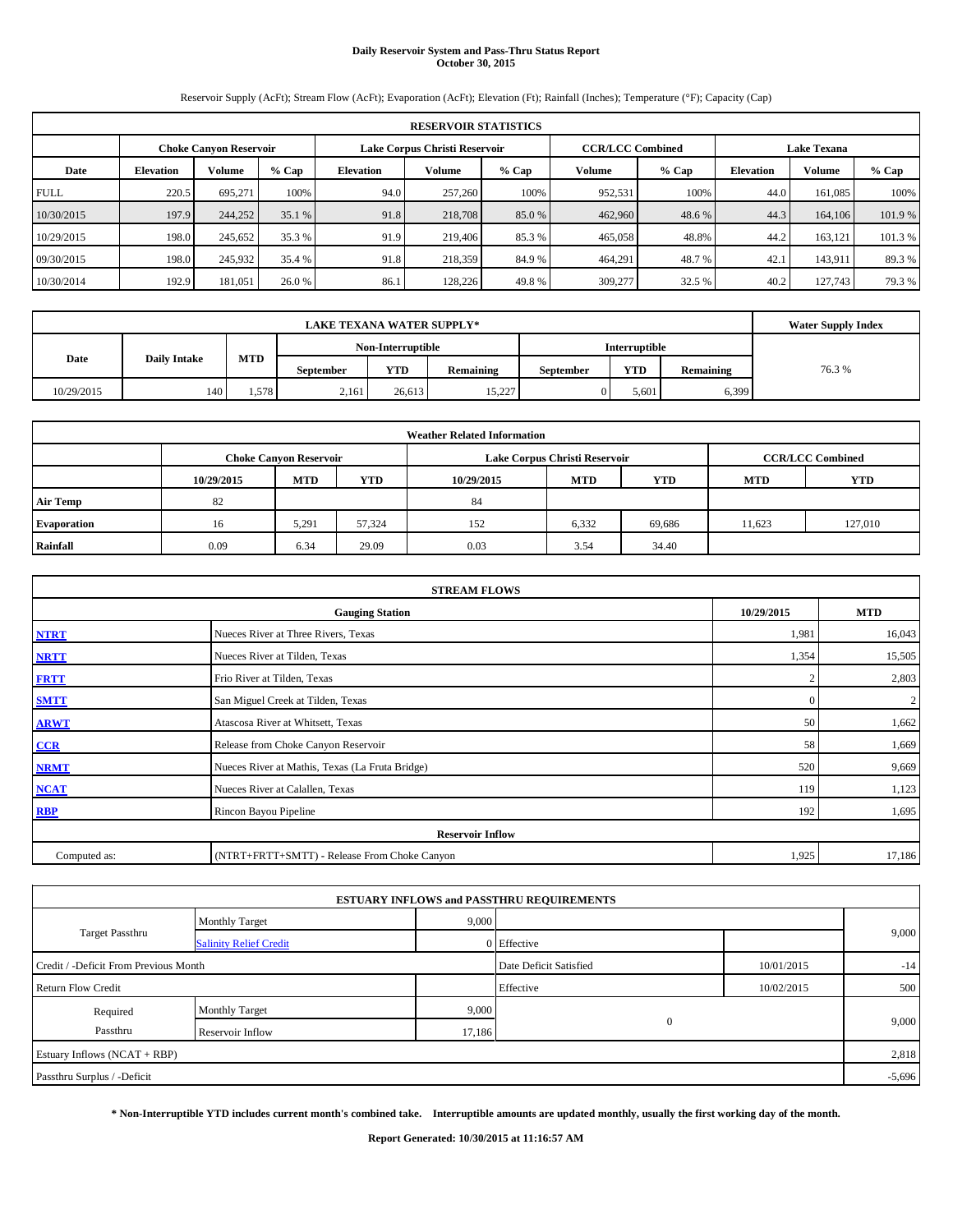### **Daily Reservoir System and Pass-Thru Status Report October 30, 2015**

Reservoir Supply (AcFt); Stream Flow (AcFt); Evaporation (AcFt); Elevation (Ft); Rainfall (Inches); Temperature (°F); Capacity (Cap)

|             | <b>RESERVOIR STATISTICS</b>                             |         |         |                  |                         |        |                    |         |                  |               |         |  |
|-------------|---------------------------------------------------------|---------|---------|------------------|-------------------------|--------|--------------------|---------|------------------|---------------|---------|--|
|             | Lake Corpus Christi Reservoir<br>Choke Canvon Reservoir |         |         |                  | <b>CCR/LCC Combined</b> |        | <b>Lake Texana</b> |         |                  |               |         |  |
| Date        | <b>Elevation</b>                                        | Volume  | $%$ Cap | <b>Elevation</b> | Volume                  | % Cap  | <b>Volume</b>      | $%$ Cap | <b>Elevation</b> | <b>Volume</b> | % Cap   |  |
| <b>FULL</b> | 220.5                                                   | 695.271 | 100%    | 94.0             | 257,260                 | 100%   | 952,531            | 100%    | 44.0             | 161.085       | 100%    |  |
| 10/30/2015  | 197.9                                                   | 244,252 | 35.1 %  | 91.8             | 218,708                 | 85.0 % | 462,960            | 48.6 %  | 44.3             | 164,106       | 101.9 % |  |
| 10/29/2015  | 198.0                                                   | 245,652 | 35.3 %  | 91.9             | 219,406                 | 85.3%  | 465,058            | 48.8%   | 44.2             | 163.121       | 101.3 % |  |
| 09/30/2015  | 198.0                                                   | 245,932 | 35.4 %  | 91.8             | 218,359                 | 84.9%  | 464,291            | 48.7 %  | 42.              | 143,911       | 89.3%   |  |
| 10/30/2014  | 192.9                                                   | 181.051 | 26.0 %  | 86.1             | 128,226                 | 49.8%  | 309,277            | 32.5 %  | 40.2             | 127,743       | 79.3 %  |  |

|            | <b>Water Supply Index</b> |            |                  |                   |           |           |                      |           |       |
|------------|---------------------------|------------|------------------|-------------------|-----------|-----------|----------------------|-----------|-------|
|            |                           |            |                  | Non-Interruptible |           |           | <b>Interruptible</b> |           |       |
| Date       | <b>Daily Intake</b>       | <b>MTD</b> | <b>September</b> | <b>YTD</b>        | Remaining | September | <b>YTD</b>           | Remaining | 76.3% |
| 10/29/2015 | 140                       | 1.578      | 2,161            | 26.613            | 15,227    |           | 5,601                | 5,399     |       |

|                    | <b>Weather Related Information</b> |                               |        |            |                               |                         |            |            |  |  |  |  |
|--------------------|------------------------------------|-------------------------------|--------|------------|-------------------------------|-------------------------|------------|------------|--|--|--|--|
|                    |                                    | <b>Choke Canyon Reservoir</b> |        |            | Lake Corpus Christi Reservoir | <b>CCR/LCC Combined</b> |            |            |  |  |  |  |
|                    | 10/29/2015                         | <b>MTD</b>                    | YTD    | 10/29/2015 | <b>MTD</b>                    | <b>YTD</b>              | <b>MTD</b> | <b>YTD</b> |  |  |  |  |
| <b>Air Temp</b>    | 82                                 |                               |        | 84         |                               |                         |            |            |  |  |  |  |
| <b>Evaporation</b> | 16                                 | 5.291                         | 57.324 | 152        | 6,332                         | 69,686                  | 11.623     | 127,010    |  |  |  |  |
| Rainfall           | 0.09                               | 6.34                          | 29.09  | 0.03       | 3.54                          | 34.40                   |            |            |  |  |  |  |

| <b>STREAM FLOWS</b> |                                                 |            |                |  |  |  |  |  |  |
|---------------------|-------------------------------------------------|------------|----------------|--|--|--|--|--|--|
|                     | <b>Gauging Station</b>                          | 10/29/2015 | <b>MTD</b>     |  |  |  |  |  |  |
| <b>NTRT</b>         | Nueces River at Three Rivers, Texas             | 1,981      | 16,043         |  |  |  |  |  |  |
| <b>NRTT</b>         | Nueces River at Tilden, Texas                   | 1,354      | 15,505         |  |  |  |  |  |  |
| <b>FRTT</b>         | Frio River at Tilden, Texas                     |            | 2,803          |  |  |  |  |  |  |
| <b>SMTT</b>         | San Miguel Creek at Tilden, Texas               | $\Omega$   | $\overline{c}$ |  |  |  |  |  |  |
| <b>ARWT</b>         | Atascosa River at Whitsett, Texas               | 50         | 1,662          |  |  |  |  |  |  |
| $CCR$               | Release from Choke Canyon Reservoir             | 58         | 1,669          |  |  |  |  |  |  |
| <b>NRMT</b>         | Nueces River at Mathis, Texas (La Fruta Bridge) | 520        | 9,669          |  |  |  |  |  |  |
| <b>NCAT</b>         | Nueces River at Calallen, Texas                 | 119        | 1,123          |  |  |  |  |  |  |
| <b>RBP</b>          | Rincon Bayou Pipeline                           | 192        | 1,695          |  |  |  |  |  |  |
|                     | <b>Reservoir Inflow</b>                         |            |                |  |  |  |  |  |  |
| Computed as:        | (NTRT+FRTT+SMTT) - Release From Choke Canyon    | 1,925      | 17,186         |  |  |  |  |  |  |

|                                       |                               |       | <b>ESTUARY INFLOWS and PASSTHRU REQUIREMENTS</b> |            |          |  |
|---------------------------------------|-------------------------------|-------|--------------------------------------------------|------------|----------|--|
|                                       | <b>Monthly Target</b>         | 9,000 |                                                  |            |          |  |
| Target Passthru                       | <b>Salinity Relief Credit</b> |       | 0 Effective                                      |            | 9,000    |  |
| Credit / -Deficit From Previous Month |                               |       | Date Deficit Satisfied                           | 10/01/2015 | $-14$    |  |
| <b>Return Flow Credit</b>             |                               |       | Effective                                        | 10/02/2015 | 500      |  |
| Required                              | <b>Monthly Target</b>         | 9,000 |                                                  |            |          |  |
| Passthru                              | 17,186<br>Reservoir Inflow    |       | $\mathbf{0}$                                     |            | 9,000    |  |
| Estuary Inflows (NCAT + RBP)          |                               |       |                                                  |            | 2,818    |  |
| Passthru Surplus / -Deficit           |                               |       |                                                  |            | $-5,696$ |  |